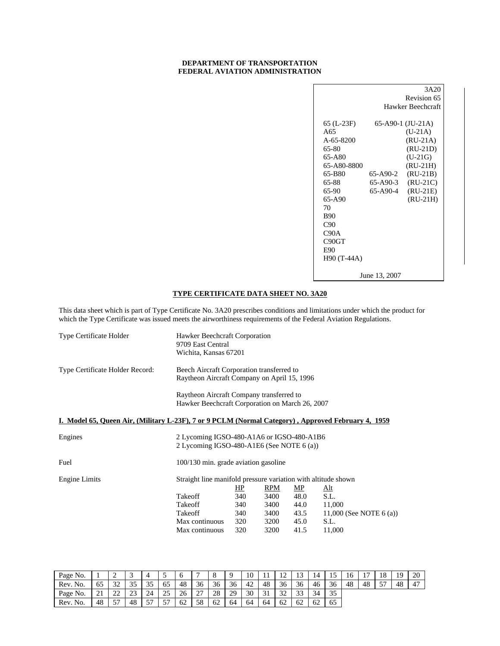## **DEPARTMENT OF TRANSPORTATION FEDERAL AVIATION ADMINISTRATION**

|                 |               | 3A20                 |
|-----------------|---------------|----------------------|
|                 |               | Revision 65          |
|                 |               | Hawker Beechcraft    |
|                 |               |                      |
| 65 (L-23F)      |               | $65-$ A90-1 (JU-21A) |
| A65             |               | $(U-21A)$            |
| $A - 65 - 8200$ |               | $(RU-21A)$           |
| 65-80           |               | $(RU-21D)$           |
| 65-A80          |               | $(U-21G)$            |
| 65-A80-8800     |               | $(RU-21H)$           |
| 65-B80          | 65-A90-2      | $(RU-21B)$           |
| 65-88           | 65-A90-3      | $(RU-21C)$           |
| 65-90           | 65-A90-4      | $(RU-21E)$           |
| 65-A90          |               | $(RU-21H)$           |
| 70              |               |                      |
| <b>B90</b>      |               |                      |
| C90             |               |                      |
| C90A            |               |                      |
| C90GT           |               |                      |
| E90             |               |                      |
| H90 (T-44A)     |               |                      |
|                 |               |                      |
|                 | June 13, 2007 |                      |

## **TYPE CERTIFICATE DATA SHEET NO. 3A20**

This data sheet which is part of Type Certificate No. 3A20 prescribes conditions and limitations under which the product for which the Type Certificate was issued meets the airworthiness requirements of the Federal Aviation Regulations.

| <b>Type Certificate Holder</b>                                                                     | Hawker Beechcraft Corporation<br>9709 East Central<br>Wichita, Kansas 67201                 |     |            |      |                           |
|----------------------------------------------------------------------------------------------------|---------------------------------------------------------------------------------------------|-----|------------|------|---------------------------|
| Type Certificate Holder Record:                                                                    | Beech Aircraft Corporation transferred to<br>Raytheon Aircraft Company on April 15, 1996    |     |            |      |                           |
|                                                                                                    | Raytheon Aircraft Company transferred to<br>Hawker Beechcraft Corporation on March 26, 2007 |     |            |      |                           |
| I. Model 65, Queen Air, (Military L-23F), 7 or 9 PCLM (Normal Category), Approved February 4, 1959 |                                                                                             |     |            |      |                           |
| Engines                                                                                            | 2 Lycoming IGSO-480-A1A6 or IGSO-480-A1B6<br>2 Lycoming IGSO-480-A1E6 (See NOTE 6 (a))      |     |            |      |                           |
| Fuel                                                                                               | 100/130 min. grade aviation gasoline                                                        |     |            |      |                           |
| Engine Limits                                                                                      | Straight line manifold pressure variation with altitude shown                               | HP  | <b>RPM</b> | MP   | <u>Alt</u>                |
|                                                                                                    | Takeoff                                                                                     | 340 | 3400       | 48.0 | S.L.                      |
|                                                                                                    | Takeoff                                                                                     | 340 | 3400       | 44.0 | 11,000                    |
|                                                                                                    | Takeoff                                                                                     | 340 | 3400       | 43.5 | 11,000 (See NOTE $6(a)$ ) |
|                                                                                                    | Max continuous                                                                              | 320 | 3200       | 45.0 | S.L.                      |
|                                                                                                    | Max continuous                                                                              | 320 | 3200       | 41.5 | 11,000                    |

| Page No. |    | ∽           |              |    |            |    |               |    |    | 10 |    | ∩<br>∸       | 13          |               |    |    | $\overline{ }$ | 18      | 19 | -20 |
|----------|----|-------------|--------------|----|------------|----|---------------|----|----|----|----|--------------|-------------|---------------|----|----|----------------|---------|----|-----|
| Rev. No. | CO | 32          | つよ<br>ر ر    | эJ | 65         | 48 | 36            | 36 | 36 | 42 | 48 | 36           | 36          | 46            | 36 | 48 | 48             | 57<br>ັ | 48 | 47  |
| Page No. | ∸  | $\cap$<br>∼ | $\sim$<br>23 | 24 | 25<br>ل کے | 26 | $\sim$<br>. . | 28 | 29 | 30 | 31 | $\sim$<br>ЭŹ | $\sim$<br>ັ | $\sim$<br>-14 | 35 |    |                |         |    |     |
| Rev. No. | 48 | 57          | 48           | EП | 57         | 62 | 58            | 62 | 64 | 64 | 64 | 62           | 62          | 62            | 65 |    |                |         |    |     |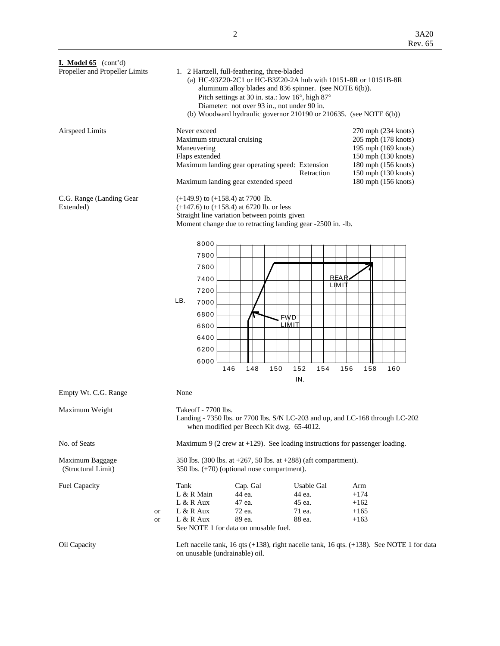| <b>I.</b> Model 65 $\text{(cont'd)}$<br>Propeller and Propeller Limits |    | 1. 2 Hartzell, full-feathering, three-bladed<br>(a) HC-93Z20-2C1 or HC-B3Z20-2A hub with 10151-8R or 10151B-8R<br>aluminum alloy blades and 836 spinner. (see NOTE 6(b)).<br>Pitch settings at 30 in. sta.: low 16°, high 87°<br>Diameter: not over 93 in., not under 90 in.<br>(b) Woodward hydraulic governor $210190$ or $210635$ . (see NOTE $6(b)$ ) |     |                  |     |            |                  |                   |             |     |                                                                                                                                                               |     |  |  |
|------------------------------------------------------------------------|----|-----------------------------------------------------------------------------------------------------------------------------------------------------------------------------------------------------------------------------------------------------------------------------------------------------------------------------------------------------------|-----|------------------|-----|------------|------------------|-------------------|-------------|-----|---------------------------------------------------------------------------------------------------------------------------------------------------------------|-----|--|--|
| <b>Airspeed Limits</b>                                                 |    | Never exceed<br>Maximum structural cruising<br>Maneuvering<br>Flaps extended<br>Maximum landing gear operating speed: Extension<br>Maximum landing gear extended speed                                                                                                                                                                                    |     |                  |     |            |                  | Retraction        |             |     | 270 mph (234 knots)<br>205 mph (178 knots)<br>195 mph (169 knots)<br>150 mph (130 knots)<br>180 mph (156 knots)<br>150 mph (130 knots)<br>180 mph (156 knots) |     |  |  |
| C.G. Range (Landing Gear<br>Extended)                                  |    | $(+149.9)$ to $(+158.4)$ at 7700 lb.<br>$(+147.6)$ to $(+158.4)$ at 6720 lb. or less<br>Straight line variation between points given<br>Moment change due to retracting landing gear -2500 in. -lb.                                                                                                                                                       |     |                  |     |            |                  |                   |             |     |                                                                                                                                                               |     |  |  |
|                                                                        |    | 8000                                                                                                                                                                                                                                                                                                                                                      |     |                  |     |            |                  |                   |             |     |                                                                                                                                                               |     |  |  |
|                                                                        |    | 7800                                                                                                                                                                                                                                                                                                                                                      |     |                  |     |            |                  |                   |             |     |                                                                                                                                                               |     |  |  |
|                                                                        |    | 7600                                                                                                                                                                                                                                                                                                                                                      |     |                  |     |            |                  |                   |             |     |                                                                                                                                                               |     |  |  |
|                                                                        |    | 7400                                                                                                                                                                                                                                                                                                                                                      |     |                  |     |            |                  |                   | <b>REAR</b> |     |                                                                                                                                                               |     |  |  |
|                                                                        |    | 7200                                                                                                                                                                                                                                                                                                                                                      |     |                  |     |            |                  |                   | LIMIT       |     |                                                                                                                                                               |     |  |  |
|                                                                        |    | LB.<br>7000                                                                                                                                                                                                                                                                                                                                               |     |                  |     |            |                  |                   |             |     |                                                                                                                                                               |     |  |  |
|                                                                        |    | 6800                                                                                                                                                                                                                                                                                                                                                      |     |                  |     | FWD        |                  |                   |             |     |                                                                                                                                                               |     |  |  |
|                                                                        |    | 6600                                                                                                                                                                                                                                                                                                                                                      |     |                  |     | LIMIT      |                  |                   |             |     |                                                                                                                                                               |     |  |  |
|                                                                        |    | 6400                                                                                                                                                                                                                                                                                                                                                      |     |                  |     |            |                  |                   |             |     |                                                                                                                                                               |     |  |  |
|                                                                        |    | 6200                                                                                                                                                                                                                                                                                                                                                      |     |                  |     |            |                  |                   |             |     |                                                                                                                                                               |     |  |  |
|                                                                        |    | 6000                                                                                                                                                                                                                                                                                                                                                      |     |                  |     |            |                  |                   |             |     |                                                                                                                                                               |     |  |  |
|                                                                        |    |                                                                                                                                                                                                                                                                                                                                                           | 146 | 148              | 150 | 152<br>IN. |                  | 154               |             | 156 | 158                                                                                                                                                           | 160 |  |  |
| Empty Wt. C.G. Range                                                   |    | None                                                                                                                                                                                                                                                                                                                                                      |     |                  |     |            |                  |                   |             |     |                                                                                                                                                               |     |  |  |
| Maximum Weight                                                         |    | Takeoff - 7700 lbs.<br>Landing - 7350 lbs. or 7700 lbs. S/N LC-203 and up, and LC-168 through LC-202<br>when modified per Beech Kit dwg. 65-4012.                                                                                                                                                                                                         |     |                  |     |            |                  |                   |             |     |                                                                                                                                                               |     |  |  |
| No. of Seats                                                           |    | Maximum 9 (2 crew at $+129$ ). See loading instructions for passenger loading.                                                                                                                                                                                                                                                                            |     |                  |     |            |                  |                   |             |     |                                                                                                                                                               |     |  |  |
| Maximum Baggage<br>(Structural Limit)                                  |    | 350 lbs. (300 lbs. at +267, 50 lbs. at +288) (aft compartment).<br>350 lbs. (+70) (optional nose compartment).                                                                                                                                                                                                                                            |     |                  |     |            |                  |                   |             |     |                                                                                                                                                               |     |  |  |
| <b>Fuel Capacity</b>                                                   |    | <b>Tank</b>                                                                                                                                                                                                                                                                                                                                               |     | Cap. Gal         |     |            |                  | <b>Usable Gal</b> |             |     | <u>Arm</u>                                                                                                                                                    |     |  |  |
|                                                                        |    | L & R Main                                                                                                                                                                                                                                                                                                                                                |     | 44 ea.           |     |            | 44 ea.<br>45 ea. |                   |             |     | $+174$                                                                                                                                                        |     |  |  |
|                                                                        | or | $L & R$ Aux<br>L & R Aux                                                                                                                                                                                                                                                                                                                                  |     | 47 ea.<br>72 ea. |     |            | 71 ea.           |                   |             |     | $+162$<br>$+165$                                                                                                                                              |     |  |  |
|                                                                        | or | L & R Aux                                                                                                                                                                                                                                                                                                                                                 |     | 89 ea.           |     |            | 88 ea.           |                   |             |     | $+163$                                                                                                                                                        |     |  |  |
|                                                                        |    | See NOTE 1 for data on unusable fuel.                                                                                                                                                                                                                                                                                                                     |     |                  |     |            |                  |                   |             |     |                                                                                                                                                               |     |  |  |
| Oil Capacity                                                           |    | Left nacelle tank, 16 qts (+138), right nacelle tank, 16 qts. (+138). See NOTE 1 for data                                                                                                                                                                                                                                                                 |     |                  |     |            |                  |                   |             |     |                                                                                                                                                               |     |  |  |

on unusable (undrainable) oil.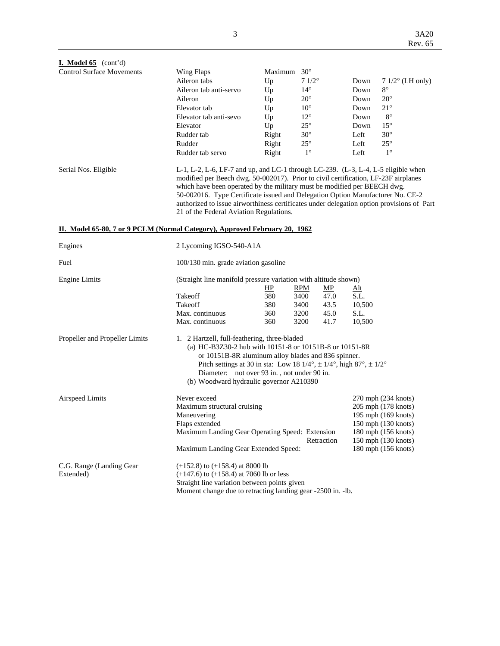| I. Model $65$ (cont'd)                                                                             |                                                                                                                                                                                                                                                                                                                                                                                                                                                                               |                      |                    |            |                                            |
|----------------------------------------------------------------------------------------------------|-------------------------------------------------------------------------------------------------------------------------------------------------------------------------------------------------------------------------------------------------------------------------------------------------------------------------------------------------------------------------------------------------------------------------------------------------------------------------------|----------------------|--------------------|------------|--------------------------------------------|
| <b>Control Surface Movements</b>                                                                   | Wing Flaps                                                                                                                                                                                                                                                                                                                                                                                                                                                                    | Maximum $30^{\circ}$ |                    |            |                                            |
|                                                                                                    | Aileron tabs                                                                                                                                                                                                                                                                                                                                                                                                                                                                  | Up                   | $71/2^\circ$       | Down       | $71/2$ ° (LH only)                         |
|                                                                                                    | Aileron tab anti-servo                                                                                                                                                                                                                                                                                                                                                                                                                                                        | Up                   | $14^{\circ}$       | Down       | $8^{\circ}$                                |
|                                                                                                    | Aileron                                                                                                                                                                                                                                                                                                                                                                                                                                                                       | Up                   | $20^{\circ}$       | Down       | $20^{\circ}$                               |
|                                                                                                    | Elevator tab                                                                                                                                                                                                                                                                                                                                                                                                                                                                  | Up                   | $10^{\circ}$       | Down       | $21^{\circ}$                               |
|                                                                                                    | Elevator tab anti-sevo                                                                                                                                                                                                                                                                                                                                                                                                                                                        | Up                   | $12^{\circ}$       | Down       | $8^{\circ}$                                |
|                                                                                                    | Elevator                                                                                                                                                                                                                                                                                                                                                                                                                                                                      | Up                   | $25^{\circ}$       | Down       | $15^{\circ}$                               |
|                                                                                                    | Rudder tab                                                                                                                                                                                                                                                                                                                                                                                                                                                                    | Right                | $30^\circ$         | Left       | $30^\circ$                                 |
|                                                                                                    | Rudder                                                                                                                                                                                                                                                                                                                                                                                                                                                                        | Right                | $25^{\circ}$       | Left       | $25^{\circ}$                               |
|                                                                                                    | Rudder tab servo                                                                                                                                                                                                                                                                                                                                                                                                                                                              | Right                | $1^{\circ}$        | Left       | $1^{\circ}$                                |
| Serial Nos. Eligible<br>II. Model 65-80, 7 or 9 PCLM (Normal Category), Approved February 20, 1962 | L-1, L-2, L-6, LF-7 and up, and LC-1 through LC-239. (L-3, L-4, L-5 eligible when<br>modified per Beech dwg. 50-002017). Prior to civil certification, LF-23F airplanes<br>which have been operated by the military must be modified per BEECH dwg.<br>50-002016. Type Certificate issued and Delegation Option Manufacturer No. CE-2<br>authorized to issue airworthiness certificates under delegation option provisions of Part<br>21 of the Federal Aviation Regulations. |                      |                    |            |                                            |
|                                                                                                    |                                                                                                                                                                                                                                                                                                                                                                                                                                                                               |                      |                    |            |                                            |
| Engines                                                                                            | 2 Lycoming IGSO-540-A1A                                                                                                                                                                                                                                                                                                                                                                                                                                                       |                      |                    |            |                                            |
| Fuel                                                                                               | 100/130 min. grade aviation gasoline                                                                                                                                                                                                                                                                                                                                                                                                                                          |                      |                    |            |                                            |
| <b>Engine Limits</b>                                                                               | (Straight line manifold pressure variation with altitude shown)                                                                                                                                                                                                                                                                                                                                                                                                               |                      |                    |            |                                            |
|                                                                                                    |                                                                                                                                                                                                                                                                                                                                                                                                                                                                               | HP                   | <b>RPM</b><br>$MP$ | <u>Alt</u> |                                            |
|                                                                                                    | Takeoff<br>Takeoff                                                                                                                                                                                                                                                                                                                                                                                                                                                            | 380                  | 3400<br>47.0       | S.L.       |                                            |
|                                                                                                    | Max. continuous                                                                                                                                                                                                                                                                                                                                                                                                                                                               | 380                  | 3400<br>43.5       | 10,500     |                                            |
|                                                                                                    |                                                                                                                                                                                                                                                                                                                                                                                                                                                                               | 360                  | 3200<br>45.0       | S.L.       |                                            |
|                                                                                                    | Max. continuous                                                                                                                                                                                                                                                                                                                                                                                                                                                               | 360                  | 3200<br>41.7       | 10,500     |                                            |
| Propeller and Propeller Limits                                                                     | 1. 2 Hartzell, full-feathering, three-bladed<br>(a) HC-B3Z30-2 hub with 10151-8 or 10151B-8 or 10151-8R<br>or 10151B-8R aluminum alloy blades and 836 spinner.<br>Pitch settings at 30 in sta: Low 18 $1/4^{\circ}$ , $\pm$ 1/4°, high 87°, $\pm$ 1/2°<br>Diameter: not over 93 in., not under 90 in.<br>(b) Woodward hydraulic governor A210390                                                                                                                              |                      |                    |            |                                            |
| Airspeed Limits                                                                                    | Never exceed                                                                                                                                                                                                                                                                                                                                                                                                                                                                  |                      |                    |            | 270 mph (234 knots)                        |
|                                                                                                    | Maximum structural cruising                                                                                                                                                                                                                                                                                                                                                                                                                                                   |                      |                    |            | 205 mph (178 knots)                        |
|                                                                                                    | Maneuvering                                                                                                                                                                                                                                                                                                                                                                                                                                                                   |                      |                    |            | 195 mph (169 knots)                        |
|                                                                                                    | Flaps extended                                                                                                                                                                                                                                                                                                                                                                                                                                                                |                      |                    |            | 150 mph (130 knots)                        |
|                                                                                                    | Maximum Landing Gear Operating Speed: Extension                                                                                                                                                                                                                                                                                                                                                                                                                               |                      | Retraction         |            | 180 mph (156 knots)<br>150 mph (130 knots) |
|                                                                                                    | Maximum Landing Gear Extended Speed:                                                                                                                                                                                                                                                                                                                                                                                                                                          |                      |                    |            | 180 mph (156 knots)                        |
| C.G. Range (Landing Gear)<br>Extended)                                                             | $(+152.8)$ to $(+158.4)$ at 8000 lb<br>$(+147.6)$ to $(+158.4)$ at 7060 lb or less<br>Straight line variation between points given<br>Moment change due to retracting landing gear -2500 in. -lb.                                                                                                                                                                                                                                                                             |                      |                    |            |                                            |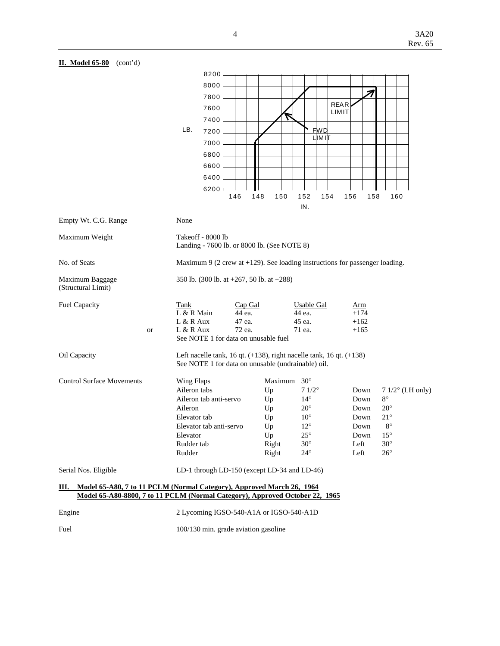

Fuel 100/130 min. grade aviation gasoline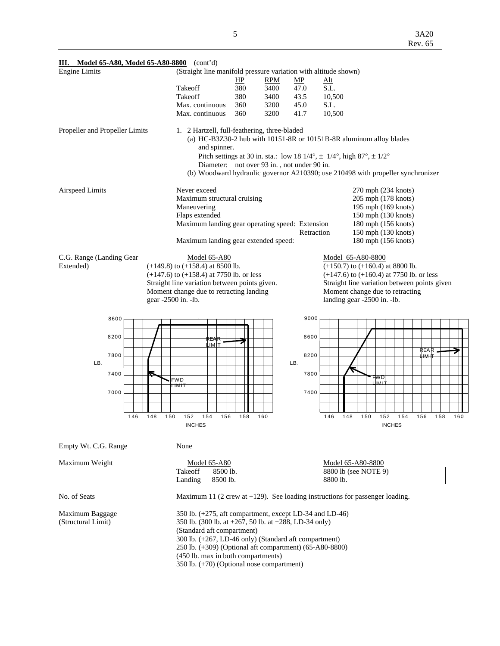| Ш.                             | Model 65-A80, Model 65-A80-8800 (cont'd)                                                 |            |                                             |                                                                                                                                                                                                                                                  |                                              |
|--------------------------------|------------------------------------------------------------------------------------------|------------|---------------------------------------------|--------------------------------------------------------------------------------------------------------------------------------------------------------------------------------------------------------------------------------------------------|----------------------------------------------|
| <b>Engine Limits</b>           | (Straight line manifold pressure variation with altitude shown)                          |            |                                             |                                                                                                                                                                                                                                                  |                                              |
|                                |                                                                                          | HP         | <b>RPM</b><br>MP                            | <u>Alt</u>                                                                                                                                                                                                                                       |                                              |
|                                | Takeoff                                                                                  | 380        | 47.0<br>3400                                | S.L.                                                                                                                                                                                                                                             |                                              |
|                                | Takeoff<br>Max. continuous                                                               | 380<br>360 | 3400<br>43.5<br>3200<br>45.0                | 10,500<br>S.L.                                                                                                                                                                                                                                   |                                              |
|                                | Max. continuous                                                                          | 360        | 3200<br>41.7                                | 10,500                                                                                                                                                                                                                                           |                                              |
| Propeller and Propeller Limits | 1. 2 Hartzell, full-feathering, three-bladed<br>and spinner.                             |            | Diameter: not over 93 in., not under 90 in. | (a) HC-B3Z30-2 hub with 10151-8R or 10151B-8R aluminum alloy blades<br>Pitch settings at 30 in. sta.: low 18 $1/4^{\circ}$ , $\pm$ 1/4°, high 87°, $\pm$ 1/2°<br>(b) Woodward hydraulic governor A210390; use 210498 with propeller synchronizer |                                              |
|                                |                                                                                          |            |                                             |                                                                                                                                                                                                                                                  |                                              |
| <b>Airspeed Limits</b>         | Never exceed<br>Maximum structural cruising                                              |            |                                             | 270 mph (234 knots)<br>205 mph (178 knots)                                                                                                                                                                                                       |                                              |
|                                | Maneuvering                                                                              |            |                                             | 195 mph (169 knots)                                                                                                                                                                                                                              |                                              |
|                                | Flaps extended                                                                           |            |                                             | 150 mph (130 knots)                                                                                                                                                                                                                              |                                              |
|                                | Maximum landing gear operating speed: Extension                                          |            |                                             | 180 mph (156 knots)                                                                                                                                                                                                                              |                                              |
|                                |                                                                                          |            | Retraction                                  | 150 mph (130 knots)                                                                                                                                                                                                                              |                                              |
|                                | Maximum landing gear extended speed:                                                     |            |                                             | 180 mph (156 knots)                                                                                                                                                                                                                              |                                              |
| C.G. Range (Landing Gear       | <b>Model 65-A80</b>                                                                      |            |                                             | Model 65-A80-8800                                                                                                                                                                                                                                |                                              |
| Extended)                      | $(+149.8)$ to $(+158.4)$ at 8500 lb.                                                     |            |                                             | $(+150.7)$ to $(+160.4)$ at 8800 lb.                                                                                                                                                                                                             |                                              |
|                                | $(+147.6)$ to $(+158.4)$ at 7750 lb. or less                                             |            |                                             | $(+147.6)$ to $(+160.4)$ at 7750 lb. or less                                                                                                                                                                                                     |                                              |
|                                | Straight line variation between points given.<br>Moment change due to retracting landing |            |                                             | Moment change due to retracting                                                                                                                                                                                                                  | Straight line variation between points given |
|                                | gear -2500 in. -lb.                                                                      |            |                                             | landing gear -2500 in. -lb.                                                                                                                                                                                                                      |                                              |
|                                |                                                                                          |            |                                             |                                                                                                                                                                                                                                                  |                                              |
| 8600                           |                                                                                          |            | 9000                                        |                                                                                                                                                                                                                                                  |                                              |
| 8200                           |                                                                                          |            | 8600                                        |                                                                                                                                                                                                                                                  |                                              |
|                                | REAR<br>TIMI.                                                                            |            |                                             |                                                                                                                                                                                                                                                  | <b>REAR</b>                                  |
| 7800                           |                                                                                          |            | 8200                                        |                                                                                                                                                                                                                                                  | HMI T                                        |
| LB.                            |                                                                                          |            | LB.                                         |                                                                                                                                                                                                                                                  |                                              |
| 7400                           | <b>FWD</b>                                                                               |            | 7800                                        | ' FWD<br>⊥IMIT                                                                                                                                                                                                                                   |                                              |
|                                | LIMIT                                                                                    |            |                                             |                                                                                                                                                                                                                                                  |                                              |
| 7000                           |                                                                                          |            | 7400                                        |                                                                                                                                                                                                                                                  |                                              |
|                                |                                                                                          |            |                                             |                                                                                                                                                                                                                                                  |                                              |
| 146                            | 150<br>148<br>152<br>154<br>156                                                          | 158<br>160 |                                             | 146<br>148<br>150<br>152                                                                                                                                                                                                                         | 154<br>156<br>158<br>160                     |
|                                | <b>INCHES</b>                                                                            |            |                                             |                                                                                                                                                                                                                                                  | <b>INCHES</b>                                |
| Empty Wt. C.G. Range           | None                                                                                     |            |                                             |                                                                                                                                                                                                                                                  |                                              |
| Maximum Weight                 | Model 65-A80                                                                             |            |                                             | Model 65-A80-8800                                                                                                                                                                                                                                |                                              |
|                                | Takeoff<br>8500 lb.                                                                      |            |                                             | 8800 lb (see NOTE 9)                                                                                                                                                                                                                             |                                              |
|                                | 8500 lb.<br>Landing                                                                      |            |                                             | 8800 lb.                                                                                                                                                                                                                                         |                                              |
| No. of Seats                   |                                                                                          |            |                                             | Maximum 11 (2 crew at $+129$ ). See loading instructions for passenger loading.                                                                                                                                                                  |                                              |
| Maximum Baggage                | 350 lb. (+275, aft compartment, except LD-34 and LD-46)                                  |            |                                             |                                                                                                                                                                                                                                                  |                                              |
| (Structural Limit)             | 350 lb. (300 lb. at +267, 50 lb. at +288, LD-34 only)                                    |            |                                             |                                                                                                                                                                                                                                                  |                                              |
|                                | (Standard aft compartment)                                                               |            |                                             |                                                                                                                                                                                                                                                  |                                              |
|                                | 300 lb. (+267, LD-46 only) (Standard aft compartment)                                    |            |                                             |                                                                                                                                                                                                                                                  |                                              |
|                                | 250 lb. (+309) (Optional aft compartment) (65-A80-8800)                                  |            |                                             |                                                                                                                                                                                                                                                  |                                              |
|                                | (450 lb. max in both compartments)<br>350 lb. (+70) (Optional nose compartment)          |            |                                             |                                                                                                                                                                                                                                                  |                                              |
|                                |                                                                                          |            |                                             |                                                                                                                                                                                                                                                  |                                              |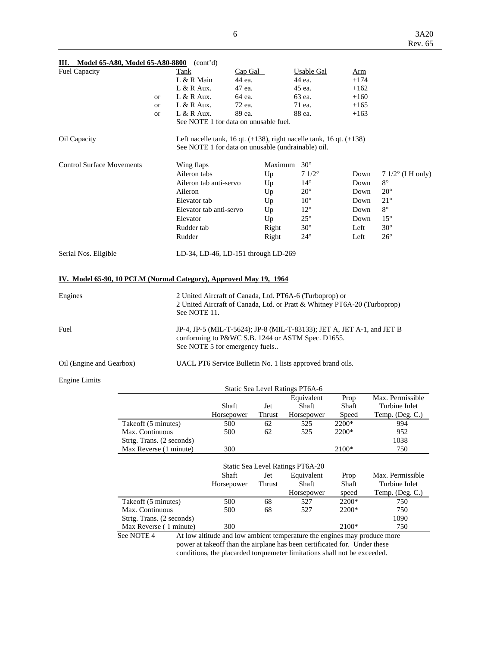| <br><b><i>HOUGH OF HOOG HOUGH OF HOO GOOD</i></b><br><b>Fuel Capacity</b> |           | $\sqrt{2}$<br><b>Tank</b>                                                                                                                                     | Cap Gal |                                 | Usable Gal     | Arm    |                    |
|---------------------------------------------------------------------------|-----------|---------------------------------------------------------------------------------------------------------------------------------------------------------------|---------|---------------------------------|----------------|--------|--------------------|
|                                                                           |           | L & R Main                                                                                                                                                    | 44 ea.  |                                 | 44 ea.         | $+174$ |                    |
|                                                                           |           | $L & R$ Aux.                                                                                                                                                  | 47 ea.  |                                 | 45 ea.         | $+162$ |                    |
|                                                                           | <b>or</b> | L & R Aux.                                                                                                                                                    | 64 ea.  |                                 | 63 ea.         | $+160$ |                    |
|                                                                           | <b>or</b> | $L & R$ Aux.                                                                                                                                                  | 72 ea.  |                                 | 71 ea.         | $+165$ |                    |
|                                                                           | <b>or</b> | $L & R$ Aux.                                                                                                                                                  | 89 ea.  |                                 | 88 ea.         | $+163$ |                    |
|                                                                           |           | See NOTE 1 for data on unusable fuel.                                                                                                                         |         |                                 |                |        |                    |
| Oil Capacity                                                              |           | Left nacelle tank, 16 qt. $(+138)$ , right nacelle tank, 16 qt. $(+138)$<br>See NOTE 1 for data on unusable (undrainable) oil.                                |         |                                 |                |        |                    |
| <b>Control Surface Movements</b>                                          |           | Wing flaps                                                                                                                                                    |         | Maximum 30°                     |                |        |                    |
|                                                                           |           | Aileron tabs                                                                                                                                                  |         | Up                              | $71/2^{\circ}$ | Down   | $71/2$ ° (LH only) |
|                                                                           |           | Aileron tab anti-servo                                                                                                                                        |         | Up                              | $14^{\circ}$   | Down   | $8^{\circ}$        |
|                                                                           |           | Aileron                                                                                                                                                       |         | Up                              | $20^{\circ}$   | Down   | $20^{\circ}$       |
|                                                                           |           | Elevator tab                                                                                                                                                  |         | Up                              | $10^{\circ}$   | Down   | $21^{\circ}$       |
|                                                                           |           | Elevator tab anti-servo                                                                                                                                       |         | Up                              | $12^{\circ}$   | Down   | $8^{\circ}$        |
|                                                                           |           | Elevator                                                                                                                                                      |         | Up                              | $25^{\circ}$   | Down   | $15^{\circ}$       |
|                                                                           |           | Rudder tab                                                                                                                                                    |         | Right                           | $30^\circ$     | Left   | $30^\circ$         |
|                                                                           |           | Rudder                                                                                                                                                        |         | Right                           | $24^{\circ}$   | Left   | $26^{\circ}$       |
| Serial Nos. Eligible                                                      |           | LD-34, LD-46, LD-151 through LD-269                                                                                                                           |         |                                 |                |        |                    |
| IV. Model 65-90, 10 PCLM (Normal Category), Approved May 19, 1964         |           |                                                                                                                                                               |         |                                 |                |        |                    |
| Engines                                                                   |           | 2 United Aircraft of Canada, Ltd. PT6A-6 (Turboprop) or<br>2 United Aircraft of Canada, Ltd. or Pratt & Whitney PT6A-20 (Turboprop)<br>See NOTE 11.           |         |                                 |                |        |                    |
| Fuel                                                                      |           | JP-4, JP-5 (MIL-T-5624); JP-8 (MIL-T-83133); JET A, JET A-1, and JET B<br>conforming to P&WC S.B. 1244 or ASTM Spec. D1655.<br>See NOTE 5 for emergency fuels |         |                                 |                |        |                    |
| Oil (Engine and Gearbox)                                                  |           | UACL PT6 Service Bulletin No. 1 lists approved brand oils.                                                                                                    |         |                                 |                |        |                    |
| <b>Engine Limits</b>                                                      |           |                                                                                                                                                               |         |                                 |                |        |                    |
|                                                                           |           |                                                                                                                                                               |         | Static Sea Level Ratings PT6A-6 |                |        |                    |
|                                                                           |           |                                                                                                                                                               |         |                                 | Equivalent     | Prop   | Max. Permissible   |

| Ш. | Model 65-A80, Model 65-A80-8800 (cont'd) |  |
|----|------------------------------------------|--|
|    |                                          |  |

|                           | Shaft      | Jet           | Shaft                            | Shaft | Turbine Inlet            |
|---------------------------|------------|---------------|----------------------------------|-------|--------------------------|
|                           | Horsepower | <b>Thrust</b> | Horsepower                       | Speed | Temp. $(Deg. C.)$        |
| Takeoff (5 minutes)       | 500        | 62            | 525                              | 2200* | 994                      |
| Max. Continuous           | 500        | 62            | 525                              | 2200* | 952                      |
| Strtg. Trans. (2 seconds) |            |               |                                  |       | 1038                     |
| Max Reverse (1 minute)    | 300        |               |                                  | 2100* | 750                      |
|                           |            |               | Static Sea Level Ratings PT6A-20 |       |                          |
|                           |            |               |                                  |       |                          |
|                           | Shaft      | Jet           | Equivalent                       | Prop  | Max. Permissible         |
|                           | Horsepower | Thrust        | Shaft                            | Shaft | Turbine Inlet            |
|                           |            |               | Horsepower                       | speed | Temp. $($ Deg. $C$ . $)$ |
| Takeoff (5 minutes)       | 500        | 68            | 527                              | 2200* | 750                      |
| Max. Continuous           | 500        | 68            | 527                              | 2200* | 750                      |
| Strtg. Trans. (2 seconds) |            |               |                                  |       | 1090                     |
| Max Reverse (1 minute)    | 300        |               |                                  | 2100* | 750                      |

Max Reverse (1 minute)<br>See NOTE 4 At low At low altitude and low ambient temperature the engines may produce more power at takeoff than the airplane has been certificated for. Under these conditions, the placarded torquemeter limitations shall not be exceeded.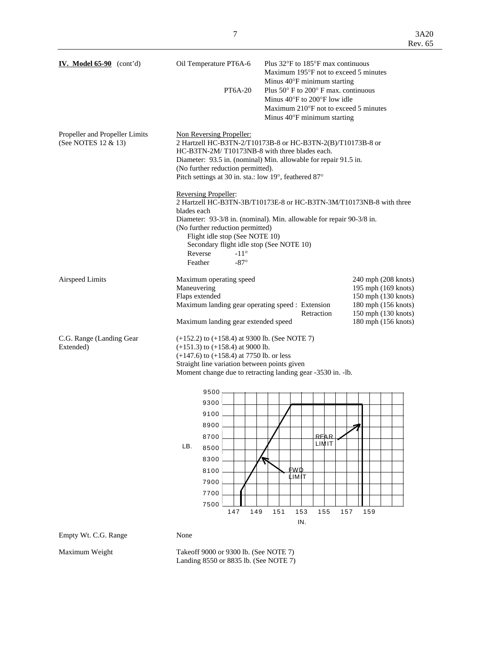| IV. Model $65-90$ (cont'd)                            | Oil Temperature PT6A-6<br><b>PT6A-20</b>                                                                                                                                                                                                                                                                                                                              | Plus $32^{\circ}$ F to $185^{\circ}$ F max continuous<br>Maximum 195°F not to exceed 5 minutes<br>Minus 40°F minimum starting<br>Plus $50^{\circ}$ F to $200^{\circ}$ F max, continuous<br>Minus $40^{\circ}$ F to $200^{\circ}$ F low idle<br>Maximum 210°F not to exceed 5 minutes<br>Minus 40°F minimum starting |                                                                                                                                        |
|-------------------------------------------------------|-----------------------------------------------------------------------------------------------------------------------------------------------------------------------------------------------------------------------------------------------------------------------------------------------------------------------------------------------------------------------|---------------------------------------------------------------------------------------------------------------------------------------------------------------------------------------------------------------------------------------------------------------------------------------------------------------------|----------------------------------------------------------------------------------------------------------------------------------------|
| Propeller and Propeller Limits<br>(See NOTES 12 & 13) | Non Reversing Propeller:<br>2 Hartzell HC-B3TN-2/T10173B-8 or HC-B3TN-2(B)/T10173B-8 or<br>HC-B3TN-2M/T10173NB-8 with three blades each.<br>Diameter: 93.5 in. (nominal) Min. allowable for repair 91.5 in.<br>(No further reduction permitted).<br>Pitch settings at 30 in. sta.: low 19°, feathered 87°                                                             |                                                                                                                                                                                                                                                                                                                     |                                                                                                                                        |
|                                                       | <b>Reversing Propeller:</b><br>2 Hartzell HC-B3TN-3B/T10173E-8 or HC-B3TN-3M/T10173NB-8 with three<br>blades each<br>Diameter: 93-3/8 in. (nominal). Min. allowable for repair 90-3/8 in.<br>(No further reduction permitted)<br>Flight idle stop (See NOTE 10)<br>Secondary flight idle stop (See NOTE 10)<br>$-11^{\circ}$<br>Reverse<br>Feather<br>$-87^\circ$     |                                                                                                                                                                                                                                                                                                                     |                                                                                                                                        |
| <b>Airspeed Limits</b>                                | Maximum operating speed<br>Maneuvering<br>Flaps extended<br>Maximum landing gear operating speed : Extension<br>Maximum landing gear extended speed                                                                                                                                                                                                                   | Retraction                                                                                                                                                                                                                                                                                                          | 240 mph (208 knots)<br>195 mph (169 knots)<br>150 mph (130 knots)<br>180 mph (156 knots)<br>150 mph (130 knots)<br>180 mph (156 knots) |
| C.G. Range (Landing Gear)<br>Extended)                | $(+152.2)$ to $(+158.4)$ at 9300 lb. (See NOTE 7)<br>$(+151.3)$ to $(+158.4)$ at 9000 lb.<br>$(+147.6)$ to $(+158.4)$ at 7750 lb. or less<br>Straight line variation between points given<br>Moment change due to retracting landing gear -3530 in. -lb.<br>9500<br>9300<br>9100<br>8900<br>8700<br>LB.<br>8500<br>8300<br>8100<br>7900<br>7700<br>7500<br>147<br>149 | <b>REAR</b><br>LIMIT<br><u>FWD</u><br><b>LIMIT</b><br>151<br>153<br>155<br>IN.                                                                                                                                                                                                                                      | 157<br>159                                                                                                                             |
| Empty Wt. C.G. Range                                  | None                                                                                                                                                                                                                                                                                                                                                                  |                                                                                                                                                                                                                                                                                                                     |                                                                                                                                        |

Maximum Weight Takeoff 9000 or 9300 lb. (See NOTE 7) Landing 8550 or 8835 lb. (See NOTE 7)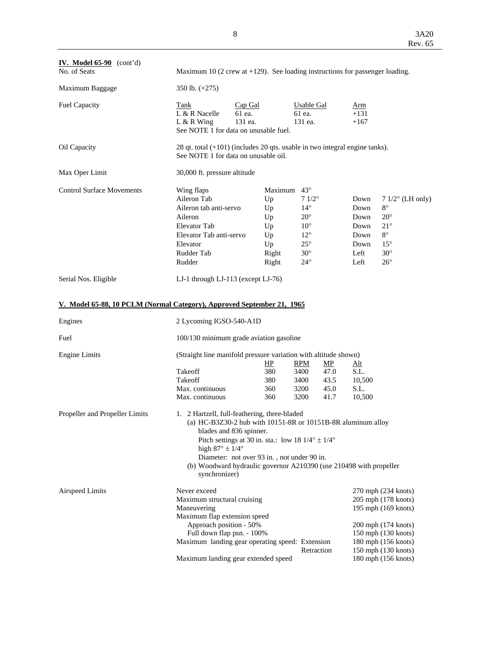| IV. Model $65-90$ (cont'd)<br>No. of Seats                             |                                                                                                                                                      | Maximum 10 (2 crew at $+129$ ). See loading instructions for passenger loading.                                                                                                                                                                                                                                                     |                                                                                                                                              |                                                                                      |                                                                                                                                                                                      |  |  |  |  |
|------------------------------------------------------------------------|------------------------------------------------------------------------------------------------------------------------------------------------------|-------------------------------------------------------------------------------------------------------------------------------------------------------------------------------------------------------------------------------------------------------------------------------------------------------------------------------------|----------------------------------------------------------------------------------------------------------------------------------------------|--------------------------------------------------------------------------------------|--------------------------------------------------------------------------------------------------------------------------------------------------------------------------------------|--|--|--|--|
| Maximum Baggage                                                        | 350 lb. $(+275)$                                                                                                                                     |                                                                                                                                                                                                                                                                                                                                     |                                                                                                                                              |                                                                                      |                                                                                                                                                                                      |  |  |  |  |
| <b>Fuel Capacity</b>                                                   | Tank<br>L & R Nacelle<br>$L & R$ Wing                                                                                                                | Cap Gal<br>61 ea.<br>131 ea.<br>See NOTE 1 for data on unusable fuel.                                                                                                                                                                                                                                                               | Usable Gal<br>61 ea.<br>131 ea.                                                                                                              | Arm<br>$+131$<br>$+167$                                                              |                                                                                                                                                                                      |  |  |  |  |
| Oil Capacity                                                           | See NOTE 1 for data on unusable oil.                                                                                                                 | 28 qt. total (+101) (includes 20 qts. usable in two integral engine tanks).                                                                                                                                                                                                                                                         |                                                                                                                                              |                                                                                      |                                                                                                                                                                                      |  |  |  |  |
| Max Oper Limit                                                         | 30,000 ft. pressure altitude                                                                                                                         |                                                                                                                                                                                                                                                                                                                                     |                                                                                                                                              |                                                                                      |                                                                                                                                                                                      |  |  |  |  |
| <b>Control Surface Movements</b>                                       | Wing flaps<br>Aileron Tab<br>Aileron tab anti-servo<br>Aileron<br><b>Elevator Tab</b><br>Elevator Tab anti-servo<br>Elevator<br>Rudder Tab<br>Rudder | Maximum<br>Up<br>Up<br>Up<br>Up<br>Up<br>Up<br>Right<br>Right                                                                                                                                                                                                                                                                       | $43^{\circ}$<br>$71/2^{\circ}$<br>$14^{\circ}$<br>$20^{\circ}$<br>$10^{\circ}$<br>$12^{\circ}$<br>$25^{\circ}$<br>$30^\circ$<br>$24^{\circ}$ | Down<br>Down<br>Down<br>Down<br>Down<br>Down<br>Left<br>Left                         | $71/2^{\circ}$ (LH only)<br>$8^{\circ}$<br>$20^{\circ}$<br>$21^{\circ}$<br>$8^{\circ}$<br>$15^{\circ}$<br>$30^\circ$<br>$26^{\circ}$                                                 |  |  |  |  |
| Serial Nos. Eligible                                                   | LJ-1 through LJ-113 (except LJ-76)                                                                                                                   |                                                                                                                                                                                                                                                                                                                                     |                                                                                                                                              |                                                                                      |                                                                                                                                                                                      |  |  |  |  |
| V. Model 65-88, 10 PCLM (Normal Category), Approved September 21, 1965 |                                                                                                                                                      |                                                                                                                                                                                                                                                                                                                                     |                                                                                                                                              |                                                                                      |                                                                                                                                                                                      |  |  |  |  |
| Engines                                                                | 2 Lycoming IGSO-540-A1D                                                                                                                              |                                                                                                                                                                                                                                                                                                                                     |                                                                                                                                              |                                                                                      |                                                                                                                                                                                      |  |  |  |  |
| Fuel                                                                   |                                                                                                                                                      | 100/130 minimum grade aviation gasoline                                                                                                                                                                                                                                                                                             |                                                                                                                                              |                                                                                      |                                                                                                                                                                                      |  |  |  |  |
| <b>Engine Limits</b>                                                   | Takeoff<br>Takeoff<br>Max. continuous<br>Max. continuous                                                                                             | (Straight line manifold pressure variation with altitude shown)<br><u>НР</u><br>380<br>380<br>360<br>360                                                                                                                                                                                                                            | <b>RPM</b><br>3400<br>3400<br>3200<br>3200                                                                                                   | MP<br><u>Alt</u><br>47.0<br>S.L.<br>43.5<br>10,500<br>45.0<br>S.L.<br>10,500<br>41.7 |                                                                                                                                                                                      |  |  |  |  |
| Propeller and Propeller Limits                                         | high $87^\circ \pm 1/4^\circ$<br>synchronizer)                                                                                                       | 1. 2 Hartzell, full-feathering, three-bladed<br>(a) HC-B3Z30-2 hub with 10151-8R or 10151B-8R aluminum alloy<br>blades and 836 spinner.<br>Pitch settings at 30 in. sta.: low 18 $1/4^{\circ} \pm 1/4^{\circ}$<br>Diameter: not over 93 in., not under 90 in.<br>(b) Woodward hydraulic governor A210390 (use 210498 with propeller |                                                                                                                                              |                                                                                      |                                                                                                                                                                                      |  |  |  |  |
| <b>Airspeed Limits</b>                                                 | Never exceed<br>Maximum structural cruising<br>Maneuvering<br>Maximum flap extension speed<br>Approach position - 50%<br>Full down flap psn. - 100%  | Maximum landing gear operating speed: Extension<br>Maximum landing gear extended speed                                                                                                                                                                                                                                              | Retraction                                                                                                                                   |                                                                                      | 270 mph (234 knots)<br>205 mph (178 knots)<br>195 mph (169 knots)<br>200 mph (174 knots)<br>150 mph (130 knots)<br>180 mph (156 knots)<br>150 mph (130 knots)<br>180 mph (156 knots) |  |  |  |  |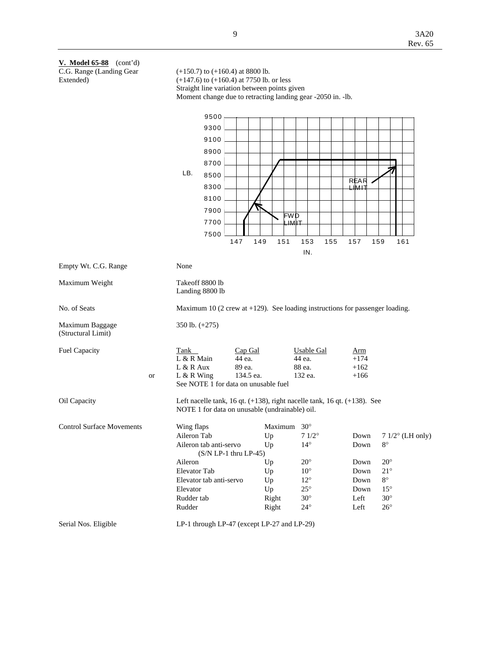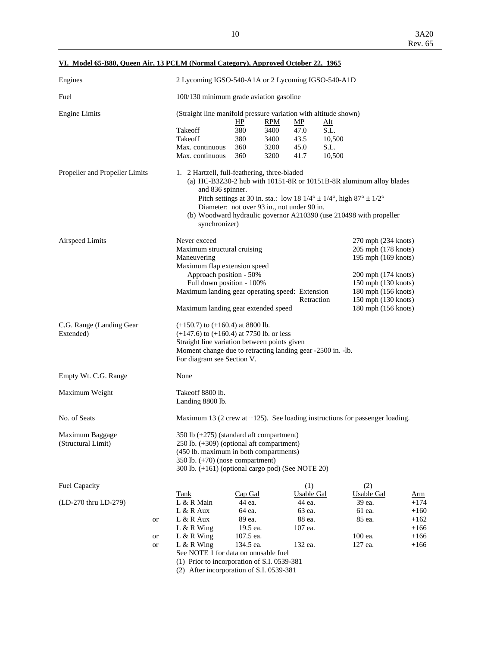| VI. Model 65-B80, Queen Air, 13 PCLM (Normal Category), Approved October 22, 1965 |  |  |  |  |
|-----------------------------------------------------------------------------------|--|--|--|--|
|                                                                                   |  |  |  |  |

| 100/130 minimum grade aviation gasoline<br>(Straight line manifold pressure variation with altitude shown)<br>Takeoff<br>Takeoff<br>Max. continuous<br>Max. continuous<br>1. 2 Hartzell, full-feathering, three-bladed<br>and 836 spinner.<br>Pitch settings at 30 in. sta.: low 18 $1/4^{\circ} \pm 1/4^{\circ}$ , high $87^{\circ} \pm 1/2^{\circ}$<br>Diameter: not over 93 in., not under 90 in.<br>synchronizer)<br>Never exceed | HP<br>380<br>380<br>360<br>360                                   | <b>RPM</b><br>3400<br>3400<br>3200<br>3200                                                      | MP<br>47.0<br>43.5<br>45.0<br>41.7                                                                                                                                                        | <u>Alt</u><br>S.L.<br>10,500<br>S.L.<br>10,500                                                                                                                                 | (a) HC-B3Z30-2 hub with 10151-8R or 10151B-8R aluminum alloy blades<br>(b) Woodward hydraulic governor A210390 (use 210498 with propeller |                                                                                                                                                                                                                                                                                                                                                             |
|---------------------------------------------------------------------------------------------------------------------------------------------------------------------------------------------------------------------------------------------------------------------------------------------------------------------------------------------------------------------------------------------------------------------------------------|------------------------------------------------------------------|-------------------------------------------------------------------------------------------------|-------------------------------------------------------------------------------------------------------------------------------------------------------------------------------------------|--------------------------------------------------------------------------------------------------------------------------------------------------------------------------------|-------------------------------------------------------------------------------------------------------------------------------------------|-------------------------------------------------------------------------------------------------------------------------------------------------------------------------------------------------------------------------------------------------------------------------------------------------------------------------------------------------------------|
|                                                                                                                                                                                                                                                                                                                                                                                                                                       |                                                                  |                                                                                                 |                                                                                                                                                                                           |                                                                                                                                                                                |                                                                                                                                           |                                                                                                                                                                                                                                                                                                                                                             |
|                                                                                                                                                                                                                                                                                                                                                                                                                                       |                                                                  |                                                                                                 |                                                                                                                                                                                           |                                                                                                                                                                                |                                                                                                                                           |                                                                                                                                                                                                                                                                                                                                                             |
|                                                                                                                                                                                                                                                                                                                                                                                                                                       |                                                                  |                                                                                                 |                                                                                                                                                                                           |                                                                                                                                                                                |                                                                                                                                           |                                                                                                                                                                                                                                                                                                                                                             |
| Maneuvering                                                                                                                                                                                                                                                                                                                                                                                                                           |                                                                  |                                                                                                 |                                                                                                                                                                                           |                                                                                                                                                                                |                                                                                                                                           |                                                                                                                                                                                                                                                                                                                                                             |
|                                                                                                                                                                                                                                                                                                                                                                                                                                       |                                                                  |                                                                                                 |                                                                                                                                                                                           |                                                                                                                                                                                |                                                                                                                                           |                                                                                                                                                                                                                                                                                                                                                             |
| None                                                                                                                                                                                                                                                                                                                                                                                                                                  |                                                                  |                                                                                                 |                                                                                                                                                                                           |                                                                                                                                                                                |                                                                                                                                           |                                                                                                                                                                                                                                                                                                                                                             |
| Takeoff 8800 lb.<br>Landing 8800 lb.                                                                                                                                                                                                                                                                                                                                                                                                  |                                                                  |                                                                                                 |                                                                                                                                                                                           |                                                                                                                                                                                |                                                                                                                                           |                                                                                                                                                                                                                                                                                                                                                             |
|                                                                                                                                                                                                                                                                                                                                                                                                                                       |                                                                  |                                                                                                 |                                                                                                                                                                                           |                                                                                                                                                                                |                                                                                                                                           |                                                                                                                                                                                                                                                                                                                                                             |
| 350 lb (+275) (standard aft compartment)<br>$250$ lb. $(+309)$ (optional aft compartment)<br>(450 lb. maximum in both compartments)<br>350 lb. $(+70)$ (nose compartment)<br>300 lb. (+161) (optional cargo pod) (See NOTE 20)                                                                                                                                                                                                        |                                                                  |                                                                                                 |                                                                                                                                                                                           |                                                                                                                                                                                |                                                                                                                                           |                                                                                                                                                                                                                                                                                                                                                             |
|                                                                                                                                                                                                                                                                                                                                                                                                                                       |                                                                  |                                                                                                 | (1)                                                                                                                                                                                       |                                                                                                                                                                                | (2)                                                                                                                                       |                                                                                                                                                                                                                                                                                                                                                             |
| L & R Main<br>$L & R$ Aux<br>$L & R$ Aux<br>$L & R$ Wing<br>L & R Wing<br>$L & R$ Wing                                                                                                                                                                                                                                                                                                                                                | 44 ea.<br>64 ea.<br>89 ea.<br>19.5 ea.<br>107.5 ea.<br>134.5 ea. |                                                                                                 | 44 ea.<br>63 ea.<br>88 ea.<br>107 ea.<br>132 ea.                                                                                                                                          |                                                                                                                                                                                | 39 ea.<br>61 ea.<br>85 ea.<br>100 ea.<br>127 ea.                                                                                          | <u>Arm</u><br>$+174$<br>$+160$<br>$+162$<br>$+166$<br>$+166$<br>$+166$                                                                                                                                                                                                                                                                                      |
|                                                                                                                                                                                                                                                                                                                                                                                                                                       | <b>Tank</b>                                                      | Maximum structural cruising<br>Approach position - 50%<br>For diagram see Section V.<br>Cap Gal | Maximum flap extension speed<br>Full down position - 100%<br>$(+150.7)$ to $(+160.4)$ at 8800 lb.<br>$(+147.6)$ to $(+160.4)$ at 7750 lb. or less<br>See NOTE 1 for data on unusable fuel | Maximum landing gear extended speed<br>Straight line variation between points given<br>(1) Prior to incorporation of S.I. 0539-381<br>(2) After incorporation of S.I. 0539-381 | Maximum landing gear operating speed: Extension<br>Retraction<br><b>Usable Gal</b>                                                        | 270 mph (234 knots)<br>205 mph (178 knots)<br>195 mph (169 knots)<br>200 mph (174 knots)<br>150 mph (130 knots)<br>180 mph (156 knots)<br>150 mph (130 knots)<br>180 mph (156 knots)<br>Moment change due to retracting landing gear -2500 in. -1b.<br>Maximum 13 (2 crew at $+125$ ). See loading instructions for passenger loading.<br><b>Usable Gal</b> |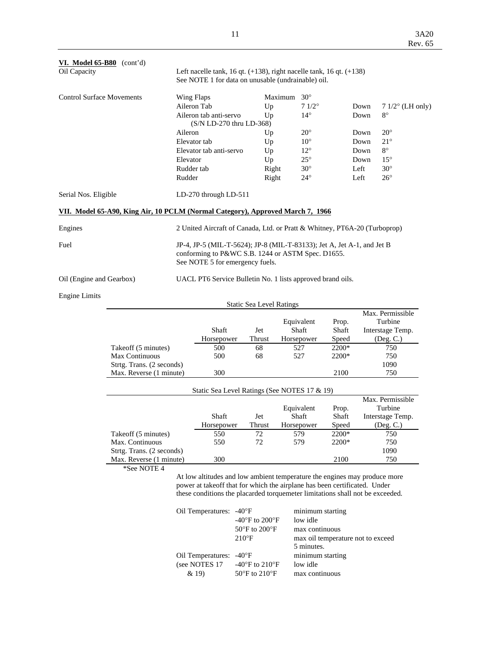| VI. Model 65-B80 (cont'd)<br>Oil Capacity |                                                                                |                                                                                                                             | Left nacelle tank, 16 qt. $(+138)$ , right nacelle tank, 16 qt. $(+138)$<br>See NOTE 1 for data on unusable (undrainable) oil. |                                 |         |              |       |      |                    |
|-------------------------------------------|--------------------------------------------------------------------------------|-----------------------------------------------------------------------------------------------------------------------------|--------------------------------------------------------------------------------------------------------------------------------|---------------------------------|---------|--------------|-------|------|--------------------|
| <b>Control Surface Movements</b>          |                                                                                | Wing Flaps                                                                                                                  |                                                                                                                                |                                 | Maximum | $30^\circ$   |       |      |                    |
|                                           |                                                                                | Aileron Tab                                                                                                                 |                                                                                                                                | Up                              |         | $71/2^\circ$ |       | Down | $71/2$ ° (LH only) |
|                                           |                                                                                |                                                                                                                             | Aileron tab anti-servo                                                                                                         | Up                              |         | $14^{\circ}$ |       | Down | $8^{\circ}$        |
|                                           |                                                                                |                                                                                                                             | (S/N LD-270 thru LD-368)                                                                                                       |                                 |         |              |       |      |                    |
|                                           |                                                                                | Aileron                                                                                                                     |                                                                                                                                | Up                              |         | $20^{\circ}$ |       | Down | $20^{\circ}$       |
|                                           |                                                                                | Elevator tab                                                                                                                |                                                                                                                                | Up                              |         | $10^{\circ}$ |       | Down | $21^{\circ}$       |
|                                           |                                                                                |                                                                                                                             | Elevator tab anti-servo                                                                                                        | Up                              |         | $12^{\circ}$ |       | Down | $8^{\circ}$        |
|                                           |                                                                                | Elevator                                                                                                                    |                                                                                                                                | Up                              |         | $25^{\circ}$ |       | Down | $15^{\circ}$       |
|                                           |                                                                                | Rudder tab                                                                                                                  |                                                                                                                                | Right                           |         | $30^\circ$   |       | Left | $30^{\circ}$       |
|                                           |                                                                                | Rudder                                                                                                                      |                                                                                                                                | Right                           |         | $24^{\circ}$ |       | Left | $26^{\circ}$       |
| Serial Nos. Eligible                      |                                                                                |                                                                                                                             | LD-270 through LD-511                                                                                                          |                                 |         |              |       |      |                    |
|                                           | VII. Model 65-A90, King Air, 10 PCLM (Normal Category), Approved March 7, 1966 |                                                                                                                             |                                                                                                                                |                                 |         |              |       |      |                    |
| Engines                                   | 2 United Aircraft of Canada, Ltd. or Pratt & Whitney, PT6A-20 (Turboprop)      |                                                                                                                             |                                                                                                                                |                                 |         |              |       |      |                    |
| Fuel                                      |                                                                                | JP-4, JP-5 (MIL-T-5624); JP-8 (MIL-T-83133); Jet A, Jet A-1, and Jet B<br>conforming to P&WC S.B. 1244 or ASTM Spec. D1655. |                                                                                                                                |                                 |         |              |       |      |                    |
|                                           | See NOTE 5 for emergency fuels.                                                |                                                                                                                             |                                                                                                                                |                                 |         |              |       |      |                    |
| Oil (Engine and Gearbox)                  |                                                                                |                                                                                                                             | UACL PT6 Service Bulletin No. 1 lists approved brand oils.                                                                     |                                 |         |              |       |      |                    |
| <b>Engine Limits</b>                      |                                                                                |                                                                                                                             |                                                                                                                                |                                 |         |              |       |      |                    |
|                                           |                                                                                |                                                                                                                             |                                                                                                                                | <b>Static Sea Level Ratings</b> |         |              |       |      |                    |
|                                           |                                                                                |                                                                                                                             |                                                                                                                                |                                 |         |              |       |      | Max. Permissible   |
|                                           |                                                                                |                                                                                                                             |                                                                                                                                |                                 |         | Equivalent   | Prop. |      | Turbine            |
|                                           |                                                                                |                                                                                                                             | Shaft                                                                                                                          | Jet                             |         | Shaft        | Shaft |      | Interstage Temp.   |
|                                           |                                                                                |                                                                                                                             | Horsepower                                                                                                                     | Thrust                          |         | Horsepower   | Speed |      | (Deg. C.)          |
|                                           | Takeoff (5 minutes)                                                            |                                                                                                                             | 500                                                                                                                            | 68                              |         | 527          | 2200* |      | 750                |
|                                           | Max Continuous                                                                 |                                                                                                                             | 500                                                                                                                            | 68                              |         | 527          | 2200* |      | 750                |
|                                           | Strtg. Trans. (2 seconds)                                                      |                                                                                                                             |                                                                                                                                |                                 |         |              |       |      | 1090               |
|                                           | Max. Reverse (1 minute)                                                        |                                                                                                                             | 300                                                                                                                            |                                 |         |              | 2100  |      | 750                |
|                                           |                                                                                |                                                                                                                             | Static Sea Level Ratings (See NOTES 17 & 19)                                                                                   |                                 |         |              |       |      |                    |
|                                           |                                                                                |                                                                                                                             |                                                                                                                                |                                 |         |              |       |      | Max. Permissible   |
|                                           |                                                                                |                                                                                                                             |                                                                                                                                |                                 |         | Equivalent   | Prop. |      | Turbine            |
|                                           |                                                                                |                                                                                                                             | Shaft                                                                                                                          | Jet                             |         | Shaft        | Shaft |      | Interstage Temp.   |
|                                           |                                                                                |                                                                                                                             | Horsepower                                                                                                                     | Thrust                          |         | Horsepower   | Speed |      | (Deg. C.)          |
|                                           | Takeoff (5 minutes)                                                            |                                                                                                                             | 550                                                                                                                            | 72                              |         | 579          | 2200* |      | 750                |
|                                           | Max. Continuous                                                                |                                                                                                                             | 550                                                                                                                            | 72                              |         | 579          | 2200* |      | 750                |
|                                           | Strtg. Trans. (2 seconds)                                                      |                                                                                                                             |                                                                                                                                |                                 |         |              |       |      | 1090               |
|                                           | Max. Reverse (1 minute)                                                        |                                                                                                                             | 300                                                                                                                            |                                 |         |              | 2100  |      | 750                |
|                                           | *See NOTE 4                                                                    |                                                                                                                             |                                                                                                                                |                                 |         |              |       |      |                    |
|                                           |                                                                                |                                                                                                                             | At low altitudes and low ambient temperature the engines may produce more                                                      |                                 |         |              |       |      |                    |
|                                           |                                                                                |                                                                                                                             | power at takeoff that for which the airplane has been certificated. Under                                                      |                                 |         |              |       |      |                    |
|                                           |                                                                                |                                                                                                                             | these conditions the placarded torquemeter limitations shall not be exceeded.                                                  |                                 |         |              |       |      |                    |

| Oil Temperatures: -40°F | -40 $\mathrm{^{\circ}F}$ to 200 $\mathrm{^{\circ}F}$<br>$50^{\circ}$ F to $200^{\circ}$ F<br>$210^{\circ}F$ | minimum starting<br>low idle<br>max continuous<br>max oil temperature not to exceed<br>5 minutes. |
|-------------------------|-------------------------------------------------------------------------------------------------------------|---------------------------------------------------------------------------------------------------|
| Oil Temperatures: -40°F |                                                                                                             | minimum starting                                                                                  |
| (see NOTES 17           | -40 $\mathrm{^{\circ}F}$ to 210 $\mathrm{^{\circ}F}$                                                        | low idle                                                                                          |
| & 19)                   | $50^{\circ}$ F to $210^{\circ}$ F                                                                           | max continuous                                                                                    |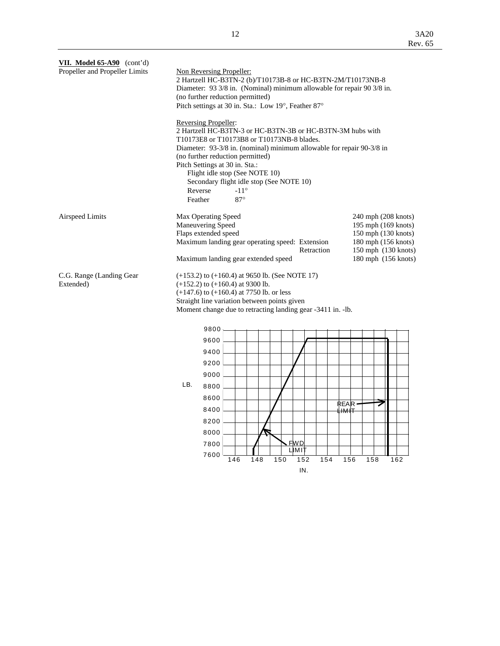| 240 mph (208 knots)<br>195 mph (169 knots)<br>150 mph (130 knots)<br>180 mph (156 knots)<br>150 mph (130 knots)<br>180 mph (156 knots) |
|----------------------------------------------------------------------------------------------------------------------------------------|
|                                                                                                                                        |
|                                                                                                                                        |
|                                                                                                                                        |
|                                                                                                                                        |
|                                                                                                                                        |
|                                                                                                                                        |
|                                                                                                                                        |
|                                                                                                                                        |
|                                                                                                                                        |
|                                                                                                                                        |
|                                                                                                                                        |
|                                                                                                                                        |
| 162                                                                                                                                    |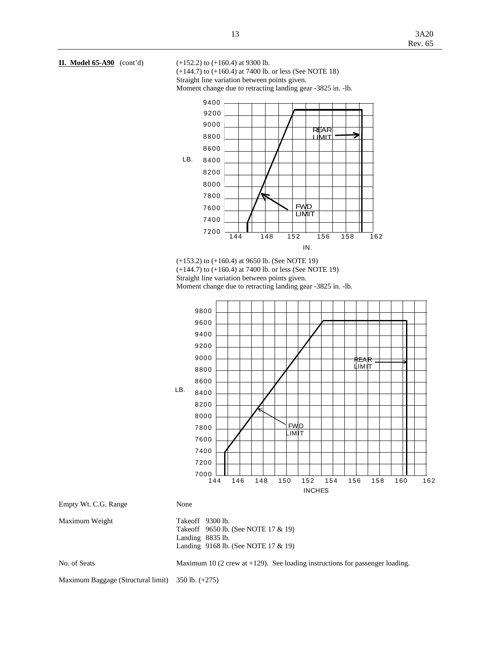

 (+144.7) to (+160.4) at 7400 lb. or less (See NOTE 18) Straight line variation between points given.

Moment change due to retracting landing gear -3825 in. -lb.



 (+153.2) to (+160.4) at 9650 lb. (See NOTE 19) (+144.7) to (+160.4) at 7400 lb. or less (See NOTE 19) Straight line variation between points given. Moment change due to retracting landing gear -3825 in. -lb.

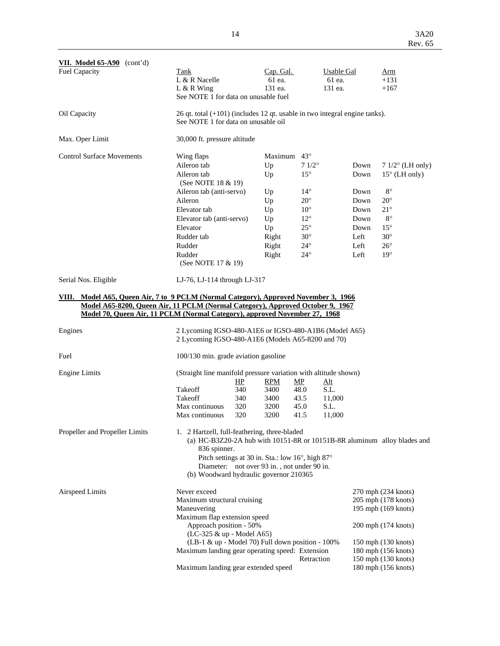| <b>VII.</b> Model $65-490$ (cont'd)                                                                                                                                    |                                                                                                                                          |                   |                                            |                |                |                     |                          |  |  |
|------------------------------------------------------------------------------------------------------------------------------------------------------------------------|------------------------------------------------------------------------------------------------------------------------------------------|-------------------|--------------------------------------------|----------------|----------------|---------------------|--------------------------|--|--|
| <b>Fuel Capacity</b>                                                                                                                                                   | Tank                                                                                                                                     | <b>Usable Gal</b> |                                            | <u>Arm</u>     |                |                     |                          |  |  |
|                                                                                                                                                                        | L & R Nacelle                                                                                                                            |                   | Cap. Gal.<br>61 ea.                        |                | 61 ea.         |                     | $+131$                   |  |  |
|                                                                                                                                                                        | $L & R$ Wing                                                                                                                             |                   | 131 ea.                                    |                | 131 ea.        |                     | $+167$                   |  |  |
|                                                                                                                                                                        | See NOTE 1 for data on unusable fuel                                                                                                     |                   |                                            |                |                |                     |                          |  |  |
| Oil Capacity                                                                                                                                                           | 26 qt. total $(+101)$ (includes 12 qt. usable in two integral engine tanks).<br>See NOTE 1 for data on unusable oil                      |                   |                                            |                |                |                     |                          |  |  |
| Max. Oper Limit                                                                                                                                                        | 30,000 ft. pressure altitude                                                                                                             |                   |                                            |                |                |                     |                          |  |  |
| <b>Control Surface Movements</b>                                                                                                                                       | Wing flaps                                                                                                                               |                   | Maximum $43^\circ$                         |                |                |                     |                          |  |  |
|                                                                                                                                                                        | Aileron tab                                                                                                                              |                   | Up                                         | $71/2^{\circ}$ |                | Down                | $71/2^{\circ}$ (LH only) |  |  |
|                                                                                                                                                                        | Aileron tab                                                                                                                              |                   | Up                                         | $15^{\circ}$   |                | Down                | $15^{\circ}$ (LH only)   |  |  |
|                                                                                                                                                                        | (See NOTE 18 & 19)                                                                                                                       |                   |                                            |                |                |                     |                          |  |  |
|                                                                                                                                                                        | Aileron tab (anti-servo)                                                                                                                 |                   | Up                                         | $14^{\circ}$   |                | Down                | $8^{\circ}$              |  |  |
|                                                                                                                                                                        | Aileron                                                                                                                                  |                   | Up                                         | $20^{\circ}$   |                | Down                | $20^{\circ}$             |  |  |
|                                                                                                                                                                        | Elevator tab                                                                                                                             |                   | Up                                         | $10^{\circ}$   |                | Down                | $21^{\circ}$             |  |  |
|                                                                                                                                                                        | Elevator tab (anti-servo)                                                                                                                |                   | Up                                         | $12^{\circ}$   |                | Down                | $8^{\circ}$              |  |  |
|                                                                                                                                                                        | Elevator                                                                                                                                 |                   | Up                                         | $25^{\circ}$   |                | Down                | $15^{\circ}$             |  |  |
|                                                                                                                                                                        | Rudder tab                                                                                                                               |                   | Right                                      | $30^\circ$     |                | Left                | $30^\circ$               |  |  |
|                                                                                                                                                                        | Rudder                                                                                                                                   |                   | Right                                      | $24^{\circ}$   |                | Left                | $26^{\circ}$             |  |  |
|                                                                                                                                                                        | Rudder<br>(See NOTE 17 & 19)                                                                                                             |                   | Right                                      | $24^{\circ}$   |                | Left                | $19^\circ$               |  |  |
| Serial Nos. Eligible                                                                                                                                                   | LJ-76, LJ-114 through LJ-317                                                                                                             |                   |                                            |                |                |                     |                          |  |  |
|                                                                                                                                                                        |                                                                                                                                          |                   |                                            |                |                |                     |                          |  |  |
| VIII. Model A65, Queen Air, 7 to 9 PCLM (Normal Category), Approved November 3, 1966<br>Model A65-8200, Queen Air, 11 PCLM (Normal Category), Approved October 9, 1967 |                                                                                                                                          |                   |                                            |                |                |                     |                          |  |  |
| Model 70, Queen Air, 11 PCLM (Normal Category), approved November 27, 1968                                                                                             |                                                                                                                                          |                   |                                            |                |                |                     |                          |  |  |
| Engines<br>2 Lycoming IGSO-480-A1E6 or IGSO-480-A1B6 (Model A65)                                                                                                       |                                                                                                                                          |                   |                                            |                |                |                     |                          |  |  |
|                                                                                                                                                                        | 2 Lycoming IGSO-480-A1E6 (Models A65-8200 and 70)                                                                                        |                   |                                            |                |                |                     |                          |  |  |
| Fuel                                                                                                                                                                   | 100/130 min. grade aviation gasoline                                                                                                     |                   |                                            |                |                |                     |                          |  |  |
| <b>Engine Limits</b>                                                                                                                                                   | (Straight line manifold pressure variation with altitude shown)                                                                          |                   |                                            |                |                |                     |                          |  |  |
|                                                                                                                                                                        |                                                                                                                                          | HP                | <b>RPM</b>                                 | MP             | <u>Alt</u>     |                     |                          |  |  |
|                                                                                                                                                                        | Takeoff<br>Takeoff                                                                                                                       | 340               | 3400                                       | 48.0           | S.L.           |                     |                          |  |  |
|                                                                                                                                                                        | Max continuous                                                                                                                           | 340<br>320        | 3400<br>3200                               | 43.5<br>45.0   | 11,000<br>S.L. |                     |                          |  |  |
|                                                                                                                                                                        | Max continuous                                                                                                                           | 320               | 3200                                       | 41.5           | 11,000         |                     |                          |  |  |
| Propeller and Propeller Limits                                                                                                                                         | 1. 2 Hartzell, full-feathering, three-bladed<br>(a) HC-B3Z20-2A hub with 10151-8R or 10151B-8R aluminum alloy blades and<br>836 spinner. |                   |                                            |                |                |                     |                          |  |  |
|                                                                                                                                                                        | Pitch settings at 30 in. Sta.: low 16°, high 87°                                                                                         |                   |                                            |                |                |                     |                          |  |  |
|                                                                                                                                                                        | Diameter: not over 93 in., not under 90 in.                                                                                              |                   |                                            |                |                |                     |                          |  |  |
|                                                                                                                                                                        | (b) Woodward hydraulic governor 210365                                                                                                   |                   |                                            |                |                |                     |                          |  |  |
| <b>Airspeed Limits</b>                                                                                                                                                 | Never exceed                                                                                                                             |                   |                                            |                |                | 270 mph (234 knots) |                          |  |  |
|                                                                                                                                                                        | Maximum structural cruising                                                                                                              |                   |                                            |                |                |                     | 205 mph (178 knots)      |  |  |
|                                                                                                                                                                        | Maneuvering                                                                                                                              |                   |                                            |                |                |                     | 195 mph (169 knots)      |  |  |
|                                                                                                                                                                        | Maximum flap extension speed                                                                                                             |                   |                                            |                |                |                     |                          |  |  |
|                                                                                                                                                                        | Approach position - 50%                                                                                                                  |                   |                                            |                |                |                     | 200 mph (174 knots)      |  |  |
|                                                                                                                                                                        | (LC-325 & up - Model A65)<br>(LB-1 & up - Model 70) Full down position - 100%                                                            |                   |                                            |                |                |                     | 150 mph (130 knots)      |  |  |
|                                                                                                                                                                        | Maximum landing gear operating speed: Extension                                                                                          |                   |                                            |                |                |                     | 180 mph (156 knots)      |  |  |
|                                                                                                                                                                        |                                                                                                                                          |                   |                                            | Retraction     |                |                     |                          |  |  |
|                                                                                                                                                                        | Maximum landing gear extended speed                                                                                                      |                   | 150 mph (130 knots)<br>180 mph (156 knots) |                |                |                     |                          |  |  |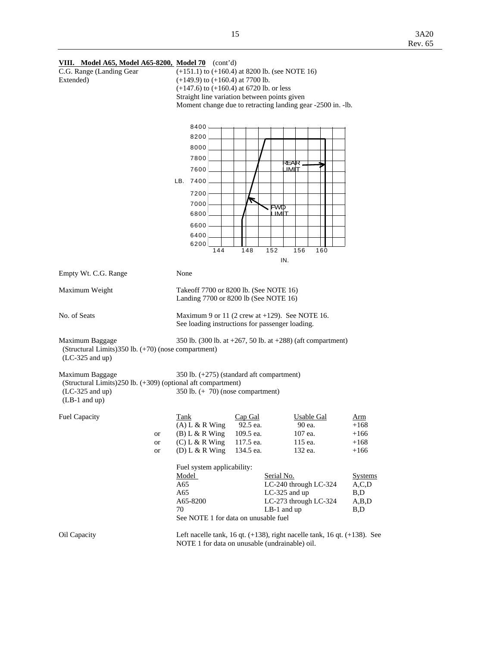## **VIII. Model A65, Model A65-8200, Model 70** (cont'd)

| <b>VIII.</b> Model A05, Model A05-0200, Model 70 (com a)                |          |                                                                                                                                  |                                        |               |                       |     |                  |  |  |  |
|-------------------------------------------------------------------------|----------|----------------------------------------------------------------------------------------------------------------------------------|----------------------------------------|---------------|-----------------------|-----|------------------|--|--|--|
| C.G. Range (Landing Gear                                                |          | $(+151.1)$ to $(+160.4)$ at 8200 lb. (see NOTE 16)<br>$(+149.9)$ to $(+160.4)$ at 7700 lb.                                       |                                        |               |                       |     |                  |  |  |  |
| Extended)                                                               |          |                                                                                                                                  |                                        |               |                       |     |                  |  |  |  |
|                                                                         |          | $(+147.6)$ to $(+160.4)$ at 6720 lb. or less<br>Straight line variation between points given                                     |                                        |               |                       |     |                  |  |  |  |
|                                                                         |          | Moment change due to retracting landing gear -2500 in. -lb.                                                                      |                                        |               |                       |     |                  |  |  |  |
|                                                                         |          |                                                                                                                                  |                                        |               |                       |     |                  |  |  |  |
|                                                                         |          |                                                                                                                                  |                                        |               |                       |     |                  |  |  |  |
|                                                                         |          | 8400                                                                                                                             |                                        |               |                       |     |                  |  |  |  |
|                                                                         |          | 8200                                                                                                                             |                                        |               |                       |     |                  |  |  |  |
|                                                                         |          | 8000                                                                                                                             |                                        |               |                       |     |                  |  |  |  |
|                                                                         |          |                                                                                                                                  |                                        |               |                       |     |                  |  |  |  |
|                                                                         |          | 7800                                                                                                                             |                                        |               | REAR.                 |     |                  |  |  |  |
|                                                                         |          | 7600                                                                                                                             |                                        |               | IMIT                  |     |                  |  |  |  |
|                                                                         |          | LB. 7400                                                                                                                         |                                        |               |                       |     |                  |  |  |  |
|                                                                         |          | 7200                                                                                                                             |                                        |               |                       |     |                  |  |  |  |
|                                                                         |          |                                                                                                                                  |                                        |               |                       |     |                  |  |  |  |
|                                                                         |          | 7000                                                                                                                             |                                        | <b>FWD</b>    |                       |     |                  |  |  |  |
|                                                                         |          | 6800                                                                                                                             |                                        | ⊔міт          |                       |     |                  |  |  |  |
|                                                                         |          | 6600                                                                                                                             |                                        |               |                       |     |                  |  |  |  |
|                                                                         |          | 6400                                                                                                                             |                                        |               |                       |     |                  |  |  |  |
|                                                                         |          | 6200                                                                                                                             |                                        |               |                       |     |                  |  |  |  |
|                                                                         |          | 144                                                                                                                              | 148                                    | 152           | 156                   | 160 |                  |  |  |  |
|                                                                         |          |                                                                                                                                  |                                        | IN.           |                       |     |                  |  |  |  |
| Empty Wt. C.G. Range                                                    |          | None                                                                                                                             |                                        |               |                       |     |                  |  |  |  |
| Maximum Weight                                                          |          |                                                                                                                                  | Takeoff 7700 or 8200 lb. (See NOTE 16) |               |                       |     |                  |  |  |  |
|                                                                         |          | Landing 7700 or 8200 lb (See NOTE 16)                                                                                            |                                        |               |                       |     |                  |  |  |  |
| No. of Seats                                                            |          | Maximum 9 or 11 (2 crew at $+129$ ). See NOTE 16.                                                                                |                                        |               |                       |     |                  |  |  |  |
|                                                                         |          | See loading instructions for passenger loading.                                                                                  |                                        |               |                       |     |                  |  |  |  |
| Maximum Baggage<br>(Structural Limits) 350 lb. (+70) (nose compartment) |          | 350 lb. (300 lb. at $+267$ , 50 lb. at $+288$ ) (aft compartment)                                                                |                                        |               |                       |     |                  |  |  |  |
| $(LC-325$ and up)                                                       |          |                                                                                                                                  |                                        |               |                       |     |                  |  |  |  |
| Maximum Baggage                                                         |          | 350 lb. (+275) (standard aft compartment)                                                                                        |                                        |               |                       |     |                  |  |  |  |
| (Structural Limits) 250 lb. (+309) (optional aft compartment)           |          |                                                                                                                                  |                                        |               |                       |     |                  |  |  |  |
| (LC-325 and up)                                                         |          | 350 lb. $(+ 70)$ (nose compartment)                                                                                              |                                        |               |                       |     |                  |  |  |  |
| $(LB-1$ and up)                                                         |          |                                                                                                                                  |                                        |               |                       |     |                  |  |  |  |
|                                                                         |          |                                                                                                                                  |                                        |               |                       |     |                  |  |  |  |
| <b>Fuel Capacity</b>                                                    |          | Tank                                                                                                                             | Cap Gal                                |               | Usable Gal            |     | Arm              |  |  |  |
|                                                                         |          | $(A)$ L & R Wing                                                                                                                 | 92.5 ea.                               |               | 90 ea.                |     | $+168$           |  |  |  |
|                                                                         | or<br>or | $(B) L & R$ Wing<br>$(C) L & R$ Wing                                                                                             | 109.5 ea.<br>117.5 ea.                 |               | 107 ea.<br>115 ea.    |     | $+166$<br>$+168$ |  |  |  |
|                                                                         | or       | (D) L & R Wing                                                                                                                   | 134.5 ea.                              |               | 132 ea.               |     | $+166$           |  |  |  |
|                                                                         |          |                                                                                                                                  |                                        |               |                       |     |                  |  |  |  |
|                                                                         |          | Fuel system applicability:                                                                                                       |                                        |               |                       |     |                  |  |  |  |
|                                                                         |          | Model                                                                                                                            |                                        | Serial No.    |                       |     | <b>Systems</b>   |  |  |  |
|                                                                         |          | A65                                                                                                                              |                                        |               | LC-240 through LC-324 |     | A, C, D          |  |  |  |
|                                                                         |          | A65                                                                                                                              |                                        |               | LC-325 and up         |     | B,D              |  |  |  |
|                                                                         |          | A65-8200                                                                                                                         |                                        |               | LC-273 through LC-324 |     | A,B,D            |  |  |  |
|                                                                         |          | 70                                                                                                                               |                                        | $LB-1$ and up |                       |     | B,D              |  |  |  |
|                                                                         |          | See NOTE 1 for data on unusable fuel                                                                                             |                                        |               |                       |     |                  |  |  |  |
| Oil Capacity                                                            |          | Left nacelle tank, 16 qt. $(+138)$ , right nacelle tank, 16 qt. $(+138)$ . See<br>NOTE 1 for data on unusable (undrainable) oil. |                                        |               |                       |     |                  |  |  |  |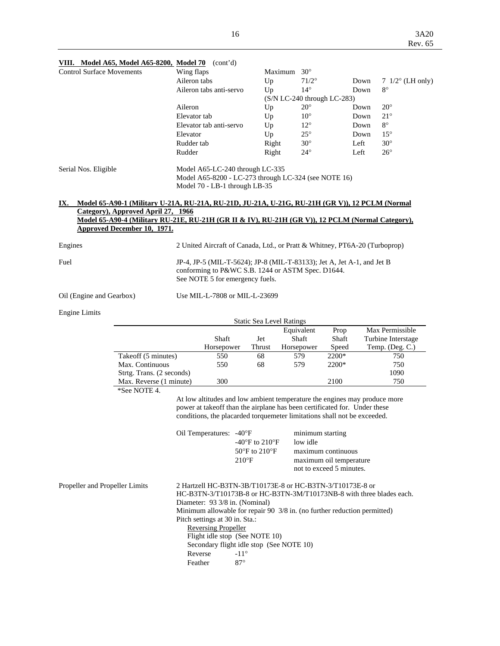| <b>Control Surface Movements</b> |                                                             |                                                                                                                                                                                          |                                                                                 |                                                                                                                                                                                                                                                                                                                              | $30^\circ$                                                                                                                                                                                                                      |                                                                                                                                                                                                                                          |                                                                                                           |                                                                                                                                                                                                                                                                                                                                                                                                                                                                                                                                                                                                                                                                                                                                                                                                                                                                                                                                                                                                                                                                  |
|----------------------------------|-------------------------------------------------------------|------------------------------------------------------------------------------------------------------------------------------------------------------------------------------------------|---------------------------------------------------------------------------------|------------------------------------------------------------------------------------------------------------------------------------------------------------------------------------------------------------------------------------------------------------------------------------------------------------------------------|---------------------------------------------------------------------------------------------------------------------------------------------------------------------------------------------------------------------------------|------------------------------------------------------------------------------------------------------------------------------------------------------------------------------------------------------------------------------------------|-----------------------------------------------------------------------------------------------------------|------------------------------------------------------------------------------------------------------------------------------------------------------------------------------------------------------------------------------------------------------------------------------------------------------------------------------------------------------------------------------------------------------------------------------------------------------------------------------------------------------------------------------------------------------------------------------------------------------------------------------------------------------------------------------------------------------------------------------------------------------------------------------------------------------------------------------------------------------------------------------------------------------------------------------------------------------------------------------------------------------------------------------------------------------------------|
|                                  |                                                             |                                                                                                                                                                                          |                                                                                 |                                                                                                                                                                                                                                                                                                                              | $71/2^\circ$                                                                                                                                                                                                                    |                                                                                                                                                                                                                                          |                                                                                                           | 7 $1/2^{\circ}$ (LH only)                                                                                                                                                                                                                                                                                                                                                                                                                                                                                                                                                                                                                                                                                                                                                                                                                                                                                                                                                                                                                                        |
|                                  |                                                             |                                                                                                                                                                                          |                                                                                 |                                                                                                                                                                                                                                                                                                                              | $14^{\circ}$                                                                                                                                                                                                                    |                                                                                                                                                                                                                                          |                                                                                                           | $8^{\circ}$                                                                                                                                                                                                                                                                                                                                                                                                                                                                                                                                                                                                                                                                                                                                                                                                                                                                                                                                                                                                                                                      |
|                                  |                                                             |                                                                                                                                                                                          |                                                                                 |                                                                                                                                                                                                                                                                                                                              |                                                                                                                                                                                                                                 |                                                                                                                                                                                                                                          |                                                                                                           | $20^{\circ}$                                                                                                                                                                                                                                                                                                                                                                                                                                                                                                                                                                                                                                                                                                                                                                                                                                                                                                                                                                                                                                                     |
|                                  |                                                             |                                                                                                                                                                                          |                                                                                 |                                                                                                                                                                                                                                                                                                                              |                                                                                                                                                                                                                                 |                                                                                                                                                                                                                                          |                                                                                                           | $21^{\circ}$                                                                                                                                                                                                                                                                                                                                                                                                                                                                                                                                                                                                                                                                                                                                                                                                                                                                                                                                                                                                                                                     |
|                                  |                                                             |                                                                                                                                                                                          |                                                                                 |                                                                                                                                                                                                                                                                                                                              |                                                                                                                                                                                                                                 |                                                                                                                                                                                                                                          |                                                                                                           | $8^{\circ}$                                                                                                                                                                                                                                                                                                                                                                                                                                                                                                                                                                                                                                                                                                                                                                                                                                                                                                                                                                                                                                                      |
|                                  |                                                             |                                                                                                                                                                                          |                                                                                 |                                                                                                                                                                                                                                                                                                                              |                                                                                                                                                                                                                                 |                                                                                                                                                                                                                                          |                                                                                                           | $15^{\circ}$                                                                                                                                                                                                                                                                                                                                                                                                                                                                                                                                                                                                                                                                                                                                                                                                                                                                                                                                                                                                                                                     |
|                                  |                                                             |                                                                                                                                                                                          |                                                                                 |                                                                                                                                                                                                                                                                                                                              |                                                                                                                                                                                                                                 |                                                                                                                                                                                                                                          |                                                                                                           | $30^\circ$                                                                                                                                                                                                                                                                                                                                                                                                                                                                                                                                                                                                                                                                                                                                                                                                                                                                                                                                                                                                                                                       |
|                                  |                                                             |                                                                                                                                                                                          |                                                                                 |                                                                                                                                                                                                                                                                                                                              |                                                                                                                                                                                                                                 |                                                                                                                                                                                                                                          |                                                                                                           | $26^{\circ}$                                                                                                                                                                                                                                                                                                                                                                                                                                                                                                                                                                                                                                                                                                                                                                                                                                                                                                                                                                                                                                                     |
|                                  |                                                             |                                                                                                                                                                                          |                                                                                 |                                                                                                                                                                                                                                                                                                                              |                                                                                                                                                                                                                                 |                                                                                                                                                                                                                                          |                                                                                                           |                                                                                                                                                                                                                                                                                                                                                                                                                                                                                                                                                                                                                                                                                                                                                                                                                                                                                                                                                                                                                                                                  |
| Serial Nos. Eligible             |                                                             |                                                                                                                                                                                          |                                                                                 |                                                                                                                                                                                                                                                                                                                              |                                                                                                                                                                                                                                 |                                                                                                                                                                                                                                          |                                                                                                           |                                                                                                                                                                                                                                                                                                                                                                                                                                                                                                                                                                                                                                                                                                                                                                                                                                                                                                                                                                                                                                                                  |
|                                  |                                                             |                                                                                                                                                                                          |                                                                                 |                                                                                                                                                                                                                                                                                                                              |                                                                                                                                                                                                                                 |                                                                                                                                                                                                                                          |                                                                                                           |                                                                                                                                                                                                                                                                                                                                                                                                                                                                                                                                                                                                                                                                                                                                                                                                                                                                                                                                                                                                                                                                  |
|                                  |                                                             |                                                                                                                                                                                          |                                                                                 |                                                                                                                                                                                                                                                                                                                              |                                                                                                                                                                                                                                 |                                                                                                                                                                                                                                          |                                                                                                           |                                                                                                                                                                                                                                                                                                                                                                                                                                                                                                                                                                                                                                                                                                                                                                                                                                                                                                                                                                                                                                                                  |
|                                  |                                                             |                                                                                                                                                                                          |                                                                                 |                                                                                                                                                                                                                                                                                                                              |                                                                                                                                                                                                                                 |                                                                                                                                                                                                                                          |                                                                                                           |                                                                                                                                                                                                                                                                                                                                                                                                                                                                                                                                                                                                                                                                                                                                                                                                                                                                                                                                                                                                                                                                  |
|                                  |                                                             |                                                                                                                                                                                          |                                                                                 |                                                                                                                                                                                                                                                                                                                              |                                                                                                                                                                                                                                 |                                                                                                                                                                                                                                          |                                                                                                           |                                                                                                                                                                                                                                                                                                                                                                                                                                                                                                                                                                                                                                                                                                                                                                                                                                                                                                                                                                                                                                                                  |
|                                  |                                                             |                                                                                                                                                                                          |                                                                                 |                                                                                                                                                                                                                                                                                                                              |                                                                                                                                                                                                                                 |                                                                                                                                                                                                                                          |                                                                                                           |                                                                                                                                                                                                                                                                                                                                                                                                                                                                                                                                                                                                                                                                                                                                                                                                                                                                                                                                                                                                                                                                  |
|                                  |                                                             |                                                                                                                                                                                          |                                                                                 |                                                                                                                                                                                                                                                                                                                              |                                                                                                                                                                                                                                 |                                                                                                                                                                                                                                          |                                                                                                           |                                                                                                                                                                                                                                                                                                                                                                                                                                                                                                                                                                                                                                                                                                                                                                                                                                                                                                                                                                                                                                                                  |
|                                  |                                                             |                                                                                                                                                                                          |                                                                                 |                                                                                                                                                                                                                                                                                                                              |                                                                                                                                                                                                                                 |                                                                                                                                                                                                                                          |                                                                                                           |                                                                                                                                                                                                                                                                                                                                                                                                                                                                                                                                                                                                                                                                                                                                                                                                                                                                                                                                                                                                                                                                  |
|                                  |                                                             |                                                                                                                                                                                          |                                                                                 |                                                                                                                                                                                                                                                                                                                              |                                                                                                                                                                                                                                 |                                                                                                                                                                                                                                          |                                                                                                           |                                                                                                                                                                                                                                                                                                                                                                                                                                                                                                                                                                                                                                                                                                                                                                                                                                                                                                                                                                                                                                                                  |
|                                  |                                                             |                                                                                                                                                                                          |                                                                                 |                                                                                                                                                                                                                                                                                                                              |                                                                                                                                                                                                                                 |                                                                                                                                                                                                                                          |                                                                                                           |                                                                                                                                                                                                                                                                                                                                                                                                                                                                                                                                                                                                                                                                                                                                                                                                                                                                                                                                                                                                                                                                  |
|                                  |                                                             |                                                                                                                                                                                          |                                                                                 |                                                                                                                                                                                                                                                                                                                              |                                                                                                                                                                                                                                 | Prop                                                                                                                                                                                                                                     |                                                                                                           | Max Permissible                                                                                                                                                                                                                                                                                                                                                                                                                                                                                                                                                                                                                                                                                                                                                                                                                                                                                                                                                                                                                                                  |
|                                  |                                                             |                                                                                                                                                                                          |                                                                                 |                                                                                                                                                                                                                                                                                                                              |                                                                                                                                                                                                                                 |                                                                                                                                                                                                                                          |                                                                                                           | Turbine Interstage<br>Temp. (Deg. C.)                                                                                                                                                                                                                                                                                                                                                                                                                                                                                                                                                                                                                                                                                                                                                                                                                                                                                                                                                                                                                            |
|                                  |                                                             |                                                                                                                                                                                          |                                                                                 |                                                                                                                                                                                                                                                                                                                              |                                                                                                                                                                                                                                 |                                                                                                                                                                                                                                          |                                                                                                           | 750                                                                                                                                                                                                                                                                                                                                                                                                                                                                                                                                                                                                                                                                                                                                                                                                                                                                                                                                                                                                                                                              |
|                                  |                                                             |                                                                                                                                                                                          |                                                                                 |                                                                                                                                                                                                                                                                                                                              |                                                                                                                                                                                                                                 |                                                                                                                                                                                                                                          |                                                                                                           | 750                                                                                                                                                                                                                                                                                                                                                                                                                                                                                                                                                                                                                                                                                                                                                                                                                                                                                                                                                                                                                                                              |
|                                  |                                                             |                                                                                                                                                                                          |                                                                                 |                                                                                                                                                                                                                                                                                                                              |                                                                                                                                                                                                                                 |                                                                                                                                                                                                                                          |                                                                                                           | 1090                                                                                                                                                                                                                                                                                                                                                                                                                                                                                                                                                                                                                                                                                                                                                                                                                                                                                                                                                                                                                                                             |
|                                  |                                                             | 300                                                                                                                                                                                      |                                                                                 |                                                                                                                                                                                                                                                                                                                              |                                                                                                                                                                                                                                 | 2100                                                                                                                                                                                                                                     |                                                                                                           | 750                                                                                                                                                                                                                                                                                                                                                                                                                                                                                                                                                                                                                                                                                                                                                                                                                                                                                                                                                                                                                                                              |
|                                  |                                                             |                                                                                                                                                                                          |                                                                                 |                                                                                                                                                                                                                                                                                                                              |                                                                                                                                                                                                                                 |                                                                                                                                                                                                                                          |                                                                                                           |                                                                                                                                                                                                                                                                                                                                                                                                                                                                                                                                                                                                                                                                                                                                                                                                                                                                                                                                                                                                                                                                  |
|                                  |                                                             |                                                                                                                                                                                          |                                                                                 |                                                                                                                                                                                                                                                                                                                              |                                                                                                                                                                                                                                 |                                                                                                                                                                                                                                          |                                                                                                           |                                                                                                                                                                                                                                                                                                                                                                                                                                                                                                                                                                                                                                                                                                                                                                                                                                                                                                                                                                                                                                                                  |
|                                  |                                                             |                                                                                                                                                                                          |                                                                                 |                                                                                                                                                                                                                                                                                                                              |                                                                                                                                                                                                                                 |                                                                                                                                                                                                                                          |                                                                                                           |                                                                                                                                                                                                                                                                                                                                                                                                                                                                                                                                                                                                                                                                                                                                                                                                                                                                                                                                                                                                                                                                  |
|                                  |                                                             |                                                                                                                                                                                          |                                                                                 |                                                                                                                                                                                                                                                                                                                              |                                                                                                                                                                                                                                 |                                                                                                                                                                                                                                          |                                                                                                           |                                                                                                                                                                                                                                                                                                                                                                                                                                                                                                                                                                                                                                                                                                                                                                                                                                                                                                                                                                                                                                                                  |
|                                  |                                                             |                                                                                                                                                                                          |                                                                                 |                                                                                                                                                                                                                                                                                                                              |                                                                                                                                                                                                                                 |                                                                                                                                                                                                                                          |                                                                                                           |                                                                                                                                                                                                                                                                                                                                                                                                                                                                                                                                                                                                                                                                                                                                                                                                                                                                                                                                                                                                                                                                  |
|                                  |                                                             |                                                                                                                                                                                          |                                                                                 |                                                                                                                                                                                                                                                                                                                              |                                                                                                                                                                                                                                 |                                                                                                                                                                                                                                          |                                                                                                           |                                                                                                                                                                                                                                                                                                                                                                                                                                                                                                                                                                                                                                                                                                                                                                                                                                                                                                                                                                                                                                                                  |
| Propeller and Propeller Limits   | Reverse                                                     |                                                                                                                                                                                          |                                                                                 |                                                                                                                                                                                                                                                                                                                              |                                                                                                                                                                                                                                 |                                                                                                                                                                                                                                          |                                                                                                           |                                                                                                                                                                                                                                                                                                                                                                                                                                                                                                                                                                                                                                                                                                                                                                                                                                                                                                                                                                                                                                                                  |
|                                  | Oil (Engine and Gearbox)<br>Max. Continuous<br>*See NOTE 4. | Aileron<br>Elevator<br>Rudder<br>Category), Approved April 27, 1966<br><b>Approved December 10, 1971.</b><br>Takeoff (5 minutes)<br>Strtg. Trans. (2 seconds)<br>Max. Reverse (1 minute) | Wing flaps<br>Aileron tabs<br>Elevator tab<br>Rudder tab<br>Shaft<br>550<br>550 | Up<br>Aileron tabs anti-servo<br>Up<br>Up<br>Up<br>Up<br>Elevator tab anti-servo<br>Model 70 - LB-1 through LB-35<br>Jet<br>Thrust<br>Horsepower<br>68<br>68<br>Oil Temperatures: -40°F<br>$210^{\circ}F$<br>Diameter: 93 3/8 in. (Nominal)<br>Pitch settings at 30 in. Sta.:<br><b>Reversing Propeller</b><br>$-11^{\circ}$ | Maximum<br>Up<br>Right<br>Right<br>Model A65-LC-240 through LC-335<br>See NOTE 5 for emergency fuels.<br>Use MIL-L-7808 or MIL-L-23699<br>-40°F to 210°F<br>$50^{\circ}$ F to $210^{\circ}$ F<br>Flight idle stop (See NOTE 10) | $20^{\circ}$<br>$10^{\circ}$<br>$12^{\circ}$<br>$25^{\circ}$<br>$30^\circ$<br>$24^{\circ}$<br><b>Static Sea Level Ratings</b><br>Equivalent<br>Shaft<br>Horsepower<br>579<br>579<br>low idle<br>Secondary flight idle stop (See NOTE 10) | conforming to P&WC S.B. 1244 or ASTM Spec. D1644.<br>Shaft<br>Speed<br>2200*<br>2200*<br>minimum starting | Down<br>Down<br>$(S/N LC-240$ through $LC-283)$<br>Down<br>Down<br>Down<br>Down<br>Left<br>Left<br>Model A65-8200 - LC-273 through LC-324 (see NOTE 16)<br><u>Model 65-A90-1 (Military U-21A, RU-21A, RU-21D, JU-21A, U-21G, RU-21H (GR V)), 12 PCLM (Normal</u><br>Model 65-A90-4 (Military RU-21E, RU-21H (GR II & IV), RU-21H (GR V)), 12 PCLM (Normal Category),<br>2 United Aircraft of Canada, Ltd., or Pratt & Whitney, PT6A-20 (Turboprop)<br>JP-4, JP-5 (MIL-T-5624); JP-8 (MIL-T-83133); Jet A, Jet A-1, and Jet B<br>At low altitudes and low ambient temperature the engines may produce more<br>power at takeoff than the airplane has been certificated for. Under these<br>conditions, the placarded torquemeter limitations shall not be exceeded.<br>maximum continuous<br>maximum oil temperature<br>not to exceed 5 minutes.<br>2 Hartzell HC-B3TN-3B/T10173E-8 or HC-B3TN-3/T10173E-8 or<br>HC-B3TN-3/T10173B-8 or HC-B3TN-3M/T10173NB-8 with three blades each.<br>Minimum allowable for repair 90 3/8 in. (no further reduction permitted) |

# **VIII. Model A65, Model A65-8200, Model 70** (cont'd)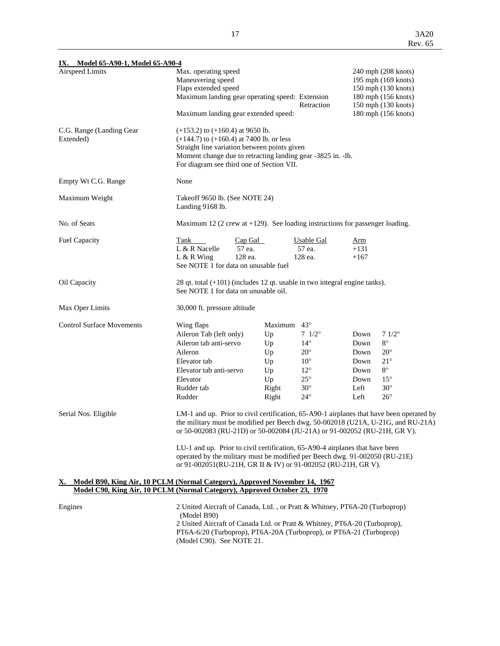| IX. Model 65-A90-1, Model 65-A90-4                                            |                                                                                                             |           |             |                 |            |                                                                                          |  |  |
|-------------------------------------------------------------------------------|-------------------------------------------------------------------------------------------------------------|-----------|-------------|-----------------|------------|------------------------------------------------------------------------------------------|--|--|
| Airspeed Limits                                                               | Max. operating speed                                                                                        |           |             |                 |            | 240 mph (208 knots)                                                                      |  |  |
|                                                                               | Maneuvering speed                                                                                           |           |             |                 |            | 195 mph (169 knots)                                                                      |  |  |
|                                                                               | Flaps extended speed                                                                                        |           |             |                 |            | 150 mph (130 knots)                                                                      |  |  |
|                                                                               | Maximum landing gear operating speed: Extension                                                             |           |             | Retraction      |            | 180 mph (156 knots)<br>150 mph (130 knots)                                               |  |  |
|                                                                               | Maximum landing gear extended speed:                                                                        |           |             |                 |            | 180 mph (156 knots)                                                                      |  |  |
| C.G. Range (Landing Gear                                                      | $(+153.2)$ to $(+160.4)$ at 9650 lb.                                                                        |           |             |                 |            |                                                                                          |  |  |
| Extended)                                                                     | $(+144.7)$ to $(+160.4)$ at 7400 lb. or less                                                                |           |             |                 |            |                                                                                          |  |  |
|                                                                               | Straight line variation between points given<br>Moment change due to retracting landing gear -3825 in. -lb. |           |             |                 |            |                                                                                          |  |  |
|                                                                               | For diagram see third one of Section VII.                                                                   |           |             |                 |            |                                                                                          |  |  |
| Empty Wt C.G. Range                                                           | None                                                                                                        |           |             |                 |            |                                                                                          |  |  |
| Maximum Weight                                                                | Takeoff 9650 lb. (See NOTE 24)                                                                              |           |             |                 |            |                                                                                          |  |  |
|                                                                               | Landing 9168 lb.                                                                                            |           |             |                 |            |                                                                                          |  |  |
| No. of Seats                                                                  | Maximum 12 (2 crew at $+129$ ). See loading instructions for passenger loading.                             |           |             |                 |            |                                                                                          |  |  |
| <b>Fuel Capacity</b>                                                          | Tank                                                                                                        | $Cap$ Gal |             | Usable Gal      | <u>Arm</u> |                                                                                          |  |  |
|                                                                               | L & R Nacelle<br>57 ea.                                                                                     |           |             | 57 ea.          | $+131$     |                                                                                          |  |  |
|                                                                               | $L & R$ Wing                                                                                                | 128 ea.   |             | 128 ea.         | $+167$     |                                                                                          |  |  |
|                                                                               | See NOTE 1 for data on unusable fuel                                                                        |           |             |                 |            |                                                                                          |  |  |
| Oil Capacity                                                                  | 28 qt. total $(+101)$ (includes 12 qt. usable in two integral engine tanks).                                |           |             |                 |            |                                                                                          |  |  |
|                                                                               | See NOTE 1 for data on unusable oil.                                                                        |           |             |                 |            |                                                                                          |  |  |
| Max Oper Limits                                                               | 30,000 ft. pressure altitude                                                                                |           |             |                 |            |                                                                                          |  |  |
| <b>Control Surface Movements</b>                                              | Wing flaps                                                                                                  |           | Maximum 43° |                 |            |                                                                                          |  |  |
|                                                                               | Aileron Tab (left only)                                                                                     |           | Up          | $7 \frac{1}{2}$ | Down       | $71/2^{\circ}$                                                                           |  |  |
|                                                                               | Aileron tab anti-servo                                                                                      |           | Up          | $14^{\circ}$    | Down       | $8^{\circ}$                                                                              |  |  |
|                                                                               | Aileron                                                                                                     |           | Up          | $20^{\circ}$    | Down       | $20^{\circ}$                                                                             |  |  |
|                                                                               | Elevator tab                                                                                                |           | Up          | $10^{\circ}$    | Down       | $21^{\circ}$                                                                             |  |  |
|                                                                               | Elevator tab anti-servo                                                                                     |           | Up          | $12^{\circ}$    | Down       | $8^{\circ}$                                                                              |  |  |
|                                                                               | Elevator                                                                                                    |           | Up          | $25^{\circ}$    | Down       | $15^{\circ}$                                                                             |  |  |
|                                                                               | Rudder tab                                                                                                  |           | Right       | $30^\circ$      | Left       | $30^\circ$                                                                               |  |  |
|                                                                               | Rudder                                                                                                      |           | Right       | $24^{\circ}$    | Left       | $26^{\circ}$                                                                             |  |  |
| Serial Nos. Eligible                                                          |                                                                                                             |           |             |                 |            | LM-1 and up. Prior to civil certification, 65-A90-1 airplanes that have been operated by |  |  |
|                                                                               | the military must be modified per Beech dwg. 50-002018 (U21A, U-21G, and RU-21A)                            |           |             |                 |            |                                                                                          |  |  |
|                                                                               | or 50-002083 (RU-21D) or 50-002084 (JU-21A) or 91-002052 (RU-21H, GR V).                                    |           |             |                 |            |                                                                                          |  |  |
|                                                                               | LU-1 and up. Prior to civil certification, 65-A90-4 airplanes that have been                                |           |             |                 |            |                                                                                          |  |  |
|                                                                               | operated by the military must be modified per Beech dwg. 91-002050 (RU-21E)                                 |           |             |                 |            |                                                                                          |  |  |
|                                                                               | or 91-002051(RU-21H, GR II & IV) or 91-002052 (RU-21H, GR V).                                               |           |             |                 |            |                                                                                          |  |  |
| X. Model B90, King Air, 10 PCLM (Normal Category), Approved November 14, 1967 |                                                                                                             |           |             |                 |            |                                                                                          |  |  |
| Model C90, King Air, 10 PCLM (Normal Category), Approved October 23, 1970     |                                                                                                             |           |             |                 |            |                                                                                          |  |  |
| Engines                                                                       | 2 United Aircraft of Canada, Ltd., or Pratt & Whitney, PT6A-20 (Turboprop)                                  |           |             |                 |            |                                                                                          |  |  |
|                                                                               | (Model B90)<br>2 United Aircraft of Canada Ltd. or Pratt & Whitney, PT6A-20 (Turboprop),                    |           |             |                 |            |                                                                                          |  |  |
|                                                                               |                                                                                                             |           |             |                 |            |                                                                                          |  |  |

 PT6A-6/20 (Turboprop), PT6A-20A (Turboprop), or PT6A-21 (Turboprop) (Model C90). See NOTE 21.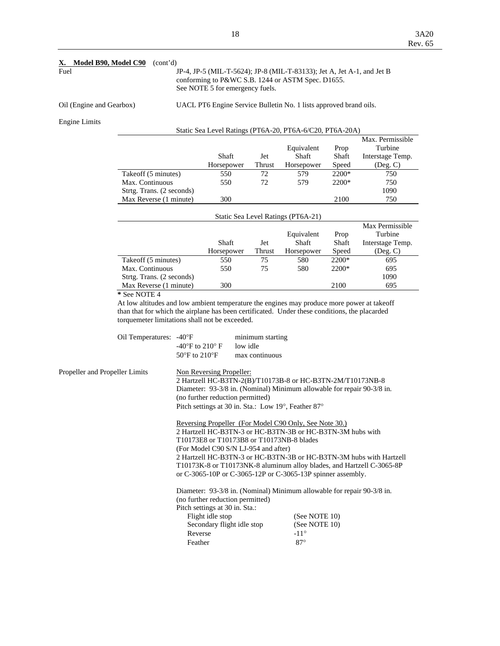## **X. Model B90, Model C90** (cont'd)

#### Fuel JP-4, JP-5 (MIL-T-5624); JP-8 (MIL-T-83133); Jet A, Jet A-1, and Jet B conforming to P&WC S.B. 1244 or ASTM Spec. D1655. See NOTE 5 for emergency fuels.

Oil (Engine and Gearbox) UACL PT6 Engine Service Bulletin No. 1 lists approved brand oils.

Engine Limits

| Static Sea Level Ratings (PT6A-20, PT6A-6/C20, PT6A-20A) |
|----------------------------------------------------------|
|----------------------------------------------------------|

|                           |            |               |            |         | Max. Permissible |
|---------------------------|------------|---------------|------------|---------|------------------|
|                           |            |               | Equivalent | Prop    | Turbine          |
|                           | Shaft      | Jet           | Shaft      | Shaft   | Interstage Temp. |
|                           | Horsepower | <b>Thrust</b> | Horsepower | Speed   | $($ Deg. C $)$   |
| Takeoff (5 minutes)       | 550        | 72            | 579        | $2200*$ | 750              |
| Max. Continuous           | 550        | 72            | 579        | $2200*$ | 750              |
| Strtg. Trans. (2 seconds) |            |               |            |         | 1090             |
| Max Reverse (1 minute)    | 300        |               |            | 2100    | 750              |

| Static Sea Level Ratings (PT6A-21) |            |               |            |         |                  |  |  |
|------------------------------------|------------|---------------|------------|---------|------------------|--|--|
|                                    |            |               |            |         | Max Permissible  |  |  |
|                                    |            |               | Equivalent | Prop    | Turbine          |  |  |
|                                    | Shaft      | Jet           | Shaft      | Shaft   | Interstage Temp. |  |  |
|                                    | Horsepower | <b>Thrust</b> | Horsepower | Speed   | $($ Deg. $C)$    |  |  |
| Takeoff (5 minutes)                | 550        | 75            | 580        | $2200*$ | 695              |  |  |
| Max. Continuous                    | 550        | 75            | 580        | 2200*   | 695              |  |  |
| Strtg. Trans. (2 seconds)          |            |               |            |         | 1090             |  |  |
| Max Reverse (1 minute)             | 300        |               |            | 2100    | 695              |  |  |

 **\*** See NOTE 4

 At low altitudes and low ambient temperature the engines may produce more power at takeoff than that for which the airplane has been certificated. Under these conditions, the placarded torquemeter limitations shall not be exceeded.

| Oil Temperatures: -40°F |                                                      | minimum starting |
|-------------------------|------------------------------------------------------|------------------|
|                         | -40 $\mathrm{^{\circ}F}$ to 210 $\mathrm{^{\circ}F}$ | low idle         |
|                         | 50 $\mathrm{^{\circ}F}$ to 210 $\mathrm{^{\circ}F}$  | max continuous   |

Propeller and Propeller Limits Non Reversing Propeller:

 2 Hartzell HC-B3TN-2(B)/T10173B-8 or HC-B3TN-2M/T10173NB-8 Diameter: 93-3/8 in. (Nominal) Minimum allowable for repair 90-3/8 in. (no further reduction permitted) Pitch settings at 30 in. Sta.: Low 19°, Feather 87°

 Reversing Propeller (For Model C90 Only, See Note 30.) 2 Hartzell HC-B3TN-3 or HC-B3TN-3B or HC-B3TN-3M hubs with T10173E8 or T10173B8 or T10173NB-8 blades (For Model C90 S/N LJ-954 and after) 2 Hartzell HC-B3TN-3 or HC-B3TN-3B or HC-B3TN-3M hubs with Hartzell T10173K-8 or T10173NK-8 aluminum alloy blades, and Hartzell C-3065-8P or C-3065-10P or C-3065-12P or C-3065-13P spinner assembly.

 Diameter: 93-3/8 in. (Nominal) Minimum allowable for repair 90-3/8 in. (no further reduction permitted) Pitch settings at 30 in. Sta.:

| Flight idle stop           | (See NOTE $10$ ) |
|----------------------------|------------------|
| Secondary flight idle stop | (See NOTE $10$ ) |
| Reverse                    | $-11^{\circ}$    |
| Feather                    | $87^\circ$       |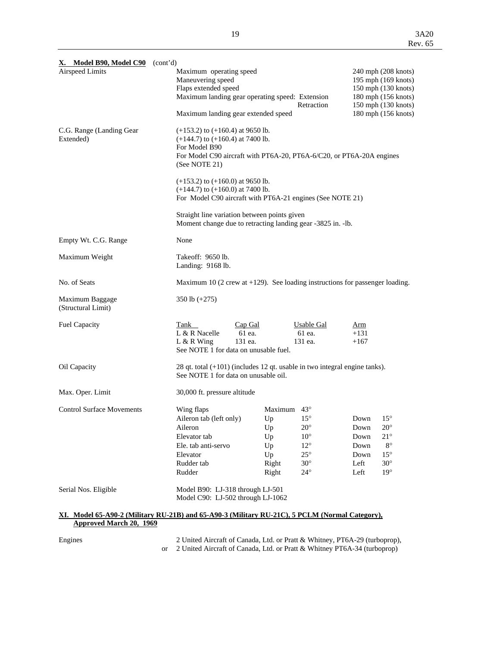| X. Model B90, Model C90                                                                                  | (cont'd)                                                                                                                    |                                                                                                                                                      |                                                                                                            |                                                      |                                                                                                         |  |
|----------------------------------------------------------------------------------------------------------|-----------------------------------------------------------------------------------------------------------------------------|------------------------------------------------------------------------------------------------------------------------------------------------------|------------------------------------------------------------------------------------------------------------|------------------------------------------------------|---------------------------------------------------------------------------------------------------------|--|
| Airspeed Limits                                                                                          | Maneuvering speed<br>Flaps extended speed                                                                                   | Maximum operating speed<br>Maximum landing gear operating speed: Extension<br>Retraction<br>Maximum landing gear extended speed                      |                                                                                                            |                                                      |                                                                                                         |  |
| C.G. Range (Landing Gear)<br>Extended)                                                                   | For Model B90<br>(See NOTE 21)                                                                                              | $(+153.2)$ to $(+160.4)$ at 9650 lb.<br>$(+144.7)$ to $(+160.4)$ at 7400 lb.<br>For Model C90 aircraft with PT6A-20, PT6A-6/C20, or PT6A-20A engines |                                                                                                            |                                                      |                                                                                                         |  |
|                                                                                                          |                                                                                                                             | $(+153.2)$ to $(+160.0)$ at 9650 lb.<br>$(+144.7)$ to $(+160.0)$ at 7400 lb.<br>For Model C90 aircraft with PT6A-21 engines (See NOTE 21)            |                                                                                                            |                                                      |                                                                                                         |  |
|                                                                                                          | Straight line variation between points given<br>Moment change due to retracting landing gear -3825 in. -lb.                 |                                                                                                                                                      |                                                                                                            |                                                      |                                                                                                         |  |
| Empty Wt. C.G. Range                                                                                     | None                                                                                                                        |                                                                                                                                                      |                                                                                                            |                                                      |                                                                                                         |  |
| Maximum Weight                                                                                           | Takeoff: 9650 lb.<br>Landing: 9168 lb.                                                                                      |                                                                                                                                                      |                                                                                                            |                                                      |                                                                                                         |  |
| No. of Seats                                                                                             | Maximum 10 (2 crew at $+129$ ). See loading instructions for passenger loading.                                             |                                                                                                                                                      |                                                                                                            |                                                      |                                                                                                         |  |
| Maximum Baggage<br>(Structural Limit)                                                                    | 350 lb $(+275)$                                                                                                             |                                                                                                                                                      |                                                                                                            |                                                      |                                                                                                         |  |
| Fuel Capacity                                                                                            | Tank<br>L & R Nacelle<br>$L & R$ Wing<br>See NOTE 1 for data on unusable fuel.                                              | Cap Gal<br>61 ea.<br>131 ea.                                                                                                                         | Usable Gal<br>61 ea.<br>131 ea.                                                                            | Arm<br>$+131$<br>$+167$                              |                                                                                                         |  |
| Oil Capacity                                                                                             | 28 qt. total $(+101)$ (includes 12 qt. usable in two integral engine tanks).<br>See NOTE 1 for data on unusable oil.        |                                                                                                                                                      |                                                                                                            |                                                      |                                                                                                         |  |
| Max. Oper. Limit                                                                                         | 30,000 ft. pressure altitude                                                                                                |                                                                                                                                                      |                                                                                                            |                                                      |                                                                                                         |  |
| <b>Control Surface Movements</b>                                                                         | Wing flaps<br>Aileron tab (left only)<br>Aileron<br>Elevator tab<br>Ele. tab anti-servo<br>Elevator<br>Rudder tab<br>Rudder | Maximum $43^{\circ}$<br>Up<br>Up<br>Up<br>Up<br>Up<br>Right<br>Right                                                                                 | $15^{\circ}$<br>$20^{\circ}$<br>$10^{\circ}$<br>$12^{\circ}$<br>$25^{\circ}$<br>$30^\circ$<br>$24^{\circ}$ | Down<br>Down<br>Down<br>Down<br>Down<br>Left<br>Left | $15^{\circ}$<br>$20^{\circ}$<br>$21^{\circ}$<br>$8^{\circ}$<br>$15^{\circ}$<br>$30^\circ$<br>$19^\circ$ |  |
| Serial Nos. Eligible                                                                                     |                                                                                                                             | Model B90: LJ-318 through LJ-501<br>Model C90: LJ-502 through LJ-1062                                                                                |                                                                                                            |                                                      |                                                                                                         |  |
| $\overline{X}I$ Model 65-A90-2 (Military RIL21R) and 65-A90-3 (Military RIL21C) 5 PCLM (Normal Category) |                                                                                                                             |                                                                                                                                                      |                                                                                                            |                                                      |                                                                                                         |  |

#### **XI. Model 65-A90-2 (Military RU-21B) and 65-A90-3 (Military RU-21C), 5 PCLM (Normal Category), Approved March 20, 1969**

Engines 2 United Aircraft of Canada, Ltd. or Pratt & Whitney, PT6A-29 (turboprop), or 2 United Aircraft of Canada, Ltd. or Pratt & Whitney PT6A-34 (turboprop)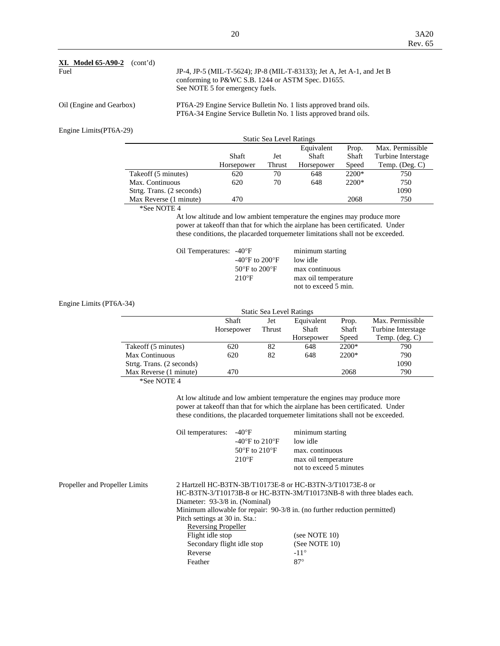| <b>XI.</b> Model 65-A90-2<br>(cont'd)<br>Fuel | JP-4, JP-5 (MIL-T-5624); JP-8 (MIL-T-83133); Jet A, Jet A-1, and Jet B<br>conforming to P&WC S.B. 1244 or ASTM Spec. D1655.<br>See NOTE 5 for emergency fuels. |
|-----------------------------------------------|----------------------------------------------------------------------------------------------------------------------------------------------------------------|
| Oil (Engine and Gearbox)                      | PT6A-29 Engine Service Bulletin No. 1 lists approved brand oils.<br>PT6A-34 Engine Service Bulletin No. 1 lists approved brand oils.                           |
| Engine Limits(PT6A-29)                        |                                                                                                                                                                |

| -- -<br><b>Static Sea Level Ratings</b> |            |        |                     |                |                                        |  |
|-----------------------------------------|------------|--------|---------------------|----------------|----------------------------------------|--|
|                                         | Shaft      | Jet    | Equivalent<br>Shaft | Prop.<br>Shaft | Max. Permissible<br>Turbine Interstage |  |
|                                         | Horsepower | Thrust | Horsepower          | Speed          | Temp. $(Deg. C)$                       |  |
| Takeoff (5 minutes)                     | 620        | 70     | 648                 | $2200*$        | 750                                    |  |
| Max. Continuous                         | 620        | 70     | 648                 | 2200*          | 750                                    |  |
| Strtg. Trans. (2 seconds)               |            |        |                     |                | 1090                                   |  |
| Max Reverse (1 minute)                  | 470        |        |                     | 2068           | 750                                    |  |

\*See NOTE 4

 At low altitude and low ambient temperature the engines may produce more power at takeoff than that for which the airplane has been certificated. Under these conditions, the placarded torquemeter limitations shall not be exceeded.

| Oil Temperatures: -40°F |                                                     | minimum starting     |
|-------------------------|-----------------------------------------------------|----------------------|
|                         | $-40^{\circ}$ F to 200 $^{\circ}$ F                 | low idle             |
|                         | 50 $\mathrm{^{\circ}F}$ to 200 $\mathrm{^{\circ}F}$ | max continuous       |
|                         | $210^{\circ}F$                                      | max oil temperature  |
|                         |                                                     | not to exceed 5 min. |

Engine Limits (PT6A-34)

| <b>Static Sea Level Ratings</b> |                                                                |               |            |         |                         |
|---------------------------------|----------------------------------------------------------------|---------------|------------|---------|-------------------------|
|                                 | Max. Permissible<br><b>Shaft</b><br>Equivalent<br>Prop.<br>Jet |               |            |         |                         |
|                                 | Horsepower                                                     | <b>Thrust</b> | Shaft      | Shaft   | Turbine Interstage      |
|                                 |                                                                |               | Horsepower | Speed   | Temp. $(\text{deg. C})$ |
| Takeoff (5 minutes)             | 620                                                            | 82            | 648        | $2200*$ | 790                     |
| Max Continuous                  | 620                                                            | 82            | 648        | $2200*$ | 790                     |
| Strtg. Trans. (2 seconds)       |                                                                |               |            |         | 1090                    |
| Max Reverse (1 minute)          | 470                                                            |               |            | 2068    | 790                     |
| $100 - 370000 + 4$              |                                                                |               |            |         |                         |

\*See NOTE 4

 At low altitude and low ambient temperature the engines may produce more power at takeoff than that for which the airplane has been certificated. Under these conditions, the placarded torquemeter limitations shall not be exceeded.

|                                | Oil temperatures:                                                         | $-40^{\circ}F$<br>-40 $\mathrm{^{\circ}F}$ to 210 $\mathrm{^{\circ}F}$<br>$50^{\circ}$ F to $210^{\circ}$ F<br>$210^{\circ}F$ | minimum starting<br>low idle<br>max. continuous<br>max oil temperature<br>not to exceed 5 minutes                                 |  |  |  |
|--------------------------------|---------------------------------------------------------------------------|-------------------------------------------------------------------------------------------------------------------------------|-----------------------------------------------------------------------------------------------------------------------------------|--|--|--|
| Propeller and Propeller Limits |                                                                           |                                                                                                                               | 2 Hartzell HC-B3TN-3B/T10173E-8 or HC-B3TN-3/T10173E-8 or<br>HC-B3TN-3/T10173B-8 or HC-B3TN-3M/T10173NB-8 with three blades each. |  |  |  |
|                                | Diameter: 93-3/8 in. (Nominal)                                            |                                                                                                                               |                                                                                                                                   |  |  |  |
|                                | Minimum allowable for repair: 90-3/8 in. (no further reduction permitted) |                                                                                                                               |                                                                                                                                   |  |  |  |
|                                | Pitch settings at 30 in. Sta.:                                            |                                                                                                                               |                                                                                                                                   |  |  |  |
|                                | Reversing Propeller                                                       |                                                                                                                               |                                                                                                                                   |  |  |  |
|                                | Flight idle stop                                                          |                                                                                                                               | (see NOTE $10$ )                                                                                                                  |  |  |  |
|                                | Secondary flight idle stop                                                |                                                                                                                               | (See NOTE $10$ )                                                                                                                  |  |  |  |
|                                | Reverse                                                                   |                                                                                                                               | $-11^{\circ}$                                                                                                                     |  |  |  |
|                                | Feather                                                                   |                                                                                                                               | $87^\circ$                                                                                                                        |  |  |  |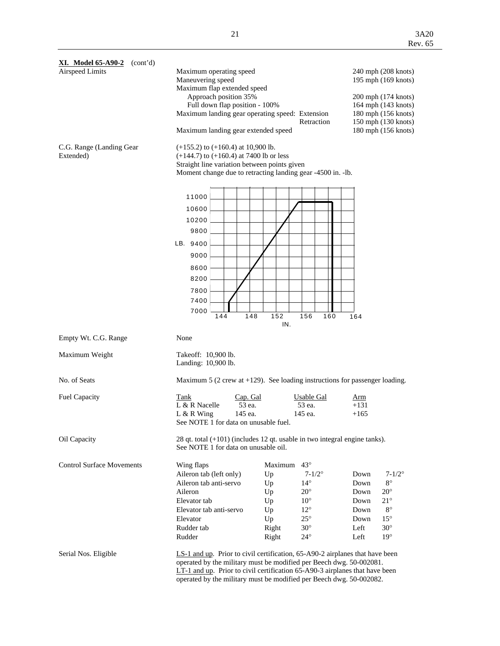| <b>XI.</b> Model $65 - A90 - 2$ (cont'd) |                                                                                                                                                |                                                                                                                                                                                                                                                                                                             |                           |  |  |
|------------------------------------------|------------------------------------------------------------------------------------------------------------------------------------------------|-------------------------------------------------------------------------------------------------------------------------------------------------------------------------------------------------------------------------------------------------------------------------------------------------------------|---------------------------|--|--|
| Airspeed Limits                          | Maximum operating speed                                                                                                                        |                                                                                                                                                                                                                                                                                                             | 240 mph (208 knots)       |  |  |
|                                          | Maneuvering speed                                                                                                                              |                                                                                                                                                                                                                                                                                                             | 195 mph (169 knots)       |  |  |
|                                          | Maximum flap extended speed                                                                                                                    |                                                                                                                                                                                                                                                                                                             |                           |  |  |
|                                          | Approach position 35%                                                                                                                          |                                                                                                                                                                                                                                                                                                             | 200 mph (174 knots)       |  |  |
|                                          | Full down flap position - 100%                                                                                                                 |                                                                                                                                                                                                                                                                                                             | 164 mph (143 knots)       |  |  |
|                                          | Maximum landing gear operating speed: Extension                                                                                                |                                                                                                                                                                                                                                                                                                             | 180 mph (156 knots)       |  |  |
|                                          |                                                                                                                                                | Retraction                                                                                                                                                                                                                                                                                                  | 150 mph (130 knots)       |  |  |
|                                          | Maximum landing gear extended speed                                                                                                            |                                                                                                                                                                                                                                                                                                             | 180 mph (156 knots)       |  |  |
| C.G. Range (Landing Gear<br>Extended)    | $(+155.2)$ to $(+160.4)$ at 10,900 lb.<br>$(+144.7)$ to $(+160.4)$ at 7400 lb or less<br>Straight line variation between points given<br>11000 | Moment change due to retracting landing gear -4500 in. -lb.                                                                                                                                                                                                                                                 |                           |  |  |
|                                          |                                                                                                                                                |                                                                                                                                                                                                                                                                                                             |                           |  |  |
|                                          | 10600                                                                                                                                          |                                                                                                                                                                                                                                                                                                             |                           |  |  |
|                                          | 10200                                                                                                                                          |                                                                                                                                                                                                                                                                                                             |                           |  |  |
|                                          | 9800                                                                                                                                           |                                                                                                                                                                                                                                                                                                             |                           |  |  |
|                                          |                                                                                                                                                |                                                                                                                                                                                                                                                                                                             |                           |  |  |
|                                          | LB. 9400                                                                                                                                       |                                                                                                                                                                                                                                                                                                             |                           |  |  |
|                                          | 9000                                                                                                                                           |                                                                                                                                                                                                                                                                                                             |                           |  |  |
|                                          | 8600                                                                                                                                           |                                                                                                                                                                                                                                                                                                             |                           |  |  |
|                                          | 8200                                                                                                                                           |                                                                                                                                                                                                                                                                                                             |                           |  |  |
|                                          |                                                                                                                                                |                                                                                                                                                                                                                                                                                                             |                           |  |  |
|                                          | 7800                                                                                                                                           |                                                                                                                                                                                                                                                                                                             |                           |  |  |
|                                          | 7400                                                                                                                                           |                                                                                                                                                                                                                                                                                                             |                           |  |  |
|                                          | 7000<br>148<br>144                                                                                                                             | 152<br>156<br>160                                                                                                                                                                                                                                                                                           | 164                       |  |  |
|                                          |                                                                                                                                                | IN.                                                                                                                                                                                                                                                                                                         |                           |  |  |
|                                          |                                                                                                                                                |                                                                                                                                                                                                                                                                                                             |                           |  |  |
| Empty Wt. C.G. Range                     | None                                                                                                                                           |                                                                                                                                                                                                                                                                                                             |                           |  |  |
| Maximum Weight                           | Takeoff: 10,900 lb.<br>Landing: 10,900 lb.                                                                                                     |                                                                                                                                                                                                                                                                                                             |                           |  |  |
| No. of Seats                             |                                                                                                                                                | Maximum 5 (2 crew at $+129$ ). See loading instructions for passenger loading.                                                                                                                                                                                                                              |                           |  |  |
| Fuel Capacity                            | Tank<br>Cap. Gal                                                                                                                               | <b>Usable Gal</b>                                                                                                                                                                                                                                                                                           | <u>Arm</u>                |  |  |
|                                          | L & R Nacelle<br>53 ea.                                                                                                                        | 53 ea.                                                                                                                                                                                                                                                                                                      | $+131$                    |  |  |
|                                          | $L & R$ Wing<br>145 ea.                                                                                                                        | 145 ea.                                                                                                                                                                                                                                                                                                     | $+165$                    |  |  |
|                                          | See NOTE 1 for data on unusable fuel.                                                                                                          |                                                                                                                                                                                                                                                                                                             |                           |  |  |
| Oil Capacity                             | See NOTE 1 for data on unusable oil.                                                                                                           | 28 qt. total $(+101)$ (includes 12 qt. usable in two integral engine tanks).                                                                                                                                                                                                                                |                           |  |  |
| <b>Control Surface Movements</b>         | Wing flaps                                                                                                                                     | $43^{\circ}$<br>Maximum                                                                                                                                                                                                                                                                                     |                           |  |  |
|                                          | Aileron tab (left only)                                                                                                                        | $7 - 1/2^{\circ}$<br>Up                                                                                                                                                                                                                                                                                     | $7 - 1/2^{\circ}$<br>Down |  |  |
|                                          | Aileron tab anti-servo                                                                                                                         | $14^{\circ}$<br>Up                                                                                                                                                                                                                                                                                          | $8^{\circ}$<br>Down       |  |  |
|                                          | Aileron                                                                                                                                        | $20^{\circ}$<br>Up                                                                                                                                                                                                                                                                                          | $20^{\circ}$<br>Down      |  |  |
|                                          | Elevator tab                                                                                                                                   | $10^{\circ}$<br>Up                                                                                                                                                                                                                                                                                          | $21^{\circ}$<br>Down      |  |  |
|                                          | Elevator tab anti-servo                                                                                                                        | $12^{\circ}$<br>Up                                                                                                                                                                                                                                                                                          | $8^{\circ}$<br>Down       |  |  |
|                                          | Elevator                                                                                                                                       | $25^{\circ}$<br>Up                                                                                                                                                                                                                                                                                          | $15^{\circ}$<br>Down      |  |  |
|                                          | Rudder tab                                                                                                                                     | Right<br>$30^\circ$                                                                                                                                                                                                                                                                                         | $30^\circ$<br>Left        |  |  |
|                                          | Rudder                                                                                                                                         | Right<br>$24^{\circ}$                                                                                                                                                                                                                                                                                       | $19^{\circ}$<br>Left      |  |  |
| Serial Nos. Eligible                     |                                                                                                                                                | LS-1 and up. Prior to civil certification, 65-A90-2 airplanes that have been<br>operated by the military must be modified per Beech dwg. 50-002081.<br>$LT-1$ and up. Prior to civil certification 65-A90-3 airplanes that have been<br>operated by the military must be modified per Beech dwg. 50-002082. |                           |  |  |
|                                          |                                                                                                                                                |                                                                                                                                                                                                                                                                                                             |                           |  |  |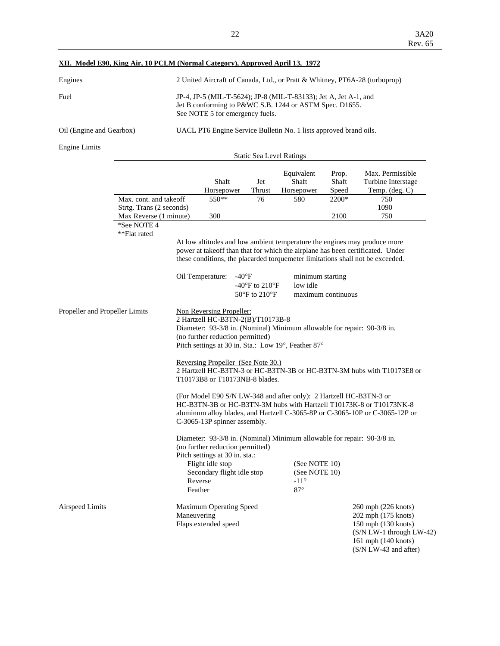## **XII. Model E90, King Air, 10 PCLM (Normal Category), Approved April 13, 1972**

| Engines                  | 2 United Aircraft of Canada, Ltd., or Pratt & Whitney, PT6A-28 (turboprop)                                                                                     |
|--------------------------|----------------------------------------------------------------------------------------------------------------------------------------------------------------|
| Fuel                     | JP-4, JP-5 (MIL-T-5624); JP-8 (MIL-T-83133); Jet A, Jet A-1, and<br>Jet B conforming to P&WC S.B. 1244 or ASTM Spec. D1655.<br>See NOTE 5 for emergency fuels. |
| Oil (Engine and Gearbox) | UACL PT6 Engine Service Bulletin No. 1 lists approved brand oils.                                                                                              |

Engine Limits

Static Sea Level Ratings

|                          | Shaft<br>Horsepower | Jet<br>Thrust | Equivalent<br>Shaft<br>Horsepower | Prop.<br>Shaft<br>Speed | Max. Permissible<br>Turbine Interstage<br>Temp. $(\text{deg. C})$ |
|--------------------------|---------------------|---------------|-----------------------------------|-------------------------|-------------------------------------------------------------------|
| Max. cont. and take off  | $550**$             | 76            | 580                               | $2200*$                 | 750                                                               |
| Strtg. Trans (2 seconds) |                     |               |                                   |                         | 1090                                                              |
| Max Reverse (1 minute)   | 300                 |               |                                   | 2100                    | 750                                                               |

\*See NOTE 4

\*\*Flat rated

 At low altitudes and low ambient temperature the engines may produce more power at takeoff than that for which the airplane has been certificated. Under these conditions, the placarded torquemeter limitations shall not be exceeded.

|                                | Oil Temperature:                                                                                                                                                                                                                                          | $-40^{\circ}F$<br>-40 $\mathrm{^{\circ}F}$ to 210 $\mathrm{^{\circ}F}$<br>$50^{\circ}$ F to $210^{\circ}$ F                                                                                                                         | minimum starting<br>low idle<br>maximum continuous                                                                                       |                                                                                                                                                   |  |  |  |
|--------------------------------|-----------------------------------------------------------------------------------------------------------------------------------------------------------------------------------------------------------------------------------------------------------|-------------------------------------------------------------------------------------------------------------------------------------------------------------------------------------------------------------------------------------|------------------------------------------------------------------------------------------------------------------------------------------|---------------------------------------------------------------------------------------------------------------------------------------------------|--|--|--|
| Propeller and Propeller Limits |                                                                                                                                                                                                                                                           | Non Reversing Propeller:<br>2 Hartzell HC-B3TN-2(B)/T10173B-8<br>Diameter: 93-3/8 in. (Nominal) Minimum allowable for repair: 90-3/8 in.<br>(no further reduction permitted)<br>Pitch settings at 30 in. Sta.: Low 19°, Feather 87° |                                                                                                                                          |                                                                                                                                                   |  |  |  |
|                                |                                                                                                                                                                                                                                                           | Reversing Propeller (See Note 30.)<br>2 Hartzell HC-B3TN-3 or HC-B3TN-3B or HC-B3TN-3M hubs with T10173E8 or<br>T10173B8 or T10173NB-8 blades.                                                                                      |                                                                                                                                          |                                                                                                                                                   |  |  |  |
|                                | (For Model E90 S/N LW-348 and after only): 2 Hartzell HC-B3TN-3 or<br>HC-B3TN-3B or HC-B3TN-3M hubs with Hartzell T10173K-8 or T10173NK-8<br>aluminum alloy blades, and Hartzell C-3065-8P or C-3065-10P or C-3065-12P or<br>C-3065-13P spinner assembly. |                                                                                                                                                                                                                                     |                                                                                                                                          |                                                                                                                                                   |  |  |  |
|                                | (no further reduction permitted)<br>Pitch settings at 30 in. sta.:<br>Flight idle stop<br>Secondary flight idle stop<br>Reverse<br>Feather                                                                                                                |                                                                                                                                                                                                                                     | Diameter: 93-3/8 in. (Nominal) Minimum allowable for repair: 90-3/8 in.<br>(See NOTE 10)<br>(See NOTE 10)<br>$-11^{\circ}$<br>$87^\circ$ |                                                                                                                                                   |  |  |  |
| Airspeed Limits                | <b>Maximum Operating Speed</b><br>Maneuvering<br>Flaps extended speed                                                                                                                                                                                     |                                                                                                                                                                                                                                     |                                                                                                                                          | 260 mph (226 knots)<br>202 mph (175 knots)<br>150 mph (130 knots)<br>$(S/N LW-1 through LW-42)$<br>161 mph (140 knots)<br>$(S/N LW-43$ and after) |  |  |  |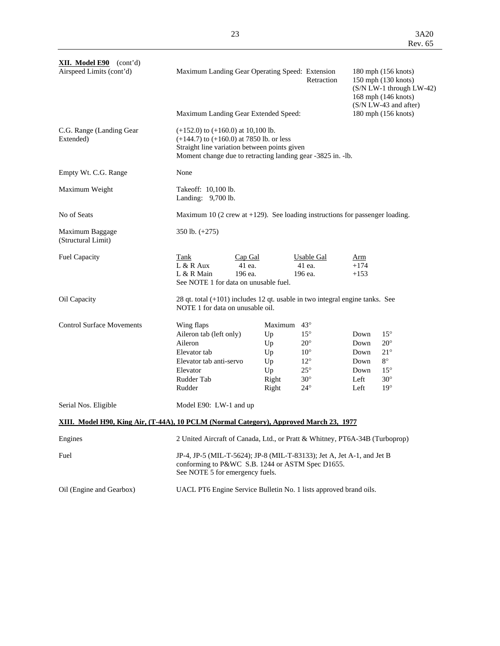| <b>XII.</b> Model $E90$ (cont'd)<br>Airspeed Limits (cont'd)                           | Maximum Landing Gear Operating Speed: Extension<br>Maximum Landing Gear Extended Speed:                                         | 180 mph (156 knots)<br>150 mph (130 knots)<br>$(S/N LW-1)$ through $LW-42$ )<br>168 mph (146 knots)<br>(S/N LW-43 and after)<br>180 mph (156 knots)         |                                                                                                                          |                                                                                                                                                                 |  |  |
|----------------------------------------------------------------------------------------|---------------------------------------------------------------------------------------------------------------------------------|-------------------------------------------------------------------------------------------------------------------------------------------------------------|--------------------------------------------------------------------------------------------------------------------------|-----------------------------------------------------------------------------------------------------------------------------------------------------------------|--|--|
| C.G. Range (Landing Gear)<br>Extended)                                                 | $(+152.0)$ to $(+160.0)$ at 10,100 lb.                                                                                          | $(+144.7)$ to $(+160.0)$ at 7850 lb. or less<br>Straight line variation between points given<br>Moment change due to retracting landing gear -3825 in. -lb. |                                                                                                                          |                                                                                                                                                                 |  |  |
| Empty Wt. C.G. Range                                                                   | None                                                                                                                            |                                                                                                                                                             |                                                                                                                          |                                                                                                                                                                 |  |  |
| Maximum Weight                                                                         | Takeoff: 10,100 lb.<br>Landing: 9,700 lb.                                                                                       |                                                                                                                                                             |                                                                                                                          |                                                                                                                                                                 |  |  |
| No of Seats                                                                            |                                                                                                                                 |                                                                                                                                                             |                                                                                                                          | Maximum 10 (2 crew at $+129$ ). See loading instructions for passenger loading.                                                                                 |  |  |
| Maximum Baggage<br>(Structural Limit)                                                  | 350 lb. $(+275)$                                                                                                                |                                                                                                                                                             |                                                                                                                          |                                                                                                                                                                 |  |  |
| <b>Fuel Capacity</b>                                                                   | Tank<br>$L & R$ Aux<br>L & R Main                                                                                               | Cap Gal<br>41 ea.<br>196 ea.<br>See NOTE 1 for data on unusable fuel.                                                                                       | Usable Gal<br>41 ea.<br>196 ea.                                                                                          | Arm<br>$+174$<br>$+153$                                                                                                                                         |  |  |
| Oil Capacity                                                                           | NOTE 1 for data on unusable oil.                                                                                                | 28 qt. total $(+101)$ includes 12 qt. usable in two integral engine tanks. See                                                                              |                                                                                                                          |                                                                                                                                                                 |  |  |
| <b>Control Surface Movements</b>                                                       | Wing flaps<br>Aileron tab (left only)<br>Aileron<br>Elevator tab<br>Elevator tab anti-servo<br>Elevator<br>Rudder Tab<br>Rudder | Maximum<br>Up<br>Up<br>Up<br>Up<br>Up<br>Right<br>Right                                                                                                     | $43^\circ$<br>$15^{\circ}$<br>$20^{\circ}$<br>$10^{\circ}$<br>$12^{\circ}$<br>$25^{\circ}$<br>$30^\circ$<br>$24^{\circ}$ | $15^{\circ}$<br>Down<br>$20^{\circ}$<br>Down<br>$21^{\circ}$<br>Down<br>$8^{\circ}$<br>Down<br>$15^{\circ}$<br>Down<br>$30^\circ$<br>Left<br>$19^\circ$<br>Left |  |  |
| Serial Nos. Eligible                                                                   | Model E90: LW-1 and up                                                                                                          |                                                                                                                                                             |                                                                                                                          |                                                                                                                                                                 |  |  |
| XIII. Model H90, King Air, (T-44A), 10 PCLM (Normal Category), Approved March 23, 1977 |                                                                                                                                 |                                                                                                                                                             |                                                                                                                          |                                                                                                                                                                 |  |  |
| Engines                                                                                |                                                                                                                                 |                                                                                                                                                             |                                                                                                                          | 2 United Aircraft of Canada, Ltd., or Pratt & Whitney, PT6A-34B (Turboprop)                                                                                     |  |  |
| Fuel                                                                                   | See NOTE 5 for emergency fuels.                                                                                                 | JP-4, JP-5 (MIL-T-5624); JP-8 (MIL-T-83133); Jet A, Jet A-1, and Jet B<br>conforming to P&WC S.B. 1244 or ASTM Spec D1655.                                  |                                                                                                                          |                                                                                                                                                                 |  |  |
| Oil (Engine and Gearbox)                                                               |                                                                                                                                 | UACL PT6 Engine Service Bulletin No. 1 lists approved brand oils.                                                                                           |                                                                                                                          |                                                                                                                                                                 |  |  |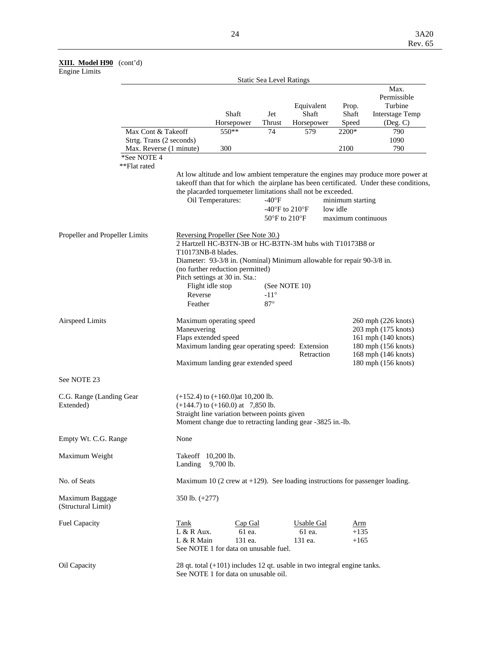#### **XIII. Model H90** (cont'd)

#### Engine Limits

|                                       | <b>Static Sea Level Ratings</b> |                                    |                                                                                                                                                                                               |                                               |                                        |                                                    |                                                                                                                                                                              |  |
|---------------------------------------|---------------------------------|------------------------------------|-----------------------------------------------------------------------------------------------------------------------------------------------------------------------------------------------|-----------------------------------------------|----------------------------------------|----------------------------------------------------|------------------------------------------------------------------------------------------------------------------------------------------------------------------------------|--|
|                                       |                                 |                                    | Shaft<br>Horsepower                                                                                                                                                                           | Jet<br>Thrust                                 | Equivalent<br>Shaft<br>Horsepower      | Prop.<br>Shaft<br>Speed                            | Max.<br>Permissible<br>Turbine<br><b>Interstage Temp</b><br>(Deg. C)                                                                                                         |  |
|                                       | Max Cont & Takeoff              |                                    | 550**                                                                                                                                                                                         | 74                                            | 579                                    | 2200*                                              | 790                                                                                                                                                                          |  |
| Strtg. Trans (2 seconds)              |                                 |                                    |                                                                                                                                                                                               |                                               |                                        |                                                    | 1090                                                                                                                                                                         |  |
|                                       | Max. Reverse (1 minute)         |                                    | 300                                                                                                                                                                                           |                                               |                                        | 2100                                               | 790                                                                                                                                                                          |  |
|                                       | *See NOTE 4<br>**Flat rated     |                                    |                                                                                                                                                                                               |                                               |                                        |                                                    |                                                                                                                                                                              |  |
|                                       |                                 |                                    | the placarded torquemeter limitations shall not be exceeded.<br>Oil Temperatures:                                                                                                             | $-40$ °F<br>$50^{\circ}$ F to $210^{\circ}$ F | -40°F to 210°F                         | minimum starting<br>low idle<br>maximum continuous | At low altitude and low ambient temperature the engines may produce more power at<br>takeoff than that for which the airplane has been certificated. Under these conditions, |  |
| Propeller and Propeller Limits        |                                 |                                    | Reversing Propeller (See Note 30.)<br>2 Hartzell HC-B3TN-3B or HC-B3TN-3M hubs with T10173B8 or<br>T10173NB-8 blades.                                                                         |                                               |                                        |                                                    |                                                                                                                                                                              |  |
|                                       |                                 |                                    | Diameter: 93-3/8 in. (Nominal) Minimum allowable for repair 90-3/8 in.                                                                                                                        |                                               |                                        |                                                    |                                                                                                                                                                              |  |
|                                       |                                 |                                    | (no further reduction permitted)<br>Pitch settings at 30 in. Sta.:                                                                                                                            |                                               |                                        |                                                    |                                                                                                                                                                              |  |
|                                       |                                 |                                    | Flight idle stop                                                                                                                                                                              |                                               | (See NOTE 10)                          |                                                    |                                                                                                                                                                              |  |
|                                       |                                 | Reverse                            |                                                                                                                                                                                               | $-11^{\circ}$                                 |                                        |                                                    |                                                                                                                                                                              |  |
|                                       |                                 | Feather                            |                                                                                                                                                                                               | $87^\circ$                                    |                                        |                                                    |                                                                                                                                                                              |  |
| <b>Airspeed Limits</b>                |                                 | Maneuvering                        | Maximum operating speed<br>Flaps extended speed<br>Maximum landing gear operating speed: Extension<br>Maximum landing gear extended speed                                                     |                                               | Retraction                             |                                                    | 260 mph (226 knots)<br>203 mph (175 knots)<br>161 mph (140 knots)<br>180 mph (156 knots)<br>168 mph (146 knots)<br>180 mph (156 knots)                                       |  |
| See NOTE 23                           |                                 |                                    |                                                                                                                                                                                               |                                               |                                        |                                                    |                                                                                                                                                                              |  |
| C.G. Range (Landing Gear<br>Extended) |                                 |                                    | $(+152.4)$ to $(+160.0)$ at 10,200 lb.<br>$(+144.7)$ to $(+160.0)$ at 7,850 lb.<br>Straight line variation between points given<br>Moment change due to retracting landing gear -3825 in.-lb. |                                               |                                        |                                                    |                                                                                                                                                                              |  |
| Empty Wt. C.G. Range                  |                                 | None                               |                                                                                                                                                                                               |                                               |                                        |                                                    |                                                                                                                                                                              |  |
| Maximum Weight                        |                                 | Takeoff 10,200 lb.<br>Landing      | 9,700 lb.                                                                                                                                                                                     |                                               |                                        |                                                    |                                                                                                                                                                              |  |
| No. of Seats                          |                                 |                                    | Maximum 10 (2 crew at $+129$ ). See loading instructions for passenger loading.                                                                                                               |                                               |                                        |                                                    |                                                                                                                                                                              |  |
| Maximum Baggage<br>(Structural Limit) |                                 | 350 lb. (+277)                     |                                                                                                                                                                                               |                                               |                                        |                                                    |                                                                                                                                                                              |  |
| <b>Fuel Capacity</b>                  |                                 | Tank<br>$L & R$ Aux.<br>L & R Main | Cap Gal<br>61 ea.<br>131 ea.<br>See NOTE 1 for data on unusable fuel.                                                                                                                         |                                               | <b>Usable Gal</b><br>61 ea.<br>131 ea. | Arm<br>$+135$<br>$+165$                            |                                                                                                                                                                              |  |
| Oil Capacity                          |                                 |                                    | 28 qt. total (+101) includes 12 qt. usable in two integral engine tanks.<br>See NOTE 1 for data on unusable oil.                                                                              |                                               |                                        |                                                    |                                                                                                                                                                              |  |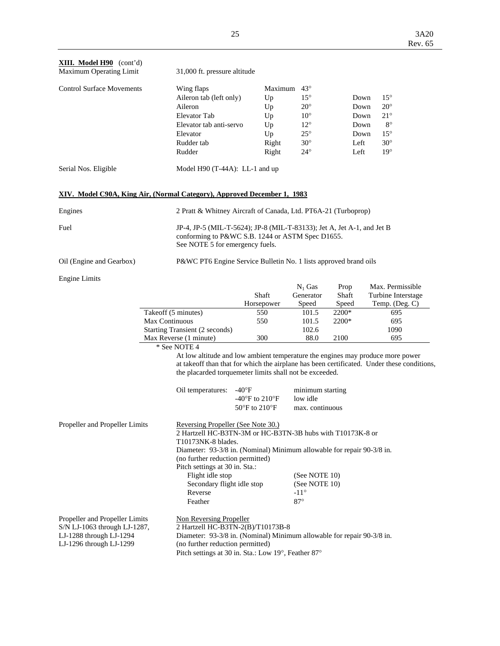| <b>XIII. Model H90</b> (cont'd)<br>Maximum Operating Limit                                                                                                                                                                                                                                                                                                       |                                                                                                                                                               | 31,000 ft. pressure altitude                                                                                                                                                                                                         |                                                      |         |                                |               |      |                                                                                            |
|------------------------------------------------------------------------------------------------------------------------------------------------------------------------------------------------------------------------------------------------------------------------------------------------------------------------------------------------------------------|---------------------------------------------------------------------------------------------------------------------------------------------------------------|--------------------------------------------------------------------------------------------------------------------------------------------------------------------------------------------------------------------------------------|------------------------------------------------------|---------|--------------------------------|---------------|------|--------------------------------------------------------------------------------------------|
| <b>Control Surface Movements</b>                                                                                                                                                                                                                                                                                                                                 |                                                                                                                                                               | Wing flaps                                                                                                                                                                                                                           |                                                      | Maximum | $43^{\circ}$                   |               |      |                                                                                            |
|                                                                                                                                                                                                                                                                                                                                                                  |                                                                                                                                                               | Aileron tab (left only)                                                                                                                                                                                                              |                                                      | Up      | $15^{\circ}$                   |               | Down | $15^{\circ}$                                                                               |
|                                                                                                                                                                                                                                                                                                                                                                  |                                                                                                                                                               | Aileron                                                                                                                                                                                                                              |                                                      | Up      | $20^{\circ}$                   |               | Down | $20^{\circ}$                                                                               |
|                                                                                                                                                                                                                                                                                                                                                                  |                                                                                                                                                               | Elevator Tab                                                                                                                                                                                                                         |                                                      | Up      | $10^{\circ}$                   |               | Down | $21^{\circ}$                                                                               |
|                                                                                                                                                                                                                                                                                                                                                                  |                                                                                                                                                               | Elevator tab anti-servo                                                                                                                                                                                                              |                                                      | Up      | $12^{\circ}$                   |               | Down | $8^{\circ}$                                                                                |
|                                                                                                                                                                                                                                                                                                                                                                  |                                                                                                                                                               | Elevator                                                                                                                                                                                                                             |                                                      | Up      | $25^{\circ}$                   |               | Down | $15^{\circ}$                                                                               |
|                                                                                                                                                                                                                                                                                                                                                                  |                                                                                                                                                               | Rudder tab                                                                                                                                                                                                                           |                                                      | Right   | $30^\circ$                     |               | Left | $30^\circ$                                                                                 |
|                                                                                                                                                                                                                                                                                                                                                                  |                                                                                                                                                               | Rudder                                                                                                                                                                                                                               |                                                      | Right   | $24^{\circ}$                   |               | Left | $19^\circ$                                                                                 |
| Serial Nos. Eligible                                                                                                                                                                                                                                                                                                                                             |                                                                                                                                                               | Model $H90$ (T-44A): LL-1 and up                                                                                                                                                                                                     |                                                      |         |                                |               |      |                                                                                            |
| XIV. Model C90A, King Air, (Normal Category), Approved December 1, 1983                                                                                                                                                                                                                                                                                          |                                                                                                                                                               |                                                                                                                                                                                                                                      |                                                      |         |                                |               |      |                                                                                            |
| Engines                                                                                                                                                                                                                                                                                                                                                          |                                                                                                                                                               | 2 Pratt & Whitney Aircraft of Canada, Ltd. PT6A-21 (Turboprop)                                                                                                                                                                       |                                                      |         |                                |               |      |                                                                                            |
| Fuel                                                                                                                                                                                                                                                                                                                                                             | JP-4, JP-5 (MIL-T-5624); JP-8 (MIL-T-83133); Jet A, Jet A-1, and Jet B<br>conforming to P&WC S.B. 1244 or ASTM Spec D1655.<br>See NOTE 5 for emergency fuels. |                                                                                                                                                                                                                                      |                                                      |         |                                |               |      |                                                                                            |
| Oil (Engine and Gearbox)                                                                                                                                                                                                                                                                                                                                         |                                                                                                                                                               | P&WC PT6 Engine Service Bulletin No. 1 lists approved brand oils                                                                                                                                                                     |                                                      |         |                                |               |      |                                                                                            |
| <b>Engine Limits</b>                                                                                                                                                                                                                                                                                                                                             |                                                                                                                                                               |                                                                                                                                                                                                                                      |                                                      |         |                                |               |      |                                                                                            |
|                                                                                                                                                                                                                                                                                                                                                                  |                                                                                                                                                               |                                                                                                                                                                                                                                      | Shaft                                                |         | $N_1$ Gas<br>Generator         | Prop<br>Shaft |      | Max. Permissible                                                                           |
|                                                                                                                                                                                                                                                                                                                                                                  |                                                                                                                                                               |                                                                                                                                                                                                                                      | Horsepower                                           |         | Speed                          | Speed         |      | Turbine Interstage<br>Temp. (Deg. C)                                                       |
|                                                                                                                                                                                                                                                                                                                                                                  |                                                                                                                                                               | Takeoff (5 minutes)                                                                                                                                                                                                                  | 550                                                  |         | 101.5                          | 2200*         |      | 695                                                                                        |
|                                                                                                                                                                                                                                                                                                                                                                  | Max Continuous                                                                                                                                                |                                                                                                                                                                                                                                      | 550                                                  |         | 101.5                          | 2200*         |      | 695                                                                                        |
|                                                                                                                                                                                                                                                                                                                                                                  |                                                                                                                                                               | Starting Transient (2 seconds)                                                                                                                                                                                                       |                                                      |         | 102.6                          |               |      | 1090                                                                                       |
|                                                                                                                                                                                                                                                                                                                                                                  |                                                                                                                                                               | Max Reverse (1 minute)                                                                                                                                                                                                               | 300                                                  |         | 88.0                           | 2100          |      | 695                                                                                        |
|                                                                                                                                                                                                                                                                                                                                                                  |                                                                                                                                                               | * See NOTE 4                                                                                                                                                                                                                         |                                                      |         |                                |               |      |                                                                                            |
|                                                                                                                                                                                                                                                                                                                                                                  |                                                                                                                                                               | At low altitude and low ambient temperature the engines may produce more power<br>the placarded torquemeter limits shall not be exceeded.                                                                                            |                                                      |         |                                |               |      | at takeoff than that for which the airplane has been certificated. Under these conditions, |
|                                                                                                                                                                                                                                                                                                                                                                  |                                                                                                                                                               | Oil temperatures:                                                                                                                                                                                                                    | -40°F                                                |         | minimum starting               |               |      |                                                                                            |
|                                                                                                                                                                                                                                                                                                                                                                  |                                                                                                                                                               |                                                                                                                                                                                                                                      | -40 $\mathrm{^{\circ}F}$ to 210 $\mathrm{^{\circ}F}$ |         | low idle                       |               |      |                                                                                            |
|                                                                                                                                                                                                                                                                                                                                                                  |                                                                                                                                                               |                                                                                                                                                                                                                                      | $50^{\circ}$ F to $210^{\circ}$ F                    |         | max. continuous                |               |      |                                                                                            |
| Propeller and Propeller Limits                                                                                                                                                                                                                                                                                                                                   |                                                                                                                                                               | Reversing Propeller (See Note 30.)<br>2 Hartzell HC-B3TN-3M or HC-B3TN-3B hubs with T10173K-8 or<br>T10173NK-8 blades.<br>Diameter: 93-3/8 in. (Nominal) Minimum allowable for repair 90-3/8 in.<br>(no further reduction permitted) |                                                      |         |                                |               |      |                                                                                            |
|                                                                                                                                                                                                                                                                                                                                                                  |                                                                                                                                                               | Pitch settings at 30 in. Sta.:<br>Flight idle stop                                                                                                                                                                                   |                                                      |         | (See NOTE 10)                  |               |      |                                                                                            |
|                                                                                                                                                                                                                                                                                                                                                                  |                                                                                                                                                               | Secondary flight idle stop                                                                                                                                                                                                           |                                                      |         |                                |               |      |                                                                                            |
|                                                                                                                                                                                                                                                                                                                                                                  |                                                                                                                                                               | Reverse                                                                                                                                                                                                                              |                                                      |         | (See NOTE 10)<br>$-11^{\circ}$ |               |      |                                                                                            |
|                                                                                                                                                                                                                                                                                                                                                                  |                                                                                                                                                               | Feather                                                                                                                                                                                                                              |                                                      |         | $87^\circ$                     |               |      |                                                                                            |
| Propeller and Propeller Limits<br><b>Non Reversing Propeller</b><br>2 Hartzell HC-B3TN-2(B)/T10173B-8<br>S/N LJ-1063 through LJ-1287,<br>Diameter: 93-3/8 in. (Nominal) Minimum allowable for repair 90-3/8 in.<br>LJ-1288 through LJ-1294<br>(no further reduction permitted)<br>LJ-1296 through LJ-1299<br>Pitch settings at 30 in. Sta.: Low 19°, Feather 87° |                                                                                                                                                               |                                                                                                                                                                                                                                      |                                                      |         |                                |               |      |                                                                                            |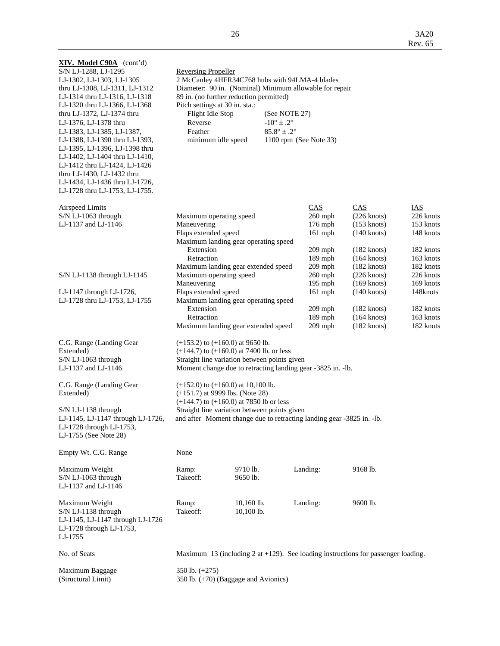| XIV. Model C90A (cont'd)<br>S/N LJ-1288, LJ-1295<br>LJ-1302, LJ-1303, LJ-1305<br>thru LJ-1308, LJ-1311, LJ-1312<br>LJ-1314 thru LJ-1316, LJ-1318<br>LJ-1320 thru LJ-1366, LJ-1368<br>thru LJ-1372, LJ-1374 thru<br>LJ-1376, LJ-1378 thru<br>LJ-1383, LJ-1385, LJ-1387,<br>LJ-1388, LJ-1390 thru LJ-1393,<br>LJ-1395, LJ-1396, LJ-1398 thru<br>LJ-1402, LJ-1404 thru LJ-1410,<br>LJ-1412 thru LJ-1424, LJ-1426<br>thru LJ-1430, LJ-1432 thru<br>LJ-1434, LJ-1436 thru LJ-1726,<br>LJ-1728 thru LJ-1753, LJ-1755. | <b>Reversing Propeller</b><br>2 McCauley 4HFR34C768 hubs with 94LMA-4 blades<br>Diameter: 90 in. (Nominal) Minimum allowable for repair<br>89 in. (no further reduction permitted)<br>Pitch settings at 30 in. sta.:<br>Flight Idle Stop<br>(See NOTE 27)<br>Reverse<br>$-10^{\circ} \pm .2^{\circ}$<br>$85.8^{\circ} \pm .2^{\circ}$<br>Feather<br>minimum idle speed<br>1100 rpm (See Note 33) |                          |  |                                                                               |                                                                                                           |                                                                                          |
|-----------------------------------------------------------------------------------------------------------------------------------------------------------------------------------------------------------------------------------------------------------------------------------------------------------------------------------------------------------------------------------------------------------------------------------------------------------------------------------------------------------------|--------------------------------------------------------------------------------------------------------------------------------------------------------------------------------------------------------------------------------------------------------------------------------------------------------------------------------------------------------------------------------------------------|--------------------------|--|-------------------------------------------------------------------------------|-----------------------------------------------------------------------------------------------------------|------------------------------------------------------------------------------------------|
| <b>Airspeed Limits</b><br>S/N LJ-1063 through<br>LJ-1137 and LJ-1146                                                                                                                                                                                                                                                                                                                                                                                                                                            | Maximum operating speed<br>Maneuvering<br>Flaps extended speed<br>Maximum landing gear operating speed<br>Extension<br>Retraction                                                                                                                                                                                                                                                                |                          |  | CAS<br>$260$ mph<br>176 mph<br>$161$ mph<br>$209$ mph<br>189 mph<br>$209$ mph | CAS<br>$(226$ knots)<br>$(153$ knots)<br>$(140$ knots)<br>$(182$ knots)<br>$(164$ knots)<br>$(182$ knots) | <u>IAS</u><br>226 knots<br>153 knots<br>148 knots<br>182 knots<br>163 knots<br>182 knots |
| S/N LJ-1138 through LJ-1145<br>LJ-1147 through LJ-1726,<br>LJ-1728 thru LJ-1753, LJ-1755                                                                                                                                                                                                                                                                                                                                                                                                                        | Maximum landing gear extended speed<br>Maximum operating speed<br>Maneuvering<br>Flaps extended speed<br>Maximum landing gear operating speed<br>Extension                                                                                                                                                                                                                                       |                          |  | $260$ mph<br>$195$ mph<br>$161$ mph<br>$209$ mph                              | $(226$ knots)<br>$(169$ knots)<br>$(140$ knots)<br>$(182$ knots)                                          | 226 knots<br>169 knots<br>148knots<br>182 knots                                          |
|                                                                                                                                                                                                                                                                                                                                                                                                                                                                                                                 | Retraction<br>Maximum landing gear extended speed                                                                                                                                                                                                                                                                                                                                                |                          |  | 189 mph<br>$209$ mph                                                          | $(164$ knots)<br>$(182$ knots)                                                                            | 163 knots<br>182 knots                                                                   |
| C.G. Range (Landing Gear<br>Extended)<br>S/N LJ-1063 through<br>LJ-1137 and LJ-1146                                                                                                                                                                                                                                                                                                                                                                                                                             | $(+153.2)$ to $(+160.0)$ at 9650 lb.<br>$(+144.7)$ to $(+160.0)$ at 7400 lb. or less<br>Straight line variation between points given<br>Moment change due to retracting landing gear -3825 in. -lb.                                                                                                                                                                                              |                          |  |                                                                               |                                                                                                           |                                                                                          |
| C.G. Range (Landing Gear<br>Extended)                                                                                                                                                                                                                                                                                                                                                                                                                                                                           | $(+152.0)$ to $(+160.0)$ at 10,100 lb.<br>$(+151.7)$ at 9999 lbs. (Note 28)                                                                                                                                                                                                                                                                                                                      |                          |  |                                                                               |                                                                                                           |                                                                                          |
| $S/N$ LJ-1138 through<br>LJ-1145, LJ-1147 through LJ-1726,<br>LJ- $1728$ through LJ- $1753$ ,<br>LJ-1755 (See Note 28)                                                                                                                                                                                                                                                                                                                                                                                          | $(+144.7)$ to $(+160.0)$ at 7850 lb or less<br>Straight line variation between points given<br>and after Moment change due to retracting landing gear -3825 in. -lb.                                                                                                                                                                                                                             |                          |  |                                                                               |                                                                                                           |                                                                                          |
| Empty Wt. C.G. Range                                                                                                                                                                                                                                                                                                                                                                                                                                                                                            | None                                                                                                                                                                                                                                                                                                                                                                                             |                          |  |                                                                               |                                                                                                           |                                                                                          |
| Maximum Weight<br>S/N LJ-1063 through<br>LJ-1137 and LJ-1146                                                                                                                                                                                                                                                                                                                                                                                                                                                    | Ramp:<br>Takeoff:                                                                                                                                                                                                                                                                                                                                                                                | 9710 lb.<br>9650 lb.     |  | Landing:                                                                      | 9168 lb.                                                                                                  |                                                                                          |
| Maximum Weight<br>S/N LJ-1138 through<br>LJ-1145, LJ-1147 through LJ-1726<br>LJ-1728 through LJ-1753,<br>LJ-1755                                                                                                                                                                                                                                                                                                                                                                                                | Ramp:<br>Takeoff:                                                                                                                                                                                                                                                                                                                                                                                | 10,160 lb.<br>10,100 lb. |  | Landing:                                                                      | 9600 lb.                                                                                                  |                                                                                          |
| No. of Seats                                                                                                                                                                                                                                                                                                                                                                                                                                                                                                    |                                                                                                                                                                                                                                                                                                                                                                                                  |                          |  |                                                                               | Maximum 13 (including 2 at $+129$ ). See loading instructions for passenger loading.                      |                                                                                          |
| Maximum Baggage<br>(Structural Limit)                                                                                                                                                                                                                                                                                                                                                                                                                                                                           | 350 lb. $(+275)$<br>350 lb. (+70) (Baggage and Avionics)                                                                                                                                                                                                                                                                                                                                         |                          |  |                                                                               |                                                                                                           |                                                                                          |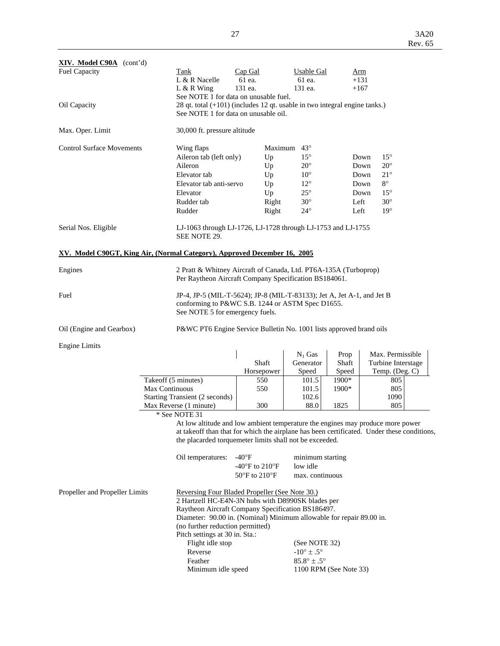| XIV. Model C90A (cont'd)         |                                                                                                                                                                             |                   |                      |               |                      |
|----------------------------------|-----------------------------------------------------------------------------------------------------------------------------------------------------------------------------|-------------------|----------------------|---------------|----------------------|
| <b>Fuel Capacity</b>             | Tank<br>L & R Nacelle                                                                                                                                                       | Cap Gal<br>61 ea. | Usable Gal<br>61 ea. | Arm<br>$+131$ |                      |
| Oil Capacity                     | $L & R$ Wing<br>See NOTE 1 for data on unusable fuel.<br>28 qt. total (+101) (includes 12 qt. usable in two integral engine tanks.)<br>See NOTE 1 for data on unusable oil. | 131 ea.           | 131 ea.              | $+167$        |                      |
| Max. Oper. Limit                 | 30,000 ft. pressure altitude                                                                                                                                                |                   |                      |               |                      |
| <b>Control Surface Movements</b> | Wing flaps                                                                                                                                                                  |                   | Maximum $43^\circ$   |               |                      |
|                                  | Aileron tab (left only)                                                                                                                                                     | Up                | $15^{\circ}$         |               | $15^{\circ}$<br>Down |
|                                  | Aileron                                                                                                                                                                     | Up                | $20^{\circ}$         |               | $20^{\circ}$<br>Down |
|                                  | Elevator tab                                                                                                                                                                | Up                | $10^{\circ}$         |               | $21^{\circ}$<br>Down |
|                                  | Elevator tab anti-servo                                                                                                                                                     | Up                | $12^{\circ}$         |               | $8^{\circ}$<br>Down  |
|                                  | Elevator                                                                                                                                                                    | Up                | $25^{\circ}$         |               | $15^{\circ}$<br>Down |
|                                  | Rudder tab                                                                                                                                                                  | Right             | $30^\circ$           | Left          | $30^\circ$           |
|                                  | Rudder                                                                                                                                                                      | Right             | $24^{\circ}$         | Left          | $19^\circ$           |
| Serial Nos. Eligible             | LJ-1063 through LJ-1726, LJ-1728 through LJ-1753 and LJ-1755<br>SEE NOTE 29.                                                                                                |                   |                      |               |                      |
|                                  | XV. Model C90GT, King Air, (Normal Category), Approved December 16, 2005                                                                                                    |                   |                      |               |                      |
| Engines                          | 2 Pratt & Whitney Aircraft of Canada, Ltd. PT6A-135A (Turboprop)<br>Per Raytheon Aircraft Company Specification BS184061.                                                   |                   |                      |               |                      |
| Fuel                             | JP-4, JP-5 (MIL-T-5624); JP-8 (MIL-T-83133); Jet A, Jet A-1, and Jet B<br>conforming to P&WC S.B. 1244 or ASTM Spec D1655.<br>See NOTE 5 for emergency fuels.               |                   |                      |               |                      |
| Oil (Engine and Gearbox)         | P&WC PT6 Engine Service Bulletin No. 1001 lists approved brand oils                                                                                                         |                   |                      |               |                      |
| <b>Engine Limits</b>             |                                                                                                                                                                             |                   |                      |               |                      |
|                                  |                                                                                                                                                                             |                   | $N_1$ Gas            | Prop          | Max. Permissible     |
|                                  |                                                                                                                                                                             | Shaft             | Generator            | Shaft         | Turbine Interstage   |
|                                  |                                                                                                                                                                             | Horsepower        | Speed                | Speed         | Temp. (Deg. C)       |
|                                  | Takeoff (5 minutes)                                                                                                                                                         | 550               | 101.5                | 1900*         | 805                  |
|                                  | Max Continuous                                                                                                                                                              | 550               | 101.5                | 1900*         | 805                  |
|                                  | Starting Transient (2 seconds)                                                                                                                                              |                   | 102.6                |               | 1090                 |
|                                  | Max Reverse (1 minute)                                                                                                                                                      | 300               | 88.0                 | 1825          | 805                  |
|                                  | * See NOTE 31                                                                                                                                                               |                   |                      |               |                      |
|                                  | At low altitude and low ambient temperature the engines may produce more power                                                                                              |                   |                      |               |                      |

 at takeoff than that for which the airplane has been certificated. Under these conditions, the placarded torquemeter limits shall not be exceeded.

| Oil temperatures: $-40^{\circ}$ F |                | minimum starting |
|-----------------------------------|----------------|------------------|
|                                   | -40°F to 210°F | low idle         |
|                                   | 50°F to 210°F  | max. continuous  |

| Propeller and Propeller Limits | Reversing Four Bladed Propeller (See Note 30.)                       |                               |  |  |
|--------------------------------|----------------------------------------------------------------------|-------------------------------|--|--|
|                                | 2 Hartzell HC-E4N-3N hubs with D8990SK blades per                    |                               |  |  |
|                                | Raytheon Aircraft Company Specification BS186497.                    |                               |  |  |
|                                | Diameter: 90.00 in. (Nominal) Minimum allowable for repair 89.00 in. |                               |  |  |
|                                | (no further reduction permitted)                                     |                               |  |  |
|                                | Pitch settings at 30 in. Sta.:                                       |                               |  |  |
|                                | Flight idle stop                                                     | (See NOTE 32)                 |  |  |
|                                | Reverse                                                              | $-10^{\circ} \pm .5^{\circ}$  |  |  |
|                                | Feather                                                              | $85.8^{\circ} \pm .5^{\circ}$ |  |  |
|                                | Minimum idle speed<br>1100 RPM (See Note 33)                         |                               |  |  |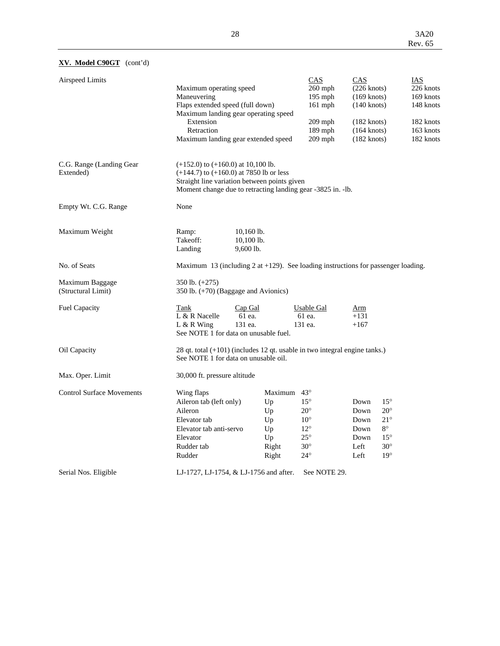## **XV. Model C90GT** (cont'd)

| <b>Airspeed Limits</b>                | Maximum operating speed<br>Maneuvering<br>Flaps extended speed (full down)<br>Maximum landing gear operating speed<br>Extension<br>Retraction<br>Maximum landing gear extended speed                 |                                                                    | CAS<br>260 mph<br>$195$ mph<br>161 mph<br>$209$ mph<br>189 mph<br>209 mph                                  | CAS<br>$(226$ knots)<br>$(169$ knots)<br>$(140$ knots)<br>$(182 \text{ knots})$<br>$(164$ knots)<br>$(182$ knots) | <b>IAS</b><br>226 knots<br>169 knots<br>148 knots<br>182 knots<br>163 knots<br>182 knots                |
|---------------------------------------|------------------------------------------------------------------------------------------------------------------------------------------------------------------------------------------------------|--------------------------------------------------------------------|------------------------------------------------------------------------------------------------------------|-------------------------------------------------------------------------------------------------------------------|---------------------------------------------------------------------------------------------------------|
| C.G. Range (Landing Gear<br>Extended) | $(+152.0)$ to $(+160.0)$ at 10,100 lb.<br>$(+144.7)$ to $(+160.0)$ at 7850 lb or less<br>Straight line variation between points given<br>Moment change due to retracting landing gear -3825 in. -lb. |                                                                    |                                                                                                            |                                                                                                                   |                                                                                                         |
| Empty Wt. C.G. Range                  | None                                                                                                                                                                                                 |                                                                    |                                                                                                            |                                                                                                                   |                                                                                                         |
| Maximum Weight                        | Ramp:<br>Takeoff:<br>Landing<br>9,600 lb.                                                                                                                                                            | 10,160 lb.<br>10,100 lb.                                           |                                                                                                            |                                                                                                                   |                                                                                                         |
| No. of Seats                          | Maximum 13 (including 2 at $+129$ ). See loading instructions for passenger loading.                                                                                                                 |                                                                    |                                                                                                            |                                                                                                                   |                                                                                                         |
| Maximum Baggage<br>(Structural Limit) | 350 lb. (+275)<br>350 lb. (+70) (Baggage and Avionics)                                                                                                                                               |                                                                    |                                                                                                            |                                                                                                                   |                                                                                                         |
| <b>Fuel Capacity</b>                  | Tank<br>Cap Gal<br>L & R Nacelle<br>61 ea.<br>131 ea.<br>$L & R$ Wing<br>See NOTE 1 for data on unusable fuel.                                                                                       |                                                                    | Usable Gal<br>61 ea.<br>131 ea.                                                                            | Arm<br>$+131$<br>$+167$                                                                                           |                                                                                                         |
| Oil Capacity                          | $28$ qt. total $(+101)$ (includes 12 qt. usable in two integral engine tanks.)<br>See NOTE 1 for data on unusable oil.                                                                               |                                                                    |                                                                                                            |                                                                                                                   |                                                                                                         |
| Max. Oper. Limit                      | 30,000 ft. pressure altitude                                                                                                                                                                         |                                                                    |                                                                                                            |                                                                                                                   |                                                                                                         |
| <b>Control Surface Movements</b>      | Wing flaps<br>Aileron tab (left only)<br>Aileron<br>Elevator tab<br>Elevator tab anti-servo<br>Elevator<br>Rudder tab<br>Rudder                                                                      | Maximum $43^\circ$<br>Up<br>Up<br>Up<br>Up<br>Up<br>Right<br>Right | $15^{\circ}$<br>$20^{\circ}$<br>$10^{\circ}$<br>$12^{\circ}$<br>$25^{\circ}$<br>$30^\circ$<br>$24^{\circ}$ | Down<br>Down<br>Down<br>Down<br>Down<br>Left<br>Left                                                              | $15^{\circ}$<br>$20^{\circ}$<br>$21^{\circ}$<br>$8^{\circ}$<br>$15^{\circ}$<br>$30^\circ$<br>$19^\circ$ |
| Serial Nos. Eligible                  | LJ-1727, LJ-1754, & LJ-1756 and after.                                                                                                                                                               |                                                                    | See NOTE 29.                                                                                               |                                                                                                                   |                                                                                                         |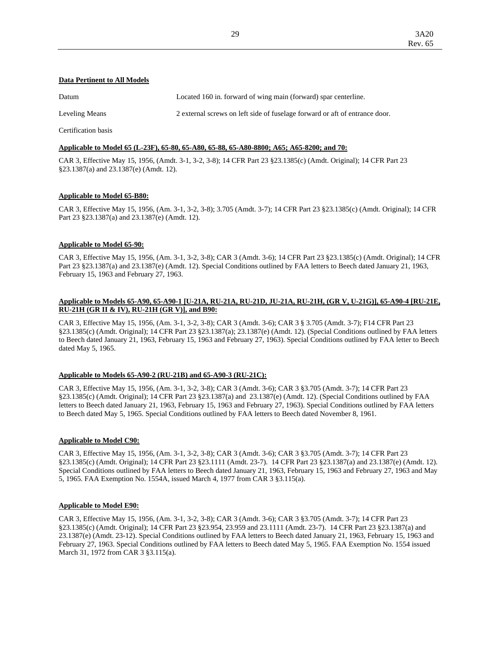## **Data Pertinent to All Models**

| Datum          | Located 160 in. forward of wing main (forward) spar centerline.             |
|----------------|-----------------------------------------------------------------------------|
| Leveling Means | 2 external screws on left side of fuselage forward or aft of entrance door. |
|                |                                                                             |

Certification basis

#### **Applicable to Model 65 (L-23F), 65-80, 65-A80, 65-88, 65-A80-8800; A65; A65-8200; and 70:**

CAR 3, Effective May 15, 1956, (Amdt. 3-1, 3-2, 3-8); 14 CFR Part 23 §23.1385(c) (Amdt. Original); 14 CFR Part 23 §23.1387(a) and 23.1387(e) (Amdt. 12).

### **Applicable to Model 65-B80:**

CAR 3, Effective May 15, 1956, (Am. 3-1, 3-2, 3-8); 3.705 (Amdt. 3-7); 14 CFR Part 23 §23.1385(c) (Amdt. Original); 14 CFR Part 23 §23.1387(a) and 23.1387(e) (Amdt. 12).

### **Applicable to Model 65-90:**

CAR 3, Effective May 15, 1956, (Am. 3-1, 3-2, 3-8); CAR 3 (Amdt. 3-6); 14 CFR Part 23 §23.1385(c) (Amdt. Original); 14 CFR Part 23 §23.1387(a) and 23.1387(e) (Amdt. 12). Special Conditions outlined by FAA letters to Beech dated January 21, 1963, February 15, 1963 and February 27, 1963.

### **Applicable to Models 65-A90, 65-A90-1 [U-21A, RU-21A, RU-21D, JU-21A, RU-21H, (GR V, U-21G)], 65-A90-4 [RU-21E, RU-21H (GR II & IV), RU-21H (GR V)], and B90:**

CAR 3, Effective May 15, 1956, (Am. 3-1, 3-2, 3-8); CAR 3 (Amdt. 3-6); CAR 3 § 3.705 (Amdt. 3-7); F14 CFR Part 23 §23.1385(c) (Amdt. Original); 14 CFR Part 23 §23.1387(a); 23.1387(e) (Amdt. 12). (Special Conditions outlined by FAA letters to Beech dated January 21, 1963, February 15, 1963 and February 27, 1963). Special Conditions outlined by FAA letter to Beech dated May 5, 1965.

#### **Applicable to Models 65-A90-2 (RU-21B) and 65-A90-3 (RU-21C):**

CAR 3, Effective May 15, 1956, (Am. 3-1, 3-2, 3-8); CAR 3 (Amdt. 3-6); CAR 3 §3.705 (Amdt. 3-7); 14 CFR Part 23 §23.1385(c) (Amdt. Original); 14 CFR Part 23 §23.1387(a) and 23.1387(e) (Amdt. 12). (Special Conditions outlined by FAA letters to Beech dated January 21, 1963, February 15, 1963 and February 27, 1963). Special Conditions outlined by FAA letters to Beech dated May 5, 1965. Special Conditions outlined by FAA letters to Beech dated November 8, 1961.

#### **Applicable to Model C90:**

CAR 3, Effective May 15, 1956, (Am. 3-1, 3-2, 3-8); CAR 3 (Amdt. 3-6); CAR 3 §3.705 (Amdt. 3-7); 14 CFR Part 23 §23.1385(c) (Amdt. Original); 14 CFR Part 23 §23.1111 (Amdt. 23-7). 14 CFR Part 23 §23.1387(a) and 23.1387(e) (Amdt. 12). Special Conditions outlined by FAA letters to Beech dated January 21, 1963, February 15, 1963 and February 27, 1963 and May 5, 1965. FAA Exemption No. 1554A, issued March 4, 1977 from CAR 3 §3.115(a).

#### **Applicable to Model E90:**

CAR 3, Effective May 15, 1956, (Am. 3-1, 3-2, 3-8); CAR 3 (Amdt. 3-6); CAR 3 §3.705 (Amdt. 3-7); 14 CFR Part 23 §23.1385(c) (Amdt. Original); 14 CFR Part 23 §23.954, 23.959 and 23.1111 (Amdt. 23-7). 14 CFR Part 23 §23.1387(a) and 23.1387(e) (Amdt. 23-12). Special Conditions outlined by FAA letters to Beech dated January 21, 1963, February 15, 1963 and February 27, 1963. Special Conditions outlined by FAA letters to Beech dated May 5, 1965. FAA Exemption No. 1554 issued March 31, 1972 from CAR 3 §3.115(a).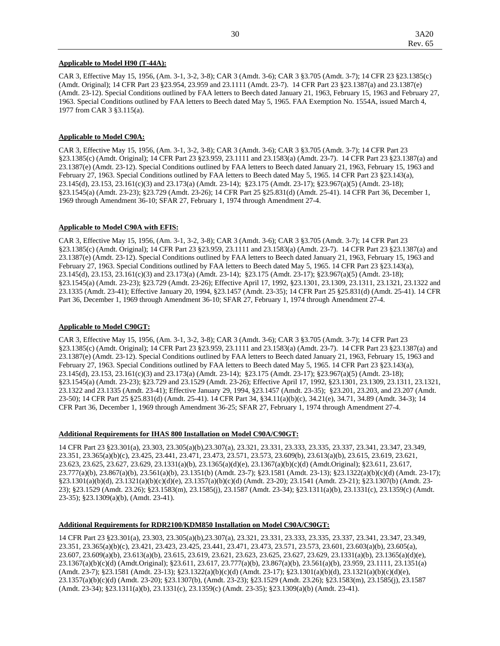#### **Applicable to Model H90 (T-44A):**

CAR 3, Effective May 15, 1956, (Am. 3-1, 3-2, 3-8); CAR 3 (Amdt. 3-6); CAR 3 §3.705 (Amdt. 3-7); 14 CFR 23 §23.1385(c) (Amdt. Original); 14 CFR Part 23 §23.954, 23.959 and 23.1111 (Amdt. 23-7). 14 CFR Part 23 §23.1387(a) and 23.1387(e) (Amdt. 23-12). Special Conditions outlined by FAA letters to Beech dated January 21, 1963, February 15, 1963 and February 27, 1963. Special Conditions outlined by FAA letters to Beech dated May 5, 1965. FAA Exemption No. 1554A, issued March 4, 1977 from CAR 3 §3.115(a).

#### **Applicable to Model C90A:**

CAR 3, Effective May 15, 1956, (Am. 3-1, 3-2, 3-8); CAR 3 (Amdt. 3-6); CAR 3 §3.705 (Amdt. 3-7); 14 CFR Part 23 §23.1385(c) (Amdt. Original); 14 CFR Part 23 §23.959, 23.1111 and 23.1583(a) (Amdt. 23-7). 14 CFR Part 23 §23.1387(a) and 23.1387(e) (Amdt. 23-12). Special Conditions outlined by FAA letters to Beech dated January 21, 1963, February 15, 1963 and February 27, 1963. Special Conditions outlined by FAA letters to Beech dated May 5, 1965. 14 CFR Part 23 §23.143(a), 23.145(d), 23.153, 23.161(c)(3) and 23.173(a) (Amdt. 23-14); §23.175 (Amdt. 23-17); §23.967(a)(5) (Amdt. 23-18); §23.1545(a) (Amdt. 23-23); §23.729 (Amdt. 23-26); 14 CFR Part 25 §25.831(d) (Amdt. 25-41). 14 CFR Part 36, December 1, 1969 through Amendment 36-10; SFAR 27, February 1, 1974 through Amendment 27-4.

#### **Applicable to Model C90A with EFIS:**

CAR 3, Effective May 15, 1956, (Am. 3-1, 3-2, 3-8); CAR 3 (Amdt. 3-6); CAR 3 §3.705 (Amdt. 3-7); 14 CFR Part 23 §23.1385(c) (Amdt. Original); 14 CFR Part 23 §23.959, 23.1111 and 23.1583(a) (Amdt. 23-7). 14 CFR Part 23 §23.1387(a) and 23.1387(e) (Amdt. 23-12). Special Conditions outlined by FAA letters to Beech dated January 21, 1963, February 15, 1963 and February 27, 1963. Special Conditions outlined by FAA letters to Beech dated May 5, 1965. 14 CFR Part 23 §23.143(a), 23.145(d), 23.153, 23.161(c)(3) and 23.173(a) (Amdt. 23-14); §23.175 (Amdt. 23-17); §23.967(a)(5) (Amdt. 23-18); §23.1545(a) (Amdt. 23-23); §23.729 (Amdt. 23-26); Effective April 17, 1992, §23.1301, 23.1309, 23.1311, 23.1321, 23.1322 and 23.1335 (Amdt. 23-41); Effective January 20, 1994, §23.1457 (Amdt. 23-35); 14 CFR Part 25 §25.831(d) (Amdt. 25-41). 14 CFR Part 36, December 1, 1969 through Amendment 36-10; SFAR 27, February 1, 1974 through Amendment 27-4.

#### **Applicable to Model C90GT:**

CAR 3, Effective May 15, 1956, (Am. 3-1, 3-2, 3-8); CAR 3 (Amdt. 3-6); CAR 3 §3.705 (Amdt. 3-7); 14 CFR Part 23 §23.1385(c) (Amdt. Original); 14 CFR Part 23 §23.959, 23.1111 and 23.1583(a) (Amdt. 23-7). 14 CFR Part 23 §23.1387(a) and 23.1387(e) (Amdt. 23-12). Special Conditions outlined by FAA letters to Beech dated January 21, 1963, February 15, 1963 and February 27, 1963. Special Conditions outlined by FAA letters to Beech dated May 5, 1965. 14 CFR Part 23 §23.143(a), 23.145(d), 23.153, 23.161(c)(3) and 23.173(a) (Amdt. 23-14); §23.175 (Amdt. 23-17); §23.967(a)(5) (Amdt. 23-18); §23.1545(a) (Amdt. 23-23); §23.729 and 23.1529 (Amdt. 23-26); Effective April 17, 1992, §23.1301, 23.1309, 23.1311, 23.1321, 23.1322 and 23.1335 (Amdt. 23-41); Effective January 29, 1994, §23.1457 (Amdt. 23-35); §23.201, 23.203, and 23.207 (Amdt. 23-50); 14 CFR Part 25 §25.831(d) (Amdt. 25-41). 14 CFR Part 34, §34.11(a)(b)(c), 34.21(e), 34.71, 34.89 (Amdt. 34-3); 14 CFR Part 36, December 1, 1969 through Amendment 36-25; SFAR 27, February 1, 1974 through Amendment 27-4.

### **Additional Requirements for IHAS 800 Installation on Model C90A/C90GT:**

14 CFR Part 23 §23.301(a), 23.303, 23.305(a)(b),23.307(a), 23.321, 23.331, 23.333, 23.335, 23.337, 23.341, 23.347, 23.349, 23.351, 23.365(a)(b)(c), 23.425, 23.441, 23.471, 23.473, 23.571, 23.573, 23.609(b), 23.613(a)(b), 23.615, 23.619, 23.621, 23.623, 23.625, 23.627, 23.629, 23.1331(a)(b), 23.1365(a)(d)(e), 23.1367(a)(b)(c)(d) (Amdt.Original); §23.611, 23.617, 23.777(a)(b), 23.867(a)(b), 23.561(a)(b), 23.1351(b) (Amdt. 23-7); §23.1581 (Amdt. 23-13); §23.1322(a)(b)(c)(d) (Amdt. 23-17); §23.1301(a)(b)(d), 23.1321(a)(b)(c)(d)(e), 23.1357(a)(b)(c)(d) (Amdt. 23-20); 23.1541 (Amdt. 23-21); §23.1307(b) (Amdt. 23- 23); §23.1529 (Amdt. 23.26); §23.1583(m), 23.1585(j), 23.1587 (Amdt. 23-34); §23.1311(a)(b), 23.1331(c), 23.1359(c) (Amdt. 23-35); §23.1309(a)(b), (Amdt. 23-41).

#### **Additional Requirements for RDR2100/KDM850 Installation on Model C90A/C90GT:**

14 CFR Part 23 §23.301(a), 23.303, 23.305(a)(b),23.307(a), 23.321, 23.331, 23.333, 23.335, 23.337, 23.341, 23.347, 23.349, 23.351, 23.365(a)(b)(c), 23.421, 23.423, 23.425, 23.441, 23.471, 23.473, 23.571, 23.573, 23.601, 23.603(a)(b), 23.605(a), 23.607, 23.609(a)(b), 23.613(a)(b), 23.615, 23.619, 23.621, 23.623, 23.625, 23.627, 23.629, 23.1331(a)(b), 23.1365(a)(d)(e), 23.1367(a)(b)(c)(d) (Amdt.Original); §23.611, 23.617, 23.777(a)(b), 23.867(a)(b), 23.561(a)(b), 23.959, 23.1111, 23.1351(a) (Amdt. 23-7); §23.1581 (Amdt. 23-13); §23.1322(a)(b)(c)(d) (Amdt. 23-17); §23.1301(a)(b)(d), 23.1321(a)(b)(c)(d)(e), 23.1357(a)(b)(c)(d) (Amdt. 23-20); §23.1307(b), (Amdt. 23-23); §23.1529 (Amdt. 23.26); §23.1583(m), 23.1585(j), 23.1587 (Amdt. 23-34); §23.1311(a)(b), 23.1331(c), 23.1359(c) (Amdt. 23-35); §23.1309(a)(b) (Amdt. 23-41).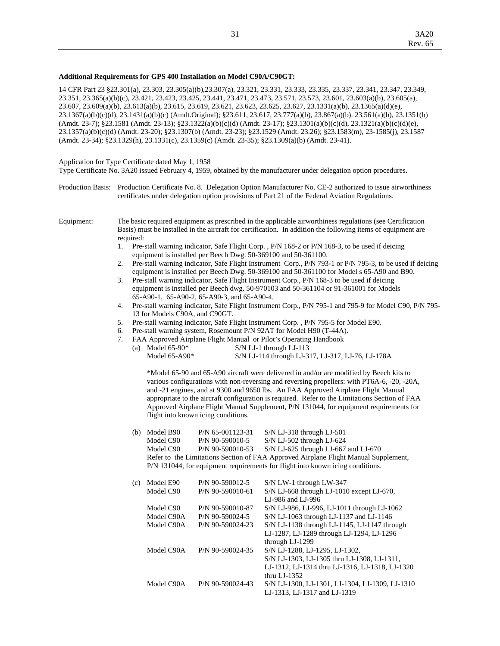#### **Additional Requirements for GPS 400 Installation on Model C90A/C90GT:**

14 CFR Part 23 §23.301(a), 23.303, 23.305(a)(b),23.307(a), 23.321, 23.331, 23.333, 23.335, 23.337, 23.341, 23.347, 23.349, 23.351, 23.365(a)(b)(c), 23.421, 23.423, 23.425, 23.441, 23.471, 23.473, 23.571, 23.573, 23.601, 23.603(a)(b), 23.605(a), 23.607, 23.609(a)(b), 23.613(a)(b), 23.615, 23.619, 23.621, 23.623, 23.625, 23.627, 23.1331(a)(b), 23.1365(a)(d)(e), 23.1367(a)(b)(c)(d), 23.1431(a)(b)(c) (Amdt.Original); §23.611, 23.617, 23.777(a)(b), 23.867(a)(b). 23.561(a)(b), 23.1351(b) (Amdt. 23-7); §23.1581 (Amdt. 23-13); §23.1322(a)(b)(c)(d) (Amdt. 23-17); §23.1301(a)(b)(c)(d), 23.1321(a)(b)(c)(d)(e), 23.1357(a)(b)(c)(d) (Amdt. 23-20); §23.1307(b) (Amdt. 23-23); §23.1529 (Amdt. 23.26); §23.1583(m), 23-1585(j), 23.1587 (Amdt. 23-34); §23.1329(h), 23.1331(c), 23.1359(c) (Amdt. 23-35); §23.1309(a)(b) (Amdt. 23-41).

## Application for Type Certificate dated May 1, 1958

Type Certificate No. 3A20 issued February 4, 1959, obtained by the manufacturer under delegation option procedures.

Production Basis: Production Certificate No. 8. Delegation Option Manufacturer No. CE-2 authorized to issue airworthiness certificates under delegation option provisions of Part 21 of the Federal Aviation Regulations.

Equipment: The basic required equipment as prescribed in the applicable airworthiness regulations (see Certification Basis) must be installed in the aircraft for certification. In addition the following items of equipment are required:

- 1. Pre-stall warning indicator, Safe Flight Corp. , P/N 168-2 or P/N 168-3, to be used if deicing equipment is installed per Beech Dwg. 50-369100 and 50-361100.
- 2. Pre-stall warning indicator, Safe Flight Instrument Corp., P/N 793-1 or P/N 795-3, to be used if deicing equipment is installed per Beech Dwg. 50-369100 and 50-361100 for Model s 65-A90 and B90.
- 3. Pre-stall warning indicator, Safe Flight Instrument Corp., P/N 168-3 to be used if deicing equipment is installed per Beech dwg. 50-970103 and 50-361104 or 91-361001 for Models 65-A90-1, 65-A90-2, 65-A90-3, and 65-A90-4.
- 4. Pre-stall warning indicator, Safe Flight Instrument Corp., P/N 795-1 and 795-9 for Model C90, P/N 795- 13 for Models C90A, and C90GT.
- 5. Pre-stall warning indicator, Safe Flight Instrument Corp. , P/N 795-5 for Model E90.
- 6. Pre-stall warning system, Rosemount P/N 92AT for Model H90 (T-44A).
- 7. FAA Approved Airplane Flight Manual or Pilot's Operating Handbook

| (a) Model $65-90*$ | $S/N$ LJ-1 through LJ-113                         |
|--------------------|---------------------------------------------------|
| Model $65-A90*$    | S/N LJ-114 through LJ-317, LJ-317, LJ-76, LJ-178A |

 \*Model 65-90 and 65-A90 aircraft were delivered in and/or are modified by Beech kits to various configurations with non-reversing and reversing propellers: with PT6A-6, -20, -20A, and -21 engines, and at 9300 and 9650 lbs. An FAA Approved Airplane Flight Manual appropriate to the aircraft configuration is required. Refer to the Limitations Section of FAA Approved Airplane Flight Manual Supplement, P/N 131044, for equipment requirements for flight into known icing conditions.

| (b) | Model B90<br>Model C90 | $P/N$ 65-001123-31<br>P/N 90-590010-5 | $S/N$ LJ-318 through LJ-501<br>$S/N$ LJ-502 through LJ-624                          |
|-----|------------------------|---------------------------------------|-------------------------------------------------------------------------------------|
|     | Model C90              | P/N 90-590010-53                      | $S/N$ LJ-625 through LJ-667 and LJ-670                                              |
|     |                        |                                       | Refer to the Limitations Section of FAA Approved Airplane Flight Manual Supplement, |
|     |                        |                                       | P/N 131044, for equipment requirements for flight into known icing conditions.      |
| (C) | Model E90              | $P/N$ 90-590012-5                     | S/N LW-1 through LW-347                                                             |

| (C) | MOGEL ESO  | $P/N$ 90-390012-3  | $5/N$ LW-1 through LW-34/                       |
|-----|------------|--------------------|-------------------------------------------------|
|     | Model C90  | $P/N$ 90-590010-61 | S/N LJ-668 through LJ-1010 except LJ-670,       |
|     |            |                    | LJ-986 and LJ-996                               |
|     | Model C90  | P/N 90-590010-87   | S/N LJ-986, LJ-996, LJ-1011 through LJ-1062     |
|     | Model C90A | $P/N$ 90-590024-5  | S/N LJ-1063 through LJ-1137 and LJ-1146         |
|     | Model C90A | $P/N$ 90-590024-23 | S/N LJ-1138 through LJ-1145, LJ-1147 through    |
|     |            |                    | LJ-1287, LJ-1289 through LJ-1294, LJ-1296       |
|     |            |                    | through LJ-1299                                 |
|     | Model C90A | P/N 90-590024-35   | S/N LJ-1288, LJ-1295, LJ-1302,                  |
|     |            |                    | S/N LJ-1303, LJ-1305 thru LJ-1308, LJ-1311,     |
|     |            |                    | LJ-1312, LJ-1314 thru LJ-1316, LJ-1318, LJ-1320 |
|     |            |                    | thru LJ- $1352$                                 |
|     | Model C90A | P/N 90-590024-43   | S/N LJ-1300, LJ-1301, LJ-1304, LJ-1309, LJ-1310 |
|     |            |                    | LJ-1313, LJ-1317 and LJ-1319                    |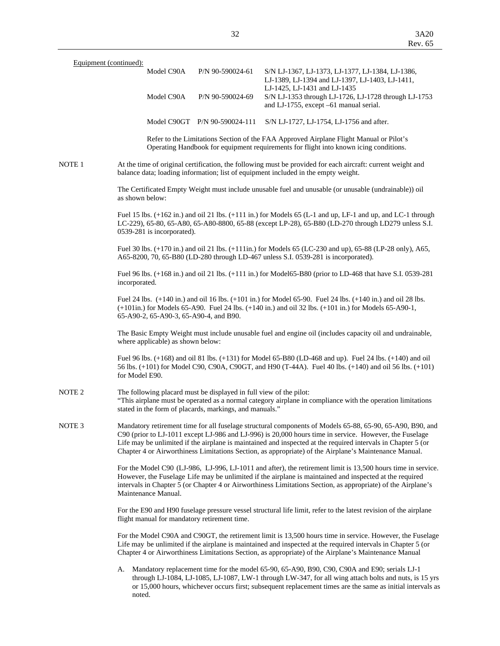| Equipment (continued): |                                                                                                                               |                               |                  |                                                                                                                                                                                                                                                                                                                                                                                                                                              |
|------------------------|-------------------------------------------------------------------------------------------------------------------------------|-------------------------------|------------------|----------------------------------------------------------------------------------------------------------------------------------------------------------------------------------------------------------------------------------------------------------------------------------------------------------------------------------------------------------------------------------------------------------------------------------------------|
|                        | Model C90A                                                                                                                    |                               | P/N 90-590024-61 | S/N LJ-1367, LJ-1373, LJ-1377, LJ-1384, LJ-1386,<br>LJ-1389, LJ-1394 and LJ-1397, LJ-1403, LJ-1411,<br>LJ-1425, LJ-1431 and LJ-1435                                                                                                                                                                                                                                                                                                          |
|                        | Model C90A                                                                                                                    |                               | P/N 90-590024-69 | S/N LJ-1353 through LJ-1726, LJ-1728 through LJ-1753<br>and LJ-1755, except -61 manual serial.                                                                                                                                                                                                                                                                                                                                               |
|                        |                                                                                                                               | Model C90GT P/N 90-590024-111 |                  | S/N LJ-1727, LJ-1754, LJ-1756 and after.                                                                                                                                                                                                                                                                                                                                                                                                     |
|                        |                                                                                                                               |                               |                  | Refer to the Limitations Section of the FAA Approved Airplane Flight Manual or Pilot's<br>Operating Handbook for equipment requirements for flight into known icing conditions.                                                                                                                                                                                                                                                              |
| NOTE 1                 |                                                                                                                               |                               |                  | At the time of original certification, the following must be provided for each aircraft: current weight and<br>balance data; loading information; list of equipment included in the empty weight.                                                                                                                                                                                                                                            |
|                        | as shown below:                                                                                                               |                               |                  | The Certificated Empty Weight must include unusable fuel and unusable (or unusable (undrainable)) oil                                                                                                                                                                                                                                                                                                                                        |
|                        | 0539-281 is incorporated).                                                                                                    |                               |                  | Fuel 15 lbs. $(+162 \text{ in.})$ and oil 21 lbs. $(+111 \text{ in.})$ for Models 65 (L-1 and up, LF-1 and up, and LC-1 through<br>LC-229), 65-80, 65-A80, 65-A80-8800, 65-88 (except LP-28), 65-B80 (LD-270 through LD279 unless S.I.                                                                                                                                                                                                       |
|                        |                                                                                                                               |                               |                  | Fuel 30 lbs. (+170 in.) and oil 21 lbs. (+111in.) for Models 65 (LC-230 and up), 65-88 (LP-28 only), A65,<br>A65-8200, 70, 65-B80 (LD-280 through LD-467 unless S.I. 0539-281 is incorporated).                                                                                                                                                                                                                                              |
|                        | incorporated.                                                                                                                 |                               |                  | Fuel 96 lbs. (+168 in.) and oil 21 lbs. (+111 in.) for Model65-B80 (prior to LD-468 that have S.I. 0539-281                                                                                                                                                                                                                                                                                                                                  |
|                        | 65-A90-2, 65-A90-3, 65-A90-4, and B90.                                                                                        |                               |                  | Fuel 24 lbs. (+140 in.) and oil 16 lbs. (+101 in.) for Model 65-90. Fuel 24 lbs. (+140 in.) and oil 28 lbs.<br>$(+101in.)$ for Models 65-A90. Fuel 24 lbs. $(+140in.)$ and oil 32 lbs. $(+101in.)$ for Models 65-A90-1,                                                                                                                                                                                                                      |
|                        | where applicable) as shown below:                                                                                             |                               |                  | The Basic Empty Weight must include unusable fuel and engine oil (includes capacity oil and undrainable,                                                                                                                                                                                                                                                                                                                                     |
|                        | for Model E90.                                                                                                                |                               |                  | Fuel 96 lbs. (+168) and oil 81 lbs. (+131) for Model 65-B80 (LD-468 and up). Fuel 24 lbs. (+140) and oil<br>56 lbs. (+101) for Model C90, C90A, C90GT, and H90 (T-44A). Fuel 40 lbs. (+140) and oil 56 lbs. (+101)                                                                                                                                                                                                                           |
| NOTE <sub>2</sub>      | The following placard must be displayed in full view of the pilot:<br>stated in the form of placards, markings, and manuals." |                               |                  | "This airplane must be operated as a normal category airplane in compliance with the operation limitations                                                                                                                                                                                                                                                                                                                                   |
| NOTE <sub>3</sub>      |                                                                                                                               |                               |                  | Mandatory retirement time for all fuselage structural components of Models 65-88, 65-90, 65-A90, B90, and<br>C90 (prior to LJ-1011 except LJ-986 and LJ-996) is 20,000 hours time in service. However, the Fuselage<br>Life may be unlimited if the airplane is maintained and inspected at the required intervals in Chapter 5 (or<br>Chapter 4 or Airworthiness Limitations Section, as appropriate) of the Airplane's Maintenance Manual. |
|                        | Maintenance Manual.                                                                                                           |                               |                  | For the Model C90 (LJ-986, LJ-996, LJ-1011 and after), the retirement limit is 13,500 hours time in service.<br>However, the Fuselage Life may be unlimited if the airplane is maintained and inspected at the required<br>intervals in Chapter 5 (or Chapter 4 or Airworthiness Limitations Section, as appropriate) of the Airplane's                                                                                                      |
|                        | flight manual for mandatory retirement time.                                                                                  |                               |                  | For the E90 and H90 fuselage pressure vessel structural life limit, refer to the latest revision of the airplane                                                                                                                                                                                                                                                                                                                             |
|                        |                                                                                                                               |                               |                  | For the Model C90A and C90GT, the retirement limit is 13,500 hours time in service. However, the Fuselage<br>Life may be unlimited if the airplane is maintained and inspected at the required intervals in Chapter 5 (or<br>Chapter 4 or Airworthiness Limitations Section, as appropriate) of the Airplane's Maintenance Manual                                                                                                            |
|                        | А.<br>noted.                                                                                                                  |                               |                  | Mandatory replacement time for the model 65-90, 65-A90, B90, C90, C90A and E90; serials LJ-1<br>through LJ-1084, LJ-1085, LJ-1087, LW-1 through LW-347, for all wing attach bolts and nuts, is 15 yrs<br>or 15,000 hours, whichever occurs first; subsequent replacement times are the same as initial intervals as                                                                                                                          |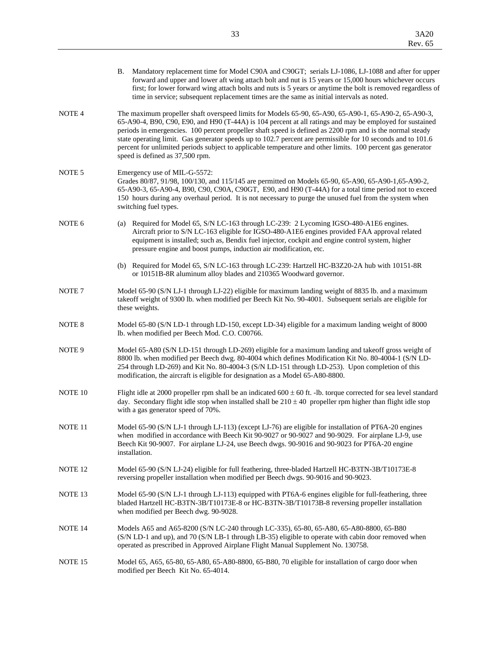|                    | В.                                                                                                                                                                                                                                                                                                                                                                                                                                                                                                                                                                                             | Mandatory replacement time for Model C90A and C90GT; serials LJ-1086, LJ-1088 and after for upper<br>forward and upper and lower aft wing attach bolt and nut is 15 years or 15,000 hours whichever occurs<br>first; for lower forward wing attach bolts and nuts is 5 years or anytime the bolt is removed regardless of<br>time in service; subsequent replacement times are the same as initial intervals as noted. |  |
|--------------------|------------------------------------------------------------------------------------------------------------------------------------------------------------------------------------------------------------------------------------------------------------------------------------------------------------------------------------------------------------------------------------------------------------------------------------------------------------------------------------------------------------------------------------------------------------------------------------------------|------------------------------------------------------------------------------------------------------------------------------------------------------------------------------------------------------------------------------------------------------------------------------------------------------------------------------------------------------------------------------------------------------------------------|--|
| NOTE <sub>4</sub>  | The maximum propeller shaft overspeed limits for Models 65-90, 65-A90, 65-A90-1, 65-A90-2, 65-A90-3,<br>65-A90-4, B90, C90, E90, and H90 (T-44A) is 104 percent at all ratings and may be employed for sustained<br>periods in emergencies. 100 percent propeller shaft speed is defined as 2200 rpm and is the normal steady<br>state operating limit. Gas generator speeds up to 102.7 percent are permissible for 10 seconds and to 101.6<br>percent for unlimited periods subject to applicable temperature and other limits. 100 percent gas generator<br>speed is defined as 37,500 rpm. |                                                                                                                                                                                                                                                                                                                                                                                                                        |  |
| NOTE <sub>5</sub>  |                                                                                                                                                                                                                                                                                                                                                                                                                                                                                                                                                                                                | Emergency use of MIL-G-5572:<br>Grades 80/87, 91/98, 100/130, and 115/145 are permitted on Models 65-90, 65-A90, 65-A90-1, 65-A90-2,<br>65-A90-3, 65-A90-4, B90, C90, C90A, C90GT, E90, and H90 (T-44A) for a total time period not to exceed<br>150 hours during any overhaul period. It is not necessary to purge the unused fuel from the system when<br>switching fuel types.                                      |  |
| NOTE <sub>6</sub>  |                                                                                                                                                                                                                                                                                                                                                                                                                                                                                                                                                                                                | (a) Required for Model 65, S/N LC-163 through LC-239: 2 Lycoming IGSO-480-A1E6 engines.<br>Aircraft prior to S/N LC-163 eligible for IGSO-480-A1E6 engines provided FAA approval related<br>equipment is installed; such as, Bendix fuel injector, cockpit and engine control system, higher<br>pressure engine and boost pumps, induction air modification, etc.                                                      |  |
|                    |                                                                                                                                                                                                                                                                                                                                                                                                                                                                                                                                                                                                | (b) Required for Model 65, S/N LC-163 through LC-239: Hartzell HC-B3Z20-2A hub with 10151-8R<br>or 10151B-8R aluminum alloy blades and 210365 Woodward governor.                                                                                                                                                                                                                                                       |  |
| NOTE <sub>7</sub>  |                                                                                                                                                                                                                                                                                                                                                                                                                                                                                                                                                                                                | Model 65-90 (S/N LJ-1 through LJ-22) eligible for maximum landing weight of 8835 lb. and a maximum<br>takeoff weight of 9300 lb. when modified per Beech Kit No. 90-4001. Subsequent serials are eligible for<br>these weights.                                                                                                                                                                                        |  |
| NOTE 8             |                                                                                                                                                                                                                                                                                                                                                                                                                                                                                                                                                                                                | Model 65-80 (S/N LD-1 through LD-150, except LD-34) eligible for a maximum landing weight of 8000<br>lb. when modified per Beech Mod. C.O. C00766.                                                                                                                                                                                                                                                                     |  |
| NOTE <sub>9</sub>  |                                                                                                                                                                                                                                                                                                                                                                                                                                                                                                                                                                                                | Model 65-A80 (S/N LD-151 through LD-269) eligible for a maximum landing and takeoff gross weight of<br>8800 lb. when modified per Beech dwg. 80-4004 which defines Modification Kit No. 80-4004-1 (S/N LD-<br>254 through LD-269) and Kit No. 80-4004-3 (S/N LD-151 through LD-253). Upon completion of this<br>modification, the aircraft is eligible for designation as a Model 65-A80-8800.                         |  |
| NOTE 10            |                                                                                                                                                                                                                                                                                                                                                                                                                                                                                                                                                                                                | Flight idle at 2000 propeller rpm shall be an indicated $600 \pm 60$ ft. -lb. torque corrected for sea level standard<br>day. Secondary flight idle stop when installed shall be $210 \pm 40$ propeller rpm higher than flight idle stop<br>with a gas generator speed of 70%.                                                                                                                                         |  |
| NOTE 11            |                                                                                                                                                                                                                                                                                                                                                                                                                                                                                                                                                                                                | Model 65-90 (S/N LJ-1 through LJ-113) (except LJ-76) are eligible for installation of PT6A-20 engines<br>when modified in accordance with Beech Kit 90-9027 or 90-9027 and 90-9029. For airplane LJ-9, use<br>Beech Kit 90-9007. For airplane LJ-24, use Beech dwgs. 90-9016 and 90-9023 for PT6A-20 engine<br>installation.                                                                                           |  |
| NOTE <sub>12</sub> |                                                                                                                                                                                                                                                                                                                                                                                                                                                                                                                                                                                                | Model 65-90 (S/N LJ-24) eligible for full feathering, three-bladed Hartzell HC-B3TN-3B/T10173E-8<br>reversing propeller installation when modified per Beech dwgs. 90-9016 and 90-9023.                                                                                                                                                                                                                                |  |
| NOTE <sub>13</sub> |                                                                                                                                                                                                                                                                                                                                                                                                                                                                                                                                                                                                | Model 65-90 (S/N LJ-1 through LJ-113) equipped with PT6A-6 engines eligible for full-feathering, three<br>bladed Hartzell HC-B3TN-3B/T10173E-8 or HC-B3TN-3B/T10173B-8 reversing propeller installation<br>when modified per Beech dwg. 90-9028.                                                                                                                                                                       |  |
| NOTE 14            | Models A65 and A65-8200 (S/N LC-240 through LC-335), 65-80, 65-A80, 65-A80-8800, 65-B80<br>(S/N LD-1 and up), and 70 (S/N LB-1 through LB-35) eligible to operate with cabin door removed when<br>operated as prescribed in Approved Airplane Flight Manual Supplement No. 130758.                                                                                                                                                                                                                                                                                                             |                                                                                                                                                                                                                                                                                                                                                                                                                        |  |
| NOTE <sub>15</sub> |                                                                                                                                                                                                                                                                                                                                                                                                                                                                                                                                                                                                | Model 65, A65, 65-80, 65-A80, 65-A80-8800, 65-B80, 70 eligible for installation of cargo door when<br>modified per Beech Kit No. 65-4014.                                                                                                                                                                                                                                                                              |  |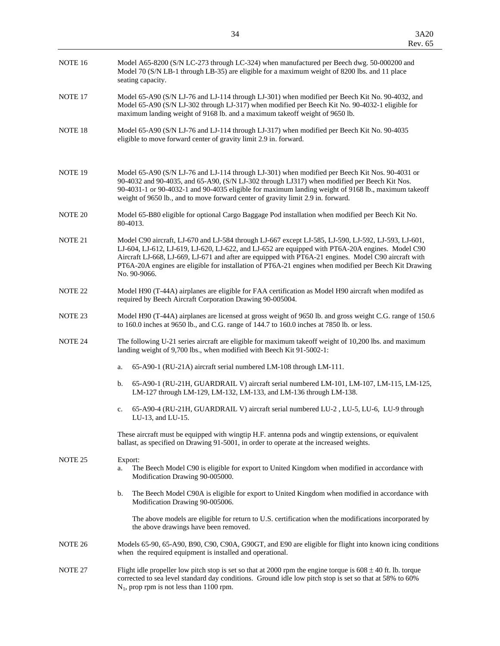|                    | Rev. 65                                                                                                                                                                                                                                                                                                                                                                                                                                  |  |  |
|--------------------|------------------------------------------------------------------------------------------------------------------------------------------------------------------------------------------------------------------------------------------------------------------------------------------------------------------------------------------------------------------------------------------------------------------------------------------|--|--|
| NOTE 16            | Model A65-8200 (S/N LC-273 through LC-324) when manufactured per Beech dwg. 50-000200 and<br>Model 70 (S/N LB-1 through LB-35) are eligible for a maximum weight of 8200 lbs. and 11 place<br>seating capacity.                                                                                                                                                                                                                          |  |  |
| NOTE 17            | Model 65-A90 (S/N LJ-76 and LJ-114 through LJ-301) when modified per Beech Kit No. 90-4032, and<br>Model 65-A90 (S/N LJ-302 through LJ-317) when modified per Beech Kit No. 90-4032-1 eligible for<br>maximum landing weight of 9168 lb. and a maximum takeoff weight of 9650 lb.                                                                                                                                                        |  |  |
| NOTE <sub>18</sub> | Model 65-A90 (S/N LJ-76 and LJ-114 through LJ-317) when modified per Beech Kit No. 90-4035<br>eligible to move forward center of gravity limit 2.9 in. forward.                                                                                                                                                                                                                                                                          |  |  |
| NOTE <sub>19</sub> | Model 65-A90 (S/N LJ-76 and LJ-114 through LJ-301) when modified per Beech Kit Nos. 90-4031 or<br>90-4032 and 90-4035, and 65-A90, (S/N LJ-302 through LJ317) when modified per Beech Kit Nos.<br>90-4031-1 or 90-4032-1 and 90-4035 eligible for maximum landing weight of 9168 lb., maximum takeoff<br>weight of 9650 lb., and to move forward center of gravity limit 2.9 in. forward.                                                |  |  |
| NOTE 20            | Model 65-B80 eligible for optional Cargo Baggage Pod installation when modified per Beech Kit No.<br>80-4013.                                                                                                                                                                                                                                                                                                                            |  |  |
| NOTE 21            | Model C90 aircraft, LJ-670 and LJ-584 through LJ-667 except LJ-585, LJ-590, LJ-592, LJ-593, LJ-601,<br>LJ-604, LJ-612, LJ-619, LJ-620, LJ-622, and LJ-652 are equipped with PT6A-20A engines. Model C90<br>Aircraft LJ-668, LJ-669, LJ-671 and after are equipped with PT6A-21 engines. Model C90 aircraft with<br>PT6A-20A engines are eligible for installation of PT6A-21 engines when modified per Beech Kit Drawing<br>No. 90-9066. |  |  |
| NOTE <sub>22</sub> | Model H90 (T-44A) airplanes are eligible for FAA certification as Model H90 aircraft when modifed as<br>required by Beech Aircraft Corporation Drawing 90-005004.                                                                                                                                                                                                                                                                        |  |  |
| NOTE 23            | Model H90 (T-44A) airplanes are licensed at gross weight of 9650 lb. and gross weight C.G. range of 150.6<br>to 160.0 inches at 9650 lb., and C.G. range of 144.7 to 160.0 inches at 7850 lb. or less.                                                                                                                                                                                                                                   |  |  |
| NOTE 24            | The following U-21 series aircraft are eligible for maximum takeoff weight of 10,200 lbs. and maximum<br>landing weight of 9,700 lbs., when modified with Beech Kit 91-5002-1:                                                                                                                                                                                                                                                           |  |  |
|                    | 65-A90-1 (RU-21A) aircraft serial numbered LM-108 through LM-111.<br>a.                                                                                                                                                                                                                                                                                                                                                                  |  |  |
|                    | 65-A90-1 (RU-21H, GUARDRAIL V) aircraft serial numbered LM-101, LM-107, LM-115, LM-125,<br>b.<br>LM-127 through LM-129, LM-132, LM-133, and LM-136 through LM-138.                                                                                                                                                                                                                                                                       |  |  |
|                    | 65-A90-4 (RH-21H, GHARDRAH, V) aircraft serial numbered LH-2, LH-5, LH-6, LH-9 through<br>$\mathcal{C}$                                                                                                                                                                                                                                                                                                                                  |  |  |

 c. 65-A90-4 (RU-21H, GUARDRAIL V) aircraft serial numbered LU-2 , LU-5, LU-6, LU-9 through LU-13, and LU-15.

 These aircraft must be equipped with wingtip H.F. antenna pods and wingtip extensions, or equivalent ballast, as specified on Drawing 91-5001, in order to operate at the increased weights.

# NOTE 25 Export: a. The Beech Model C90 is eligible for export to United Kingdom when modified in accordance with Modification Drawing 90-005000. b. The Beech Model C90A is eligible for export to United Kingdom when modified in accordance with Modification Drawing 90-005006. The above models are eligible for return to U.S. certification when the modifications incorporated by the above drawings have been removed. NOTE 26 Models 65-90, 65-A90, B90, C90, C90A, G90GT, and E90 are eligible for flight into known icing conditions when the required equipment is installed and operational. NOTE 27 Flight idle propeller low pitch stop is set so that at 2000 rpm the engine torque is 608  $\pm$  40 ft. lb. torque corrected to sea level standard day conditions. Ground idle low pitch stop is set so that at 58% to 60% N1, prop rpm is not less than 1100 rpm.